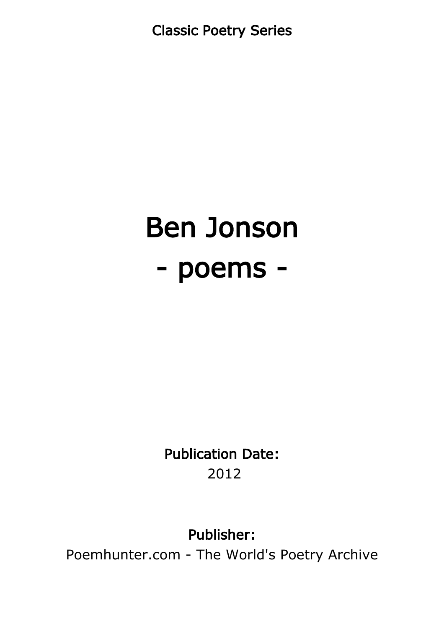Classic Poetry Series

# Ben Jonson - poems -

Publication Date: 2012

Publisher:

Poemhunter.com - The World's Poetry Archive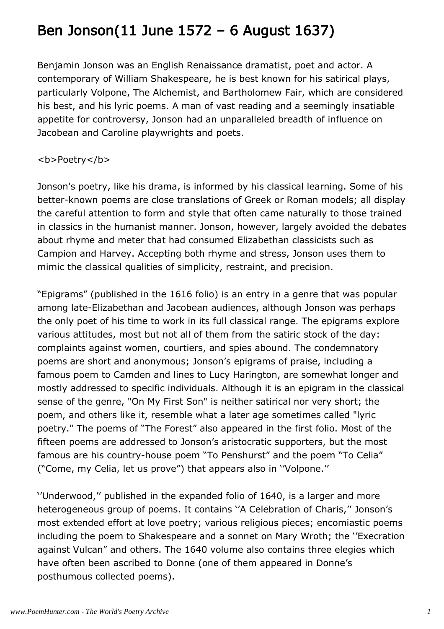# Ben Jonson(11 June 1572 – 6 August 1637)

Benjamin Jonson was an English Renaissance dramatist, poet and actor. A contemporary of William Shakespeare, he is best known for his satirical plays, particularly Volpone, The Alchemist, and Bartholomew Fair, which are considered his best, and his lyric poems. A man of vast reading and a seemingly insatiable appetite for controversy, Jonson had an unparalleled breadth of influence on Jacobean and Caroline playwrights and poets.

#### <b>Poetry</b>

Jonson's poetry, like his drama, is informed by his classical learning. Some of his better-known poems are close translations of Greek or Roman models; all display the careful attention to form and style that often came naturally to those trained in classics in the humanist manner. Jonson, however, largely avoided the debates about rhyme and meter that had consumed Elizabethan classicists such as Campion and Harvey. Accepting both rhyme and stress, Jonson uses them to mimic the classical qualities of simplicity, restraint, and precision.

"Epigrams" (published in the 1616 folio) is an entry in a genre that was popular among late-Elizabethan and Jacobean audiences, although Jonson was perhaps the only poet of his time to work in its full classical range. The epigrams explore various attitudes, most but not all of them from the satiric stock of the day: complaints against women, courtiers, and spies abound. The condemnatory poems are short and anonymous; Jonson's epigrams of praise, including a famous poem to Camden and lines to Lucy Harington, are somewhat longer and mostly addressed to specific individuals. Although it is an epigram in the classical sense of the genre, "On My First Son" is neither satirical nor very short; the poem, and others like it, resemble what a later age sometimes called "lyric poetry." The poems of "The Forest" also appeared in the first folio. Most of the fifteen poems are addressed to Jonson's aristocratic supporters, but the most famous are his country-house poem "To Penshurst" and the poem "To Celia" ("Come, my Celia, let us prove") that appears also in ''Volpone.''

''Underwood,'' published in the expanded folio of 1640, is a larger and more heterogeneous group of poems. It contains ''A Celebration of Charis,'' Jonson's most extended effort at love poetry; various religious pieces; encomiastic poems including the poem to Shakespeare and a sonnet on Mary Wroth; the ''Execration against Vulcan" and others. The 1640 volume also contains three elegies which have often been ascribed to Donne (one of them appeared in Donne's posthumous collected poems).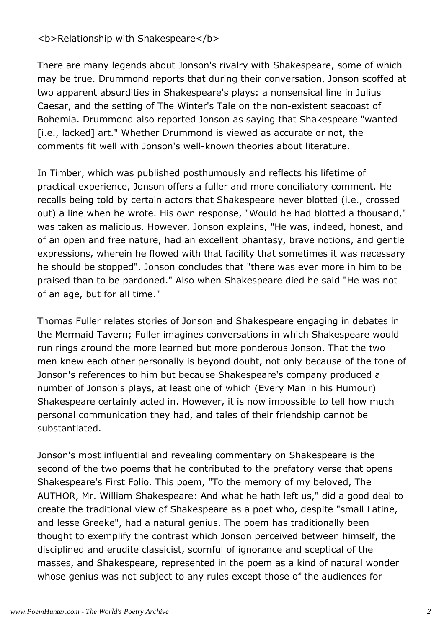<b>Relationship with Shakespeare</b>

There are many legends about Jonson's rivalry with Shakespeare, some of which may be true. Drummond reports that during their conversation, Jonson scoffed at two apparent absurdities in Shakespeare's plays: a nonsensical line in Julius Caesar, and the setting of The Winter's Tale on the non-existent seacoast of Bohemia. Drummond also reported Jonson as saying that Shakespeare "wanted [i.e., lacked] art." Whether Drummond is viewed as accurate or not, the comments fit well with Jonson's well-known theories about literature.

In Timber, which was published posthumously and reflects his lifetime of practical experience, Jonson offers a fuller and more conciliatory comment. He recalls being told by certain actors that Shakespeare never blotted (i.e., crossed out) a line when he wrote. His own response, "Would he had blotted a thousand," was taken as malicious. However, Jonson explains, "He was, indeed, honest, and of an open and free nature, had an excellent phantasy, brave notions, and gentle expressions, wherein he flowed with that facility that sometimes it was necessary he should be stopped". Jonson concludes that "there was ever more in him to be praised than to be pardoned." Also when Shakespeare died he said "He was not of an age, but for all time."

Thomas Fuller relates stories of Jonson and Shakespeare engaging in debates in the Mermaid Tavern; Fuller imagines conversations in which Shakespeare would run rings around the more learned but more ponderous Jonson. That the two men knew each other personally is beyond doubt, not only because of the tone of Jonson's references to him but because Shakespeare's company produced a number of Jonson's plays, at least one of which (Every Man in his Humour) Shakespeare certainly acted in. However, it is now impossible to tell how much personal communication they had, and tales of their friendship cannot be substantiated.

Jonson's most influential and revealing commentary on Shakespeare is the second of the two poems that he contributed to the prefatory verse that opens Shakespeare's First Folio. This poem, "To the memory of my beloved, The AUTHOR, Mr. William Shakespeare: And what he hath left us," did a good deal to create the traditional view of Shakespeare as a poet who, despite "small Latine, and lesse Greeke", had a natural genius. The poem has traditionally been thought to exemplify the contrast which Jonson perceived between himself, the disciplined and erudite classicist, scornful of ignorance and sceptical of the masses, and Shakespeare, represented in the poem as a kind of natural wonder whose genius was not subject to any rules except those of the audiences for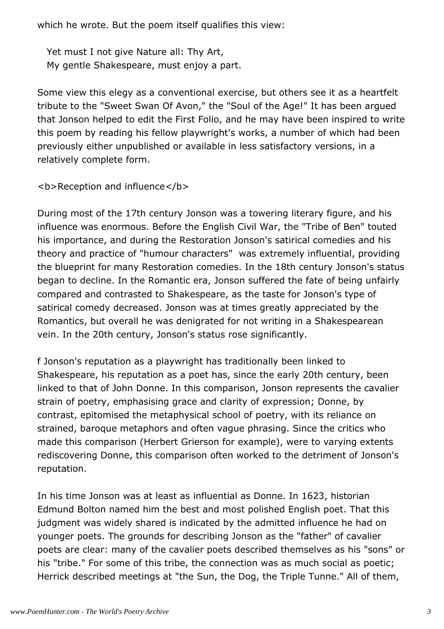which he wrote. But the poem itself qualifies this view:

 Yet must I not give Nature all: Thy Art, My gentle Shakespeare, must enjoy a part.

Some view this elegy as a conventional exercise, but others see it as a heartfelt tribute to the "Sweet Swan Of Avon," the "Soul of the Age!" It has been argued that Jonson helped to edit the First Folio, and he may have been inspired to write this poem by reading his fellow playwright's works, a number of which had been previously either unpublished or available in less satisfactory versions, in a relatively complete form.

<b>Reception and influence</b>

During most of the 17th century Jonson was a towering literary figure, and his influence was enormous. Before the English Civil War, the "Tribe of Ben" touted his importance, and during the Restoration Jonson's satirical comedies and his theory and practice of "humour characters" was extremely influential, providing the blueprint for many Restoration comedies. In the 18th century Jonson's status began to decline. In the Romantic era, Jonson suffered the fate of being unfairly compared and contrasted to Shakespeare, as the taste for Jonson's type of satirical comedy decreased. Jonson was at times greatly appreciated by the Romantics, but overall he was denigrated for not writing in a Shakespearean vein. In the 20th century, Jonson's status rose significantly.

f Jonson's reputation as a playwright has traditionally been linked to Shakespeare, his reputation as a poet has, since the early 20th century, been linked to that of John Donne. In this comparison, Jonson represents the cavalier strain of poetry, emphasising grace and clarity of expression; Donne, by contrast, epitomised the metaphysical school of poetry, with its reliance on strained, baroque metaphors and often vague phrasing. Since the critics who made this comparison (Herbert Grierson for example), were to varying extents rediscovering Donne, this comparison often worked to the detriment of Jonson's reputation.

In his time Jonson was at least as influential as Donne. In 1623, historian Edmund Bolton named him the best and most polished English poet. That this judgment was widely shared is indicated by the admitted influence he had on younger poets. The grounds for describing Jonson as the "father" of cavalier poets are clear: many of the cavalier poets described themselves as his "sons" or his "tribe." For some of this tribe, the connection was as much social as poetic; Herrick described meetings at "the Sun, the Dog, the Triple Tunne." All of them,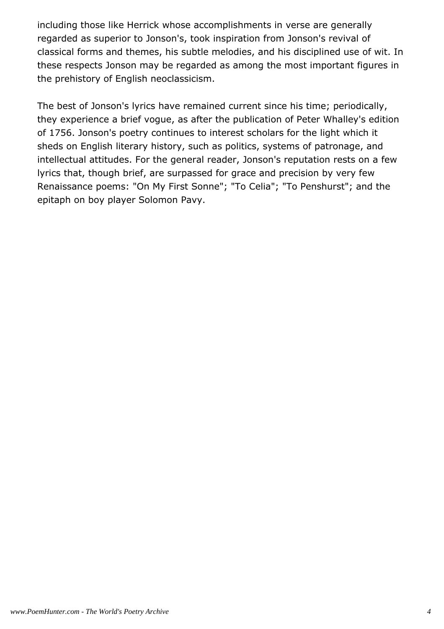including those like Herrick whose accomplishments in verse are generally regarded as superior to Jonson's, took inspiration from Jonson's revival of classical forms and themes, his subtle melodies, and his disciplined use of wit. In these respects Jonson may be regarded as among the most important figures in the prehistory of English neoclassicism.

The best of Jonson's lyrics have remained current since his time; periodically, they experience a brief vogue, as after the publication of Peter Whalley's edition of 1756. Jonson's poetry continues to interest scholars for the light which it sheds on English literary history, such as politics, systems of patronage, and intellectual attitudes. For the general reader, Jonson's reputation rests on a few lyrics that, though brief, are surpassed for grace and precision by very few Renaissance poems: "On My First Sonne"; "To Celia"; "To Penshurst"; and the epitaph on boy player Solomon Pavy.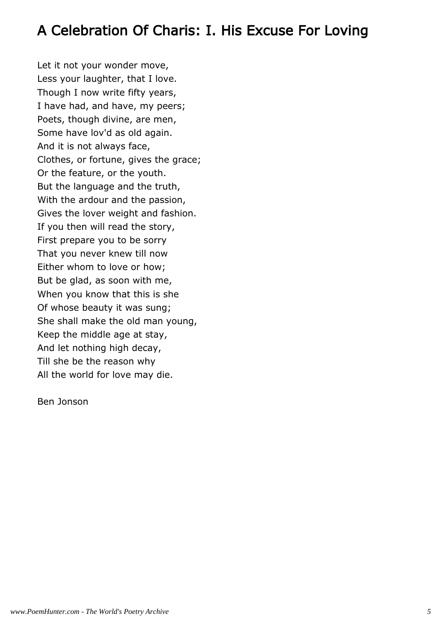### A Celebration Of Charis: I. His Excuse For Loving

Let it not your wonder move, Less your laughter, that I love. Though I now write fifty years, I have had, and have, my peers; Poets, though divine, are men, Some have lov'd as old again. And it is not always face, Clothes, or fortune, gives the grace; Or the feature, or the youth. But the language and the truth, With the ardour and the passion, Gives the lover weight and fashion. If you then will read the story, First prepare you to be sorry That you never knew till now Either whom to love or how; But be glad, as soon with me, When you know that this is she Of whose beauty it was sung; She shall make the old man young, Keep the middle age at stay, And let nothing high decay, Till she be the reason why All the world for love may die.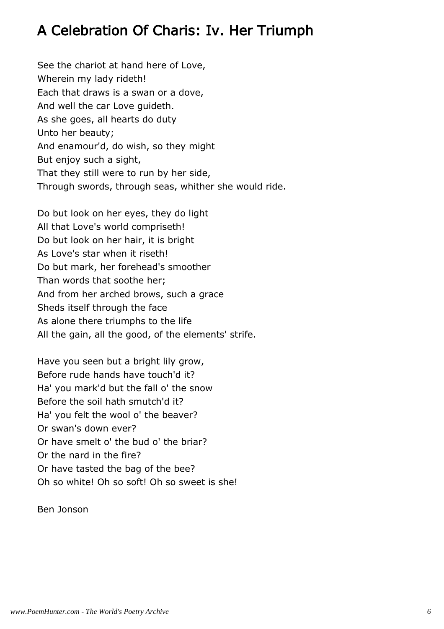### A Celebration Of Charis: Iv. Her Triumph

See the chariot at hand here of Love, Wherein my lady rideth! Each that draws is a swan or a dove, And well the car Love guideth. As she goes, all hearts do duty Unto her beauty; And enamour'd, do wish, so they might But enjoy such a sight, That they still were to run by her side, Through swords, through seas, whither she would ride.

Do but look on her eyes, they do light All that Love's world compriseth! Do but look on her hair, it is bright As Love's star when it riseth! Do but mark, her forehead's smoother Than words that soothe her; And from her arched brows, such a grace Sheds itself through the face As alone there triumphs to the life All the gain, all the good, of the elements' strife.

Have you seen but a bright lily grow, Before rude hands have touch'd it? Ha' you mark'd but the fall o' the snow Before the soil hath smutch'd it? Ha' you felt the wool o' the beaver? Or swan's down ever? Or have smelt o' the bud o' the briar? Or the nard in the fire? Or have tasted the bag of the bee? Oh so white! Oh so soft! Oh so sweet is she!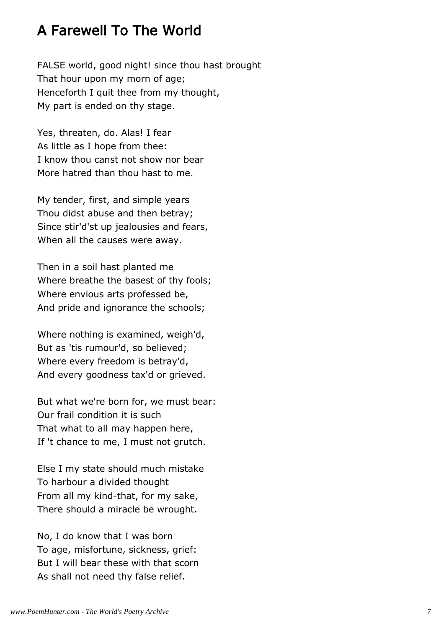### A Farewell To The World

FALSE world, good night! since thou hast brought That hour upon my morn of age; Henceforth I quit thee from my thought, My part is ended on thy stage.

Yes, threaten, do. Alas! I fear As little as I hope from thee: I know thou canst not show nor bear More hatred than thou hast to me.

My tender, first, and simple years Thou didst abuse and then betray; Since stir'd'st up jealousies and fears, When all the causes were away.

Then in a soil hast planted me Where breathe the basest of thy fools; Where envious arts professed be, And pride and ignorance the schools;

Where nothing is examined, weigh'd, But as 'tis rumour'd, so believed; Where every freedom is betray'd, And every goodness tax'd or grieved.

But what we're born for, we must bear: Our frail condition it is such That what to all may happen here, If 't chance to me, I must not grutch.

Else I my state should much mistake To harbour a divided thought From all my kind-that, for my sake, There should a miracle be wrought.

No, I do know that I was born To age, misfortune, sickness, grief: But I will bear these with that scorn As shall not need thy false relief.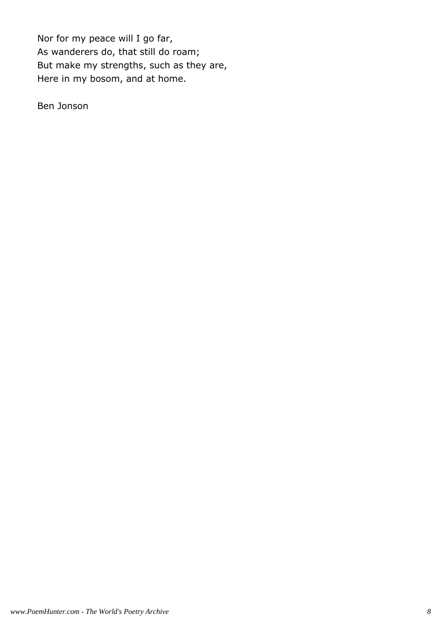Nor for my peace will I go far, As wanderers do, that still do roam; But make my strengths, such as they are, Here in my bosom, and at home.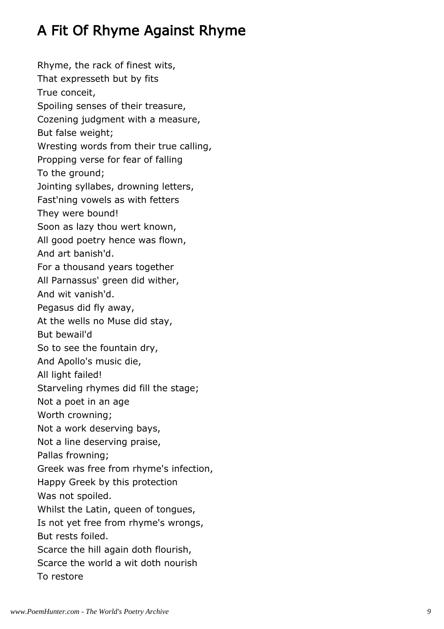# A Fit Of Rhyme Against Rhyme

Rhyme, the rack of finest wits, That expresseth but by fits True conceit, Spoiling senses of their treasure, Cozening judgment with a measure, But false weight; Wresting words from their true calling, Propping verse for fear of falling To the ground; Jointing syllabes, drowning letters, Fast'ning vowels as with fetters They were bound! Soon as lazy thou wert known, All good poetry hence was flown, And art banish'd. For a thousand years together All Parnassus' green did wither, And wit vanish'd. Pegasus did fly away, At the wells no Muse did stay, But bewail'd So to see the fountain dry, And Apollo's music die, All light failed! Starveling rhymes did fill the stage; Not a poet in an age Worth crowning; Not a work deserving bays, Not a line deserving praise, Pallas frowning; Greek was free from rhyme's infection, Happy Greek by this protection Was not spoiled. Whilst the Latin, queen of tongues, Is not yet free from rhyme's wrongs, But rests foiled. Scarce the hill again doth flourish, Scarce the world a wit doth nourish To restore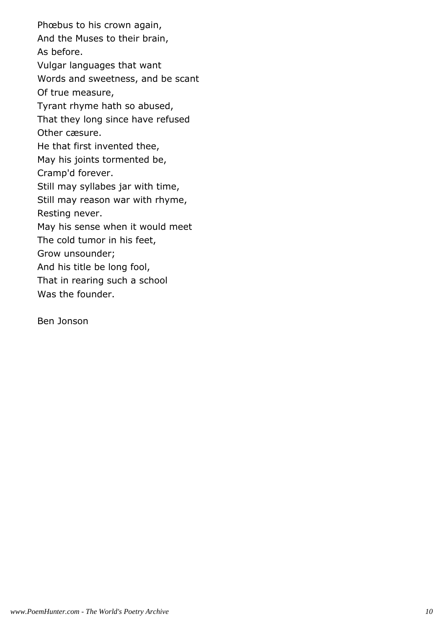Phœbus to his crown again, And the Muses to their brain, As before. Vulgar languages that want Words and sweetness, and be scant Of true measure, Tyrant rhyme hath so abused, That they long since have refused Other cæsure. He that first invented thee, May his joints tormented be, Cramp'd forever. Still may syllabes jar with time, Still may reason war with rhyme, Resting never. May his sense when it would meet The cold tumor in his feet, Grow unsounder; And his title be long fool, That in rearing such a school Was the founder.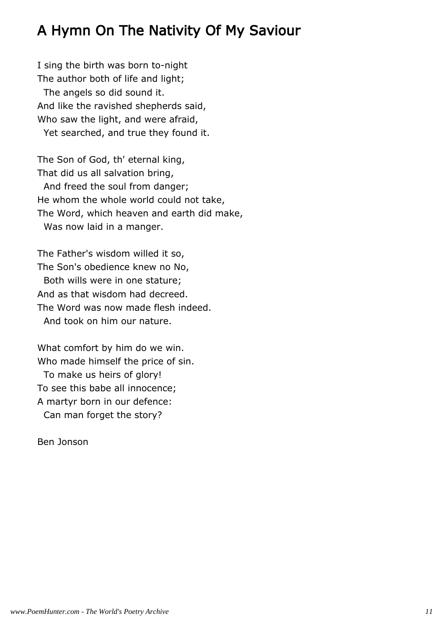### A Hymn On The Nativity Of My Saviour

I sing the birth was born to-night The author both of life and light; The angels so did sound it. And like the ravished shepherds said, Who saw the light, and were afraid, Yet searched, and true they found it.

The Son of God, th' eternal king, That did us all salvation bring, And freed the soul from danger; He whom the whole world could not take, The Word, which heaven and earth did make, Was now laid in a manger.

The Father's wisdom willed it so, The Son's obedience knew no No, Both wills were in one stature; And as that wisdom had decreed. The Word was now made flesh indeed. And took on him our nature.

What comfort by him do we win. Who made himself the price of sin. To make us heirs of glory! To see this babe all innocence; A martyr born in our defence: Can man forget the story?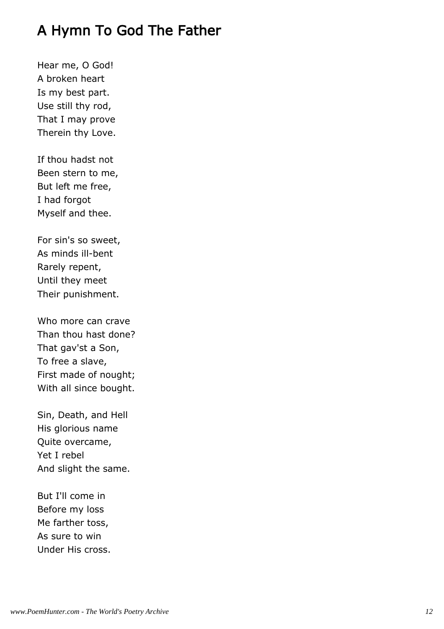### A Hymn To God The Father

Hear me, O God! A broken heart Is my best part. Use still thy rod, That I may prove Therein thy Love.

If thou hadst not Been stern to me, But left me free, I had forgot Myself and thee.

For sin's so sweet, As minds ill-bent Rarely repent, Until they meet Their punishment.

Who more can crave Than thou hast done? That gav'st a Son, To free a slave, First made of nought; With all since bought.

Sin, Death, and Hell His glorious name Quite overcame, Yet I rebel And slight the same.

But I'll come in Before my loss Me farther toss, As sure to win Under His cross.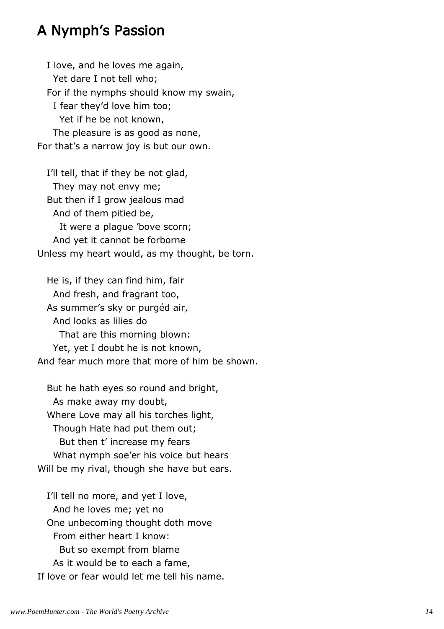### A Nymph's Passion

 I love, and he loves me again, Yet dare I not tell who; For if the nymphs should know my swain, I fear they'd love him too; Yet if he be not known, The pleasure is as good as none, For that's a narrow joy is but our own.

 I'll tell, that if they be not glad, They may not envy me; But then if I grow jealous mad And of them pitied be, It were a plague 'bove scorn; And yet it cannot be forborne Unless my heart would, as my thought, be torn.

 He is, if they can find him, fair And fresh, and fragrant too, As summer's sky or purgéd air, And looks as lilies do That are this morning blown: Yet, yet I doubt he is not known, And fear much more that more of him be shown.

 But he hath eyes so round and bright, As make away my doubt, Where Love may all his torches light, Though Hate had put them out; But then t' increase my fears What nymph soe'er his voice but hears Will be my rival, though she have but ears.

 I'll tell no more, and yet I love, And he loves me; yet no One unbecoming thought doth move From either heart I know: But so exempt from blame As it would be to each a fame, If love or fear would let me tell his name.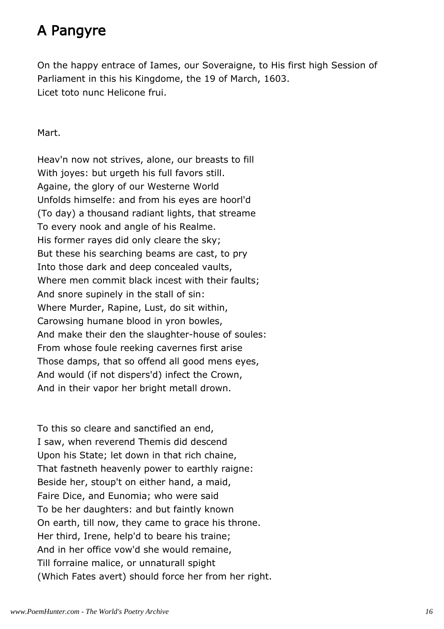### A Pangyre

On the happy entrace of Iames, our Soveraigne, to His first high Session of Parliament in this his Kingdome, the 19 of March, 1603. Licet toto nunc Helicone frui.

#### Mart.

Heav'n now not strives, alone, our breasts to fill With joyes: but urgeth his full favors still. Againe, the glory of our Westerne World Unfolds himselfe: and from his eyes are hoorl'd (To day) a thousand radiant lights, that streame To every nook and angle of his Realme. His former rayes did only cleare the sky; But these his searching beams are cast, to pry Into those dark and deep concealed vaults, Where men commit black incest with their faults; And snore supinely in the stall of sin: Where Murder, Rapine, Lust, do sit within, Carowsing humane blood in yron bowles, And make their den the slaughter-house of soules: From whose foule reeking cavernes first arise Those damps, that so offend all good mens eyes, And would (if not dispers'd) infect the Crown, And in their vapor her bright metall drown.

To this so cleare and sanctified an end, I saw, when reverend Themis did descend Upon his State; let down in that rich chaine, That fastneth heavenly power to earthly raigne: Beside her, stoup't on either hand, a maid, Faire Dice, and Eunomia; who were said To be her daughters: and but faintly known On earth, till now, they came to grace his throne. Her third, Irene, help'd to beare his traine; And in her office vow'd she would remaine, Till forraine malice, or unnaturall spight (Which Fates avert) should force her from her right.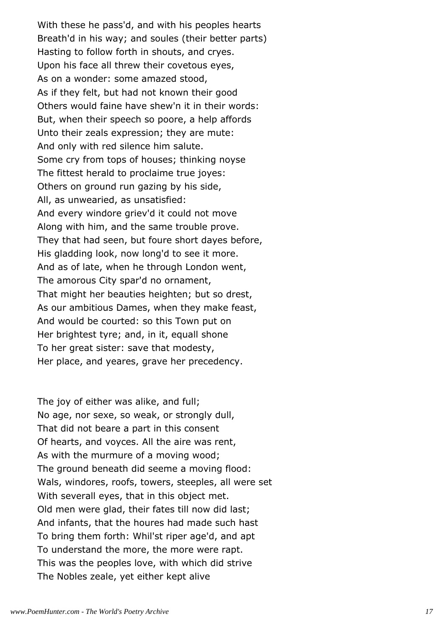With these he pass'd, and with his peoples hearts Breath'd in his way; and soules (their better parts) Hasting to follow forth in shouts, and cryes. Upon his face all threw their covetous eyes, As on a wonder: some amazed stood, As if they felt, but had not known their good Others would faine have shew'n it in their words: But, when their speech so poore, a help affords Unto their zeals expression; they are mute: And only with red silence him salute. Some cry from tops of houses; thinking noyse The fittest herald to proclaime true joyes: Others on ground run gazing by his side, All, as unwearied, as unsatisfied: And every windore griev'd it could not move Along with him, and the same trouble prove. They that had seen, but foure short dayes before, His gladding look, now long'd to see it more. And as of late, when he through London went, The amorous City spar'd no ornament, That might her beauties heighten; but so drest, As our ambitious Dames, when they make feast, And would be courted: so this Town put on Her brightest tyre; and, in it, equall shone To her great sister: save that modesty, Her place, and yeares, grave her precedency.

The joy of either was alike, and full; No age, nor sexe, so weak, or strongly dull, That did not beare a part in this consent Of hearts, and voyces. All the aire was rent, As with the murmure of a moving wood; The ground beneath did seeme a moving flood: Wals, windores, roofs, towers, steeples, all were set With severall eyes, that in this object met. Old men were glad, their fates till now did last; And infants, that the houres had made such hast To bring them forth: Whil'st riper age'd, and apt To understand the more, the more were rapt. This was the peoples love, with which did strive The Nobles zeale, yet either kept alive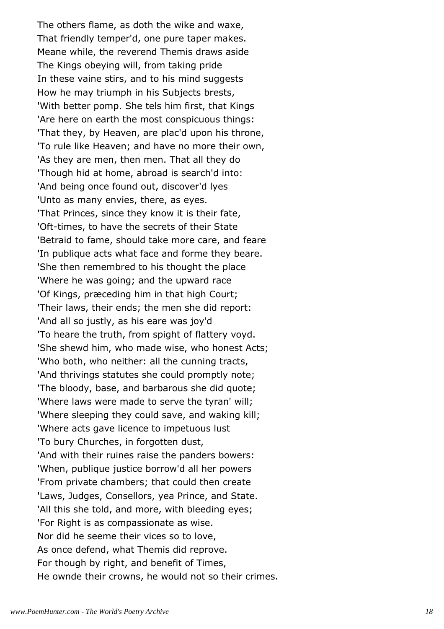The others flame, as doth the wike and waxe, That friendly temper'd, one pure taper makes. Meane while, the reverend Themis draws aside The Kings obeying will, from taking pride In these vaine stirs, and to his mind suggests How he may triumph in his Subjects brests, 'With better pomp. She tels him first, that Kings 'Are here on earth the most conspicuous things: 'That they, by Heaven, are plac'd upon his throne, 'To rule like Heaven; and have no more their own, 'As they are men, then men. That all they do 'Though hid at home, abroad is search'd into: 'And being once found out, discover'd lyes 'Unto as many envies, there, as eyes. 'That Princes, since they know it is their fate, 'Oft-times, to have the secrets of their State 'Betraid to fame, should take more care, and feare 'In publique acts what face and forme they beare. 'She then remembred to his thought the place 'Where he was going; and the upward race 'Of Kings, præceding him in that high Court; 'Their laws, their ends; the men she did report: 'And all so justly, as his eare was joy'd 'To heare the truth, from spight of flattery voyd. 'She shewd him, who made wise, who honest Acts; 'Who both, who neither: all the cunning tracts, 'And thrivings statutes she could promptly note; 'The bloody, base, and barbarous she did quote; 'Where laws were made to serve the tyran' will; 'Where sleeping they could save, and waking kill; 'Where acts gave licence to impetuous lust 'To bury Churches, in forgotten dust, 'And with their ruines raise the panders bowers: 'When, publique justice borrow'd all her powers 'From private chambers; that could then create 'Laws, Judges, Consellors, yea Prince, and State. 'All this she told, and more, with bleeding eyes; 'For Right is as compassionate as wise. Nor did he seeme their vices so to love, As once defend, what Themis did reprove. For though by right, and benefit of Times, He ownde their crowns, he would not so their crimes.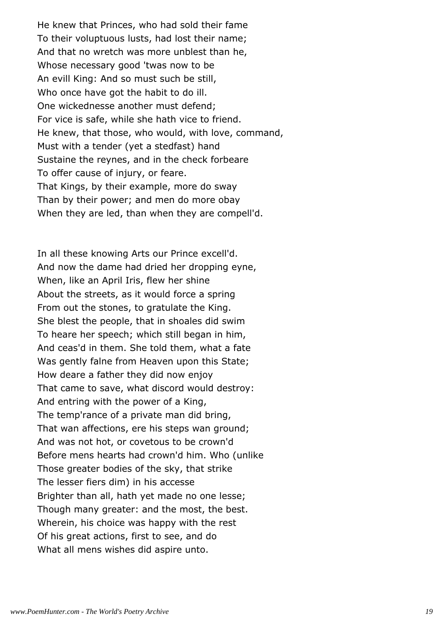He knew that Princes, who had sold their fame To their voluptuous lusts, had lost their name; And that no wretch was more unblest than he, Whose necessary good 'twas now to be An evill King: And so must such be still, Who once have got the habit to do ill. One wickednesse another must defend; For vice is safe, while she hath vice to friend. He knew, that those, who would, with love, command, Must with a tender (yet a stedfast) hand Sustaine the reynes, and in the check forbeare To offer cause of injury, or feare. That Kings, by their example, more do sway Than by their power; and men do more obay When they are led, than when they are compell'd.

In all these knowing Arts our Prince excell'd. And now the dame had dried her dropping eyne, When, like an April Iris, flew her shine About the streets, as it would force a spring From out the stones, to gratulate the King. She blest the people, that in shoales did swim To heare her speech; which still began in him, And ceas'd in them. She told them, what a fate Was gently falne from Heaven upon this State; How deare a father they did now enjoy That came to save, what discord would destroy: And entring with the power of a King, The temp'rance of a private man did bring, That wan affections, ere his steps wan ground; And was not hot, or covetous to be crown'd Before mens hearts had crown'd him. Who (unlike Those greater bodies of the sky, that strike The lesser fiers dim) in his accesse Brighter than all, hath yet made no one lesse; Though many greater: and the most, the best. Wherein, his choice was happy with the rest Of his great actions, first to see, and do What all mens wishes did aspire unto.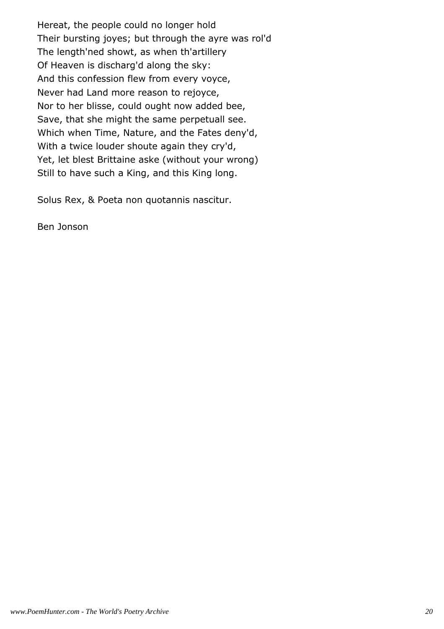Hereat, the people could no longer hold Their bursting joyes; but through the ayre was rol'd The length'ned showt, as when th'artillery Of Heaven is discharg'd along the sky: And this confession flew from every voyce, Never had Land more reason to rejoyce, Nor to her blisse, could ought now added bee, Save, that she might the same perpetuall see. Which when Time, Nature, and the Fates deny'd, With a twice louder shoute again they cry'd, Yet, let blest Brittaine aske (without your wrong) Still to have such a King, and this King long.

Solus Rex, & Poeta non quotannis nascitur.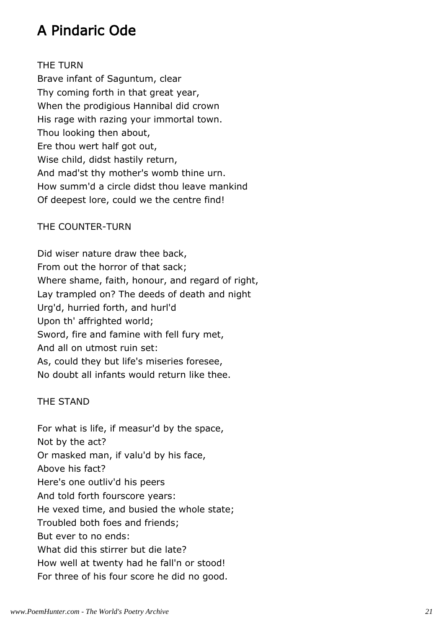### A Pindaric Ode

#### THE TURN

Brave infant of Saguntum, clear Thy coming forth in that great year, When the prodigious Hannibal did crown His rage with razing your immortal town. Thou looking then about, Ere thou wert half got out, Wise child, didst hastily return, And mad'st thy mother's womb thine urn. How summ'd a circle didst thou leave mankind Of deepest lore, could we the centre find!

THE COUNTER-TURN

Did wiser nature draw thee back, From out the horror of that sack; Where shame, faith, honour, and regard of right, Lay trampled on? The deeds of death and night Urg'd, hurried forth, and hurl'd Upon th' affrighted world; Sword, fire and famine with fell fury met, And all on utmost ruin set: As, could they but life's miseries foresee, No doubt all infants would return like thee.

#### THE STAND

For what is life, if measur'd by the space, Not by the act? Or masked man, if valu'd by his face, Above his fact? Here's one outliv'd his peers And told forth fourscore years: He vexed time, and busied the whole state; Troubled both foes and friends; But ever to no ends: What did this stirrer but die late? How well at twenty had he fall'n or stood! For three of his four score he did no good.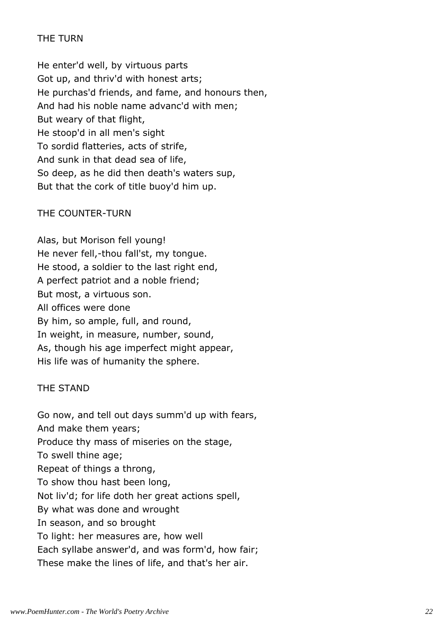#### THE TURN

He enter'd well, by virtuous parts Got up, and thriv'd with honest arts; He purchas'd friends, and fame, and honours then, And had his noble name advanc'd with men; But weary of that flight, He stoop'd in all men's sight To sordid flatteries, acts of strife, And sunk in that dead sea of life, So deep, as he did then death's waters sup, But that the cork of title buoy'd him up.

#### THE COUNTER-TURN

Alas, but Morison fell young! He never fell,-thou fall'st, my tongue. He stood, a soldier to the last right end, A perfect patriot and a noble friend; But most, a virtuous son. All offices were done By him, so ample, full, and round, In weight, in measure, number, sound, As, though his age imperfect might appear, His life was of humanity the sphere.

#### THE STAND

Go now, and tell out days summ'd up with fears, And make them years; Produce thy mass of miseries on the stage, To swell thine age; Repeat of things a throng, To show thou hast been long, Not liv'd; for life doth her great actions spell, By what was done and wrought In season, and so brought To light: her measures are, how well Each syllabe answer'd, and was form'd, how fair; These make the lines of life, and that's her air.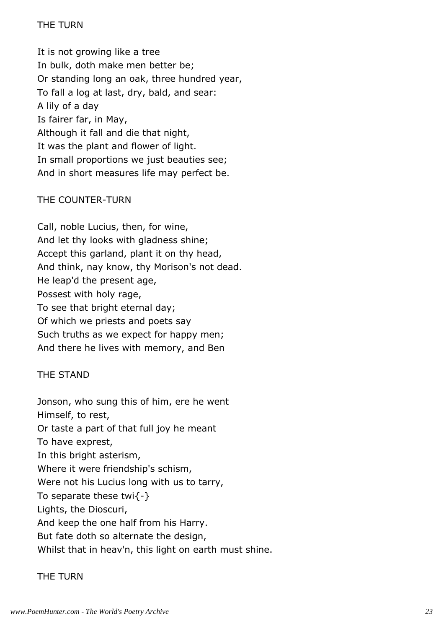#### THE TURN

It is not growing like a tree In bulk, doth make men better be; Or standing long an oak, three hundred year, To fall a log at last, dry, bald, and sear: A lily of a day Is fairer far, in May, Although it fall and die that night, It was the plant and flower of light. In small proportions we just beauties see; And in short measures life may perfect be.

#### THE COUNTER-TURN

Call, noble Lucius, then, for wine, And let thy looks with gladness shine; Accept this garland, plant it on thy head, And think, nay know, thy Morison's not dead. He leap'd the present age, Possest with holy rage, To see that bright eternal day; Of which we priests and poets say Such truths as we expect for happy men; And there he lives with memory, and Ben

#### THE STAND

Jonson, who sung this of him, ere he went Himself, to rest, Or taste a part of that full joy he meant To have exprest, In this bright asterism, Where it were friendship's schism, Were not his Lucius long with us to tarry, To separate these twi $\{-\}$ Lights, the Dioscuri, And keep the one half from his Harry. But fate doth so alternate the design, Whilst that in heav'n, this light on earth must shine.

#### THE TURN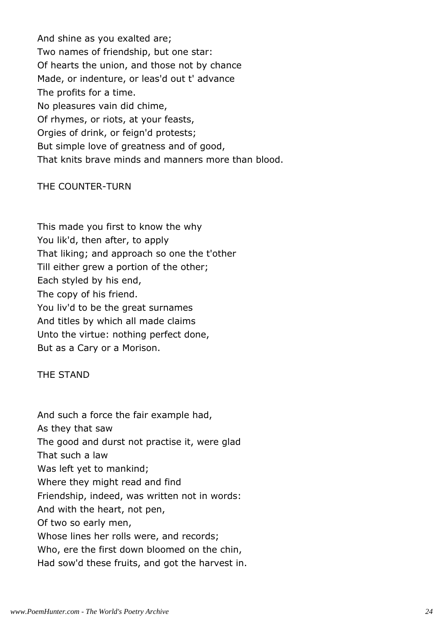And shine as you exalted are; Two names of friendship, but one star: Of hearts the union, and those not by chance Made, or indenture, or leas'd out t' advance The profits for a time. No pleasures vain did chime, Of rhymes, or riots, at your feasts, Orgies of drink, or feign'd protests; But simple love of greatness and of good, That knits brave minds and manners more than blood.

#### THE COUNTER-TURN

This made you first to know the why You lik'd, then after, to apply That liking; and approach so one the t'other Till either grew a portion of the other; Each styled by his end, The copy of his friend. You liv'd to be the great surnames And titles by which all made claims Unto the virtue: nothing perfect done, But as a Cary or a Morison.

THE STAND

And such a force the fair example had, As they that saw The good and durst not practise it, were glad That such a law Was left yet to mankind; Where they might read and find Friendship, indeed, was written not in words: And with the heart, not pen, Of two so early men, Whose lines her rolls were, and records; Who, ere the first down bloomed on the chin, Had sow'd these fruits, and got the harvest in.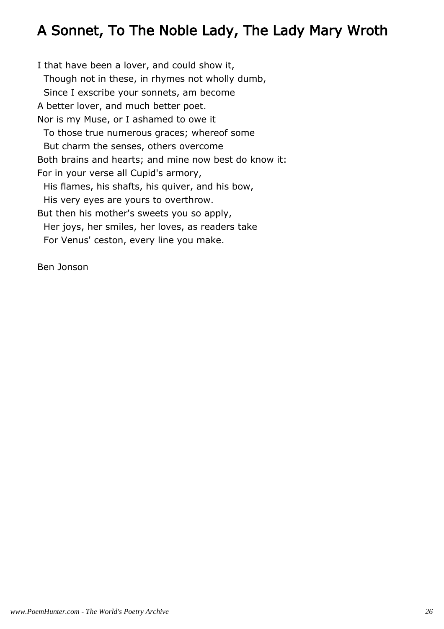### A Sonnet, To The Noble Lady, The Lady Mary Wroth

I that have been a lover, and could show it, Though not in these, in rhymes not wholly dumb, Since I exscribe your sonnets, am become A better lover, and much better poet. Nor is my Muse, or I ashamed to owe it To those true numerous graces; whereof some But charm the senses, others overcome Both brains and hearts; and mine now best do know it: For in your verse all Cupid's armory, His flames, his shafts, his quiver, and his bow, His very eyes are yours to overthrow. But then his mother's sweets you so apply, Her joys, her smiles, her loves, as readers take For Venus' ceston, every line you make.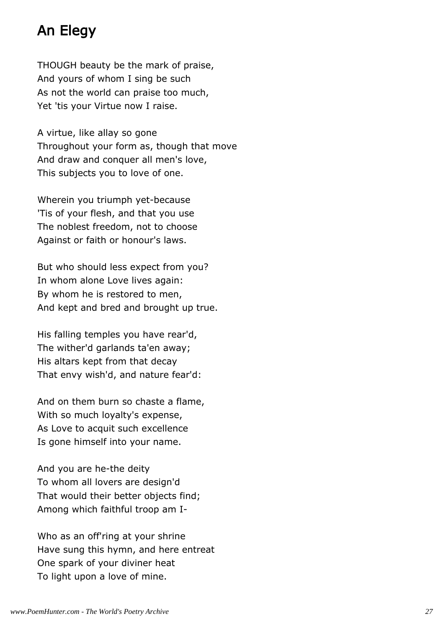### An Elegy

THOUGH beauty be the mark of praise, And yours of whom I sing be such As not the world can praise too much, Yet 'tis your Virtue now I raise.

A virtue, like allay so gone Throughout your form as, though that move And draw and conquer all men's love, This subjects you to love of one.

Wherein you triumph yet-because 'Tis of your flesh, and that you use The noblest freedom, not to choose Against or faith or honour's laws.

But who should less expect from you? In whom alone Love lives again: By whom he is restored to men, And kept and bred and brought up true.

His falling temples you have rear'd, The wither'd garlands ta'en away; His altars kept from that decay That envy wish'd, and nature fear'd:

And on them burn so chaste a flame, With so much loyalty's expense, As Love to acquit such excellence Is gone himself into your name.

And you are he-the deity To whom all lovers are design'd That would their better objects find; Among which faithful troop am I-

Who as an off'ring at your shrine Have sung this hymn, and here entreat One spark of your diviner heat To light upon a love of mine.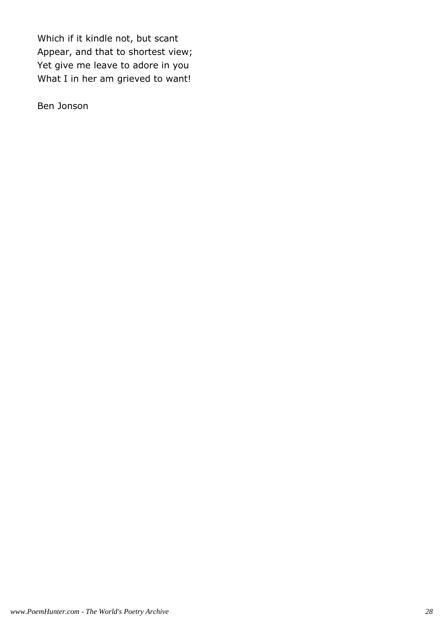Which if it kindle not, but scant Appear, and that to shortest view; Yet give me leave to adore in you What I in her am grieved to want!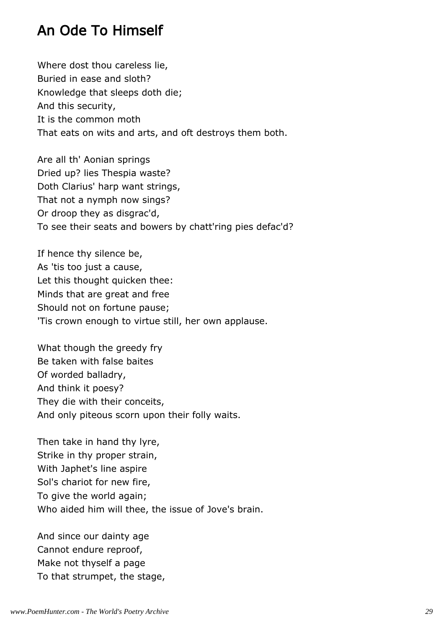### An Ode To Himself

Where dost thou careless lie, Buried in ease and sloth? Knowledge that sleeps doth die; And this security, It is the common moth That eats on wits and arts, and oft destroys them both.

Are all th' Aonian springs Dried up? lies Thespia waste? Doth Clarius' harp want strings, That not a nymph now sings? Or droop they as disgrac'd, To see their seats and bowers by chatt'ring pies defac'd?

If hence thy silence be, As 'tis too just a cause, Let this thought quicken thee: Minds that are great and free Should not on fortune pause; 'Tis crown enough to virtue still, her own applause.

What though the greedy fry Be taken with false baites Of worded balladry, And think it poesy? They die with their conceits, And only piteous scorn upon their folly waits.

Then take in hand thy lyre, Strike in thy proper strain, With Japhet's line aspire Sol's chariot for new fire, To give the world again; Who aided him will thee, the issue of Jove's brain.

And since our dainty age Cannot endure reproof, Make not thyself a page To that strumpet, the stage,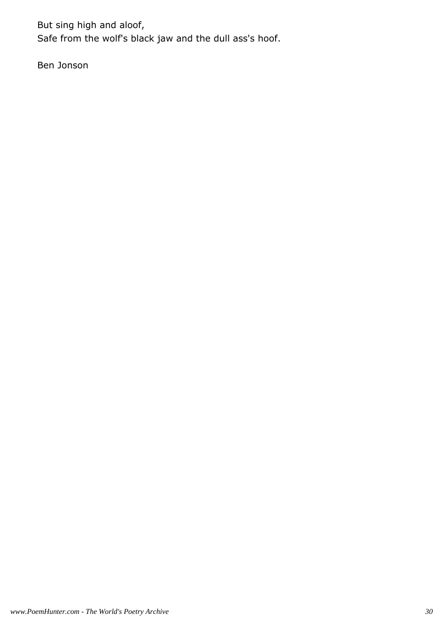But sing high and aloof,

Safe from the wolf's black jaw and the dull ass's hoof.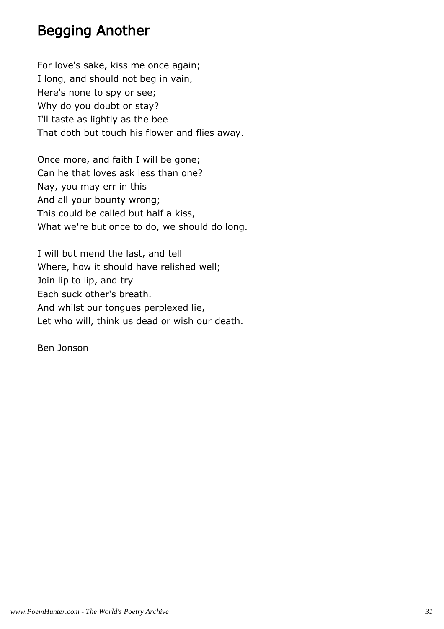### Begging Another

For love's sake, kiss me once again; I long, and should not beg in vain, Here's none to spy or see; Why do you doubt or stay? I'll taste as lightly as the bee That doth but touch his flower and flies away.

Once more, and faith I will be gone; Can he that loves ask less than one? Nay, you may err in this And all your bounty wrong; This could be called but half a kiss, What we're but once to do, we should do long.

I will but mend the last, and tell Where, how it should have relished well; Join lip to lip, and try Each suck other's breath. And whilst our tongues perplexed lie, Let who will, think us dead or wish our death.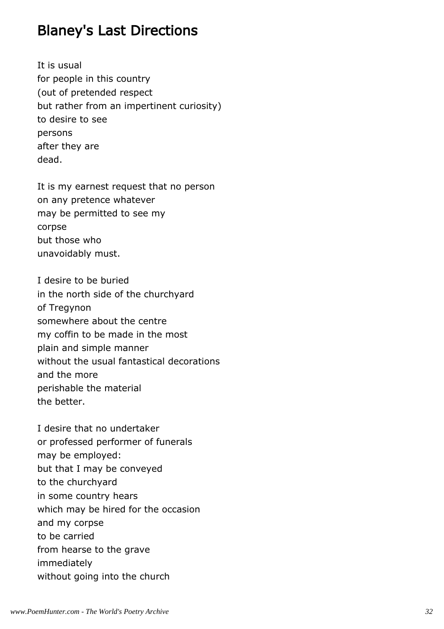### Blaney's Last Directions

It is usual for people in this country (out of pretended respect but rather from an impertinent curiosity) to desire to see persons after they are dead.

It is my earnest request that no person on any pretence whatever may be permitted to see my corpse but those who unavoidably must.

I desire to be buried in the north side of the churchyard of Tregynon somewhere about the centre my coffin to be made in the most plain and simple manner without the usual fantastical decorations and the more perishable the material the better.

I desire that no undertaker or professed performer of funerals may be employed: but that I may be conveyed to the churchyard in some country hears which may be hired for the occasion and my corpse to be carried from hearse to the grave immediately without going into the church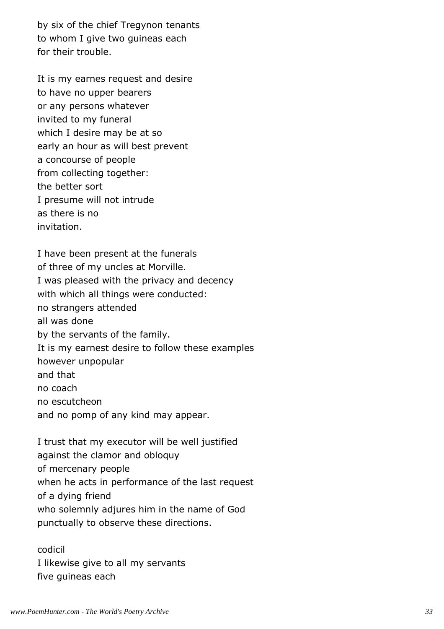by six of the chief Tregynon tenants to whom I give two guineas each for their trouble.

It is my earnes request and desire to have no upper bearers or any persons whatever invited to my funeral which I desire may be at so early an hour as will best prevent a concourse of people from collecting together: the better sort I presume will not intrude as there is no invitation.

I have been present at the funerals of three of my uncles at Morville. I was pleased with the privacy and decency with which all things were conducted: no strangers attended all was done by the servants of the family. It is my earnest desire to follow these examples however unpopular and that no coach no escutcheon and no pomp of any kind may appear.

I trust that my executor will be well justified against the clamor and obloquy of mercenary people when he acts in performance of the last request of a dying friend who solemnly adjures him in the name of God punctually to observe these directions.

codicil I likewise give to all my servants five guineas each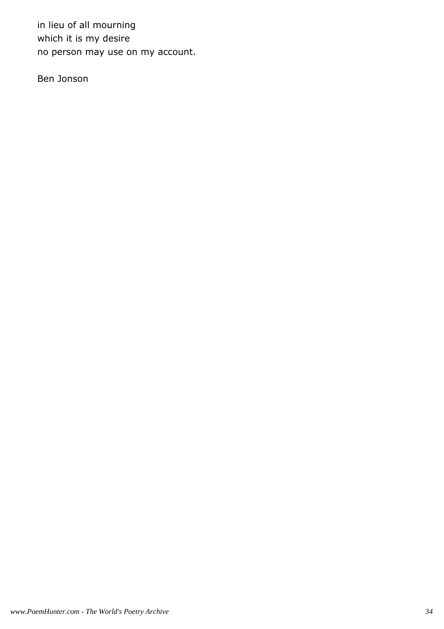in lieu of all mourning which it is my desire no person may use on my account.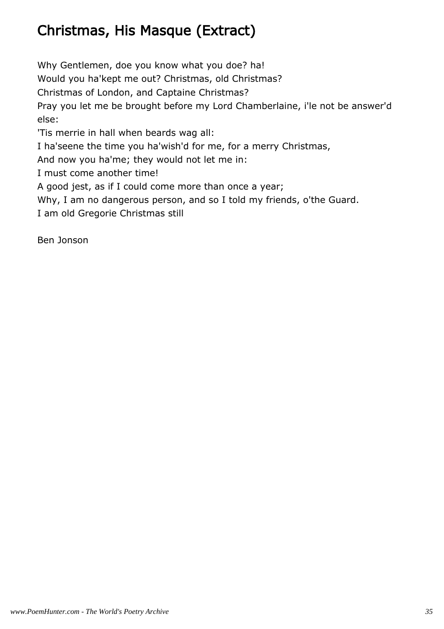# Christmas, His Masque (Extract)

Why Gentlemen, doe you know what you doe? ha! Would you ha'kept me out? Christmas, old Christmas? Christmas of London, and Captaine Christmas? Pray you let me be brought before my Lord Chamberlaine, i'le not be answer'd else: 'Tis merrie in hall when beards wag all: I ha'seene the time you ha'wish'd for me, for a merry Christmas,

And now you ha'me; they would not let me in:

I must come another time!

A good jest, as if I could come more than once a year;

Why, I am no dangerous person, and so I told my friends, o'the Guard.

I am old Gregorie Christmas still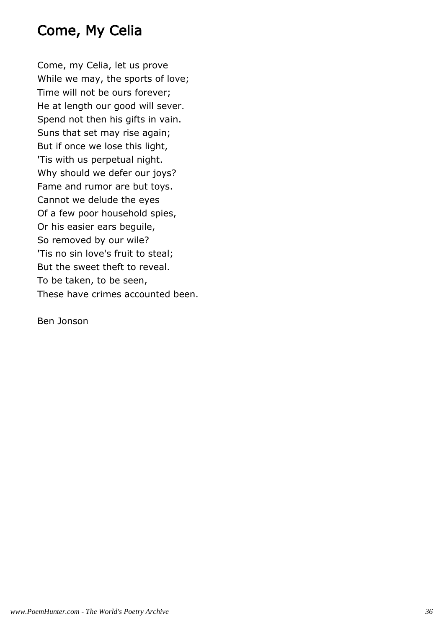### Come, My Celia

Come, my Celia, let us prove While we may, the sports of love; Time will not be ours forever; He at length our good will sever. Spend not then his gifts in vain. Suns that set may rise again; But if once we lose this light, 'Tis with us perpetual night. Why should we defer our joys? Fame and rumor are but toys. Cannot we delude the eyes Of a few poor household spies, Or his easier ears beguile, So removed by our wile? 'Tis no sin love's fruit to steal; But the sweet theft to reveal. To be taken, to be seen, These have crimes accounted been.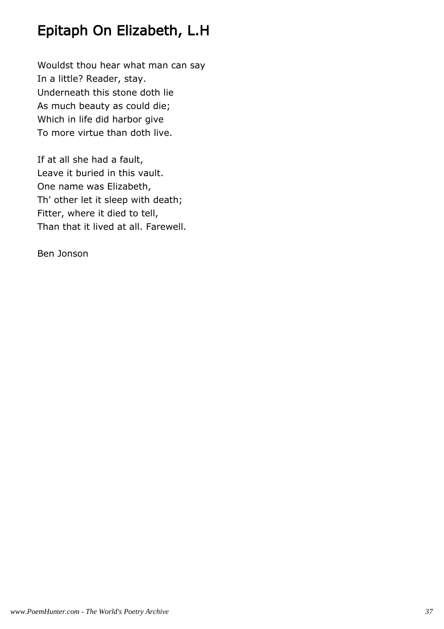# Epitaph On Elizabeth, L.H

Wouldst thou hear what man can say In a little? Reader, stay. Underneath this stone doth lie As much beauty as could die; Which in life did harbor give To more virtue than doth live.

If at all she had a fault, Leave it buried in this vault. One name was Elizabeth, Th' other let it sleep with death; Fitter, where it died to tell, Than that it lived at all. Farewell.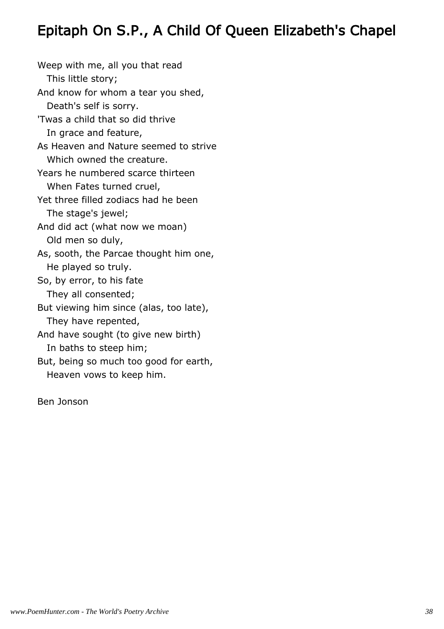# Epitaph On S.P., A Child Of Queen Elizabeth's Chapel

Weep with me, all you that read This little story; And know for whom a tear you shed, Death's self is sorry. 'Twas a child that so did thrive In grace and feature, As Heaven and Nature seemed to strive Which owned the creature. Years he numbered scarce thirteen When Fates turned cruel, Yet three filled zodiacs had he been The stage's jewel; And did act (what now we moan) Old men so duly, As, sooth, the Parcae thought him one, He played so truly. So, by error, to his fate They all consented; But viewing him since (alas, too late), They have repented, And have sought (to give new birth) In baths to steep him; But, being so much too good for earth, Heaven vows to keep him.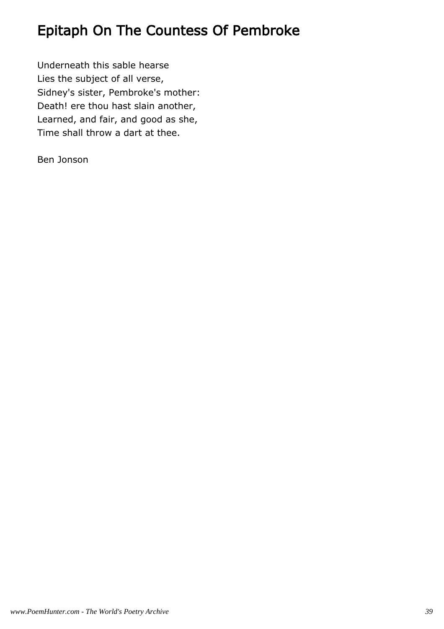# Epitaph On The Countess Of Pembroke

Underneath this sable hearse Lies the subject of all verse, Sidney's sister, Pembroke's mother: Death! ere thou hast slain another, Learned, and fair, and good as she, Time shall throw a dart at thee.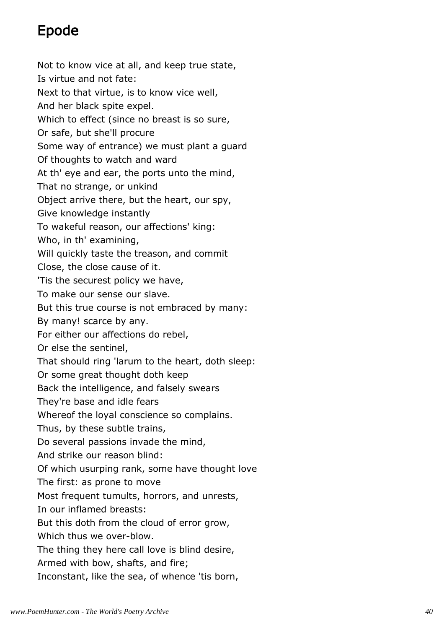# Epode

Not to know vice at all, and keep true state, Is virtue and not fate: Next to that virtue, is to know vice well, And her black spite expel. Which to effect (since no breast is so sure, Or safe, but she'll procure Some way of entrance) we must plant a guard Of thoughts to watch and ward At th' eye and ear, the ports unto the mind, That no strange, or unkind Object arrive there, but the heart, our spy, Give knowledge instantly To wakeful reason, our affections' king: Who, in th' examining, Will quickly taste the treason, and commit Close, the close cause of it. 'Tis the securest policy we have, To make our sense our slave. But this true course is not embraced by many: By many! scarce by any. For either our affections do rebel, Or else the sentinel, That should ring 'larum to the heart, doth sleep: Or some great thought doth keep Back the intelligence, and falsely swears They're base and idle fears Whereof the loyal conscience so complains. Thus, by these subtle trains, Do several passions invade the mind, And strike our reason blind: Of which usurping rank, some have thought love The first: as prone to move Most frequent tumults, horrors, and unrests, In our inflamed breasts: But this doth from the cloud of error grow, Which thus we over-blow. The thing they here call love is blind desire, Armed with bow, shafts, and fire; Inconstant, like the sea, of whence 'tis born,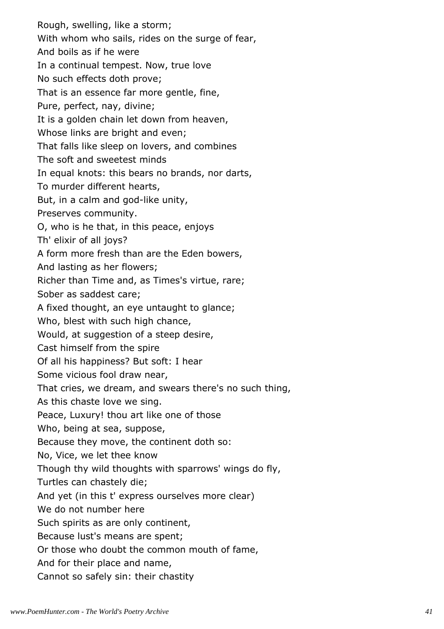Rough, swelling, like a storm; With whom who sails, rides on the surge of fear, And boils as if he were In a continual tempest. Now, true love No such effects doth prove; That is an essence far more gentle, fine, Pure, perfect, nay, divine; It is a golden chain let down from heaven, Whose links are bright and even; That falls like sleep on lovers, and combines The soft and sweetest minds In equal knots: this bears no brands, nor darts, To murder different hearts, But, in a calm and god-like unity, Preserves community. O, who is he that, in this peace, enjoys Th' elixir of all joys? A form more fresh than are the Eden bowers, And lasting as her flowers; Richer than Time and, as Times's virtue, rare; Sober as saddest care; A fixed thought, an eye untaught to glance; Who, blest with such high chance, Would, at suggestion of a steep desire, Cast himself from the spire Of all his happiness? But soft: I hear Some vicious fool draw near, That cries, we dream, and swears there's no such thing, As this chaste love we sing. Peace, Luxury! thou art like one of those Who, being at sea, suppose, Because they move, the continent doth so: No, Vice, we let thee know Though thy wild thoughts with sparrows' wings do fly, Turtles can chastely die; And yet (in this t' express ourselves more clear) We do not number here Such spirits as are only continent, Because lust's means are spent; Or those who doubt the common mouth of fame, And for their place and name, Cannot so safely sin: their chastity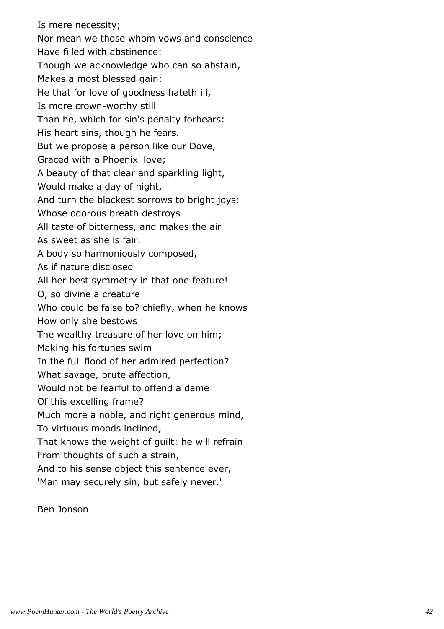Is mere necessity; Nor mean we those whom vows and conscience Have filled with abstinence: Though we acknowledge who can so abstain, Makes a most blessed gain; He that for love of goodness hateth ill, Is more crown-worthy still Than he, which for sin's penalty forbears: His heart sins, though he fears. But we propose a person like our Dove, Graced with a Phoenix' love; A beauty of that clear and sparkling light, Would make a day of night, And turn the blackest sorrows to bright joys: Whose odorous breath destroys All taste of bitterness, and makes the air As sweet as she is fair. A body so harmoniously composed, As if nature disclosed All her best symmetry in that one feature! O, so divine a creature Who could be false to? chiefly, when he knows How only she bestows The wealthy treasure of her love on him; Making his fortunes swim In the full flood of her admired perfection? What savage, brute affection, Would not be fearful to offend a dame Of this excelling frame? Much more a noble, and right generous mind, To virtuous moods inclined, That knows the weight of guilt: he will refrain From thoughts of such a strain, And to his sense object this sentence ever, 'Man may securely sin, but safely never.'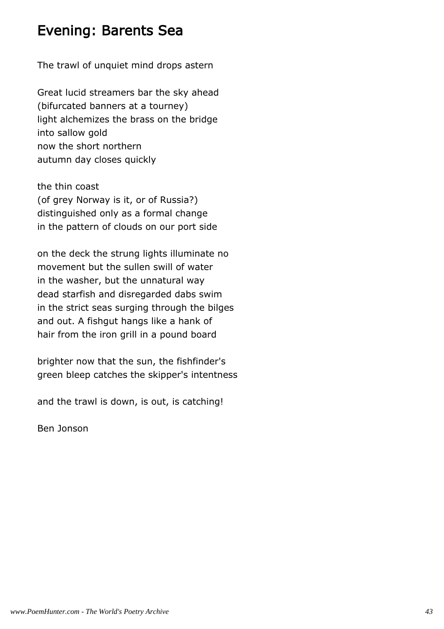#### Evening: Barents Sea

The trawl of unquiet mind drops astern

Great lucid streamers bar the sky ahead (bifurcated banners at a tourney) light alchemizes the brass on the bridge into sallow gold now the short northern autumn day closes quickly

the thin coast (of grey Norway is it, or of Russia?) distinguished only as a formal change in the pattern of clouds on our port side

on the deck the strung lights illuminate no movement but the sullen swill of water in the washer, but the unnatural way dead starfish and disregarded dabs swim in the strict seas surging through the bilges and out. A fishgut hangs like a hank of hair from the iron grill in a pound board

brighter now that the sun, the fishfinder's green bleep catches the skipper's intentness

and the trawl is down, is out, is catching!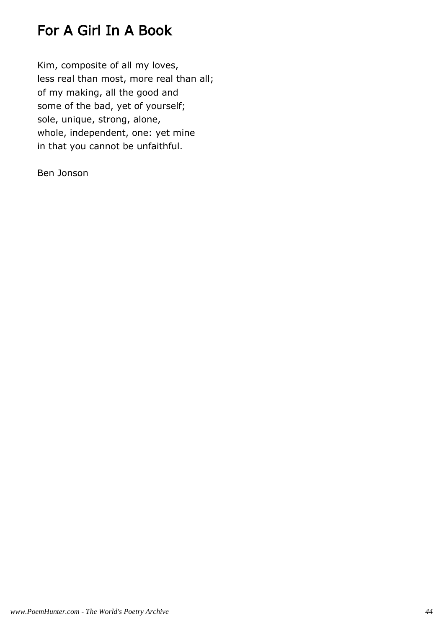# For A Girl In A Book

Kim, composite of all my loves, less real than most, more real than all; of my making, all the good and some of the bad, yet of yourself; sole, unique, strong, alone, whole, independent, one: yet mine in that you cannot be unfaithful.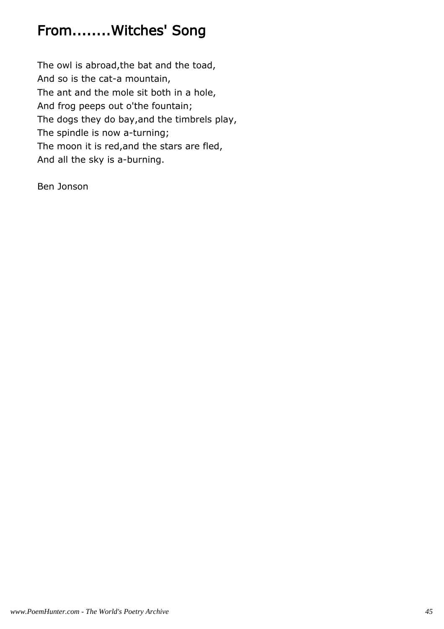## From........Witches' Song

The owl is abroad,the bat and the toad, And so is the cat-a mountain, The ant and the mole sit both in a hole, And frog peeps out o'the fountain; The dogs they do bay,and the timbrels play, The spindle is now a-turning; The moon it is red,and the stars are fled, And all the sky is a-burning.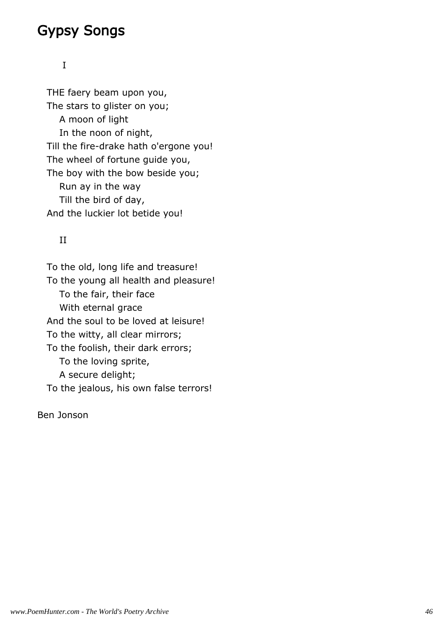### Gypsy Songs

I

 THE faery beam upon you, The stars to glister on you; A moon of light In the noon of night, Till the fire-drake hath o'ergone you! The wheel of fortune guide you, The boy with the bow beside you; Run ay in the way Till the bird of day, And the luckier lot betide you!

#### II

 To the old, long life and treasure! To the young all health and pleasure! To the fair, their face With eternal grace And the soul to be loved at leisure! To the witty, all clear mirrors; To the foolish, their dark errors; To the loving sprite, A secure delight; To the jealous, his own false terrors!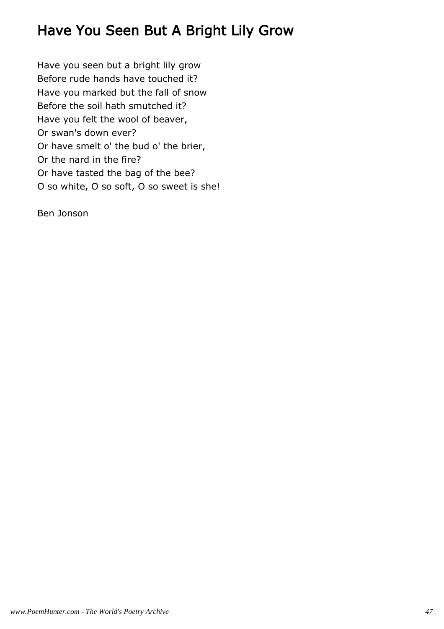# Have You Seen But A Bright Lily Grow

Have you seen but a bright lily grow Before rude hands have touched it? Have you marked but the fall of snow Before the soil hath smutched it? Have you felt the wool of beaver, Or swan's down ever? Or have smelt o' the bud o' the brier, Or the nard in the fire? Or have tasted the bag of the bee? O so white, O so soft, O so sweet is she!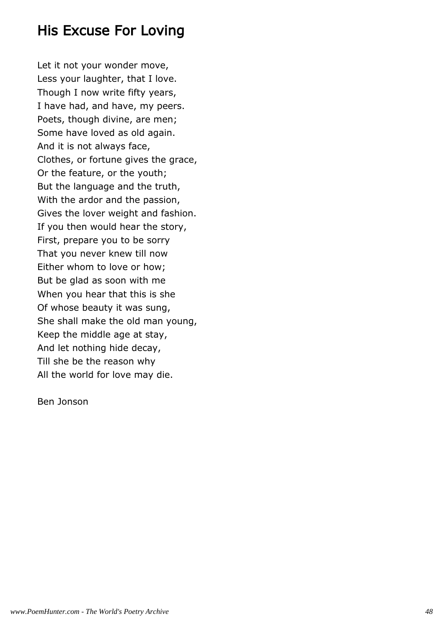### His Excuse For Loving

Let it not your wonder move, Less your laughter, that I love. Though I now write fifty years, I have had, and have, my peers. Poets, though divine, are men; Some have loved as old again. And it is not always face, Clothes, or fortune gives the grace, Or the feature, or the youth; But the language and the truth, With the ardor and the passion, Gives the lover weight and fashion. If you then would hear the story, First, prepare you to be sorry That you never knew till now Either whom to love or how; But be glad as soon with me When you hear that this is she Of whose beauty it was sung, She shall make the old man young, Keep the middle age at stay, And let nothing hide decay, Till she be the reason why All the world for love may die.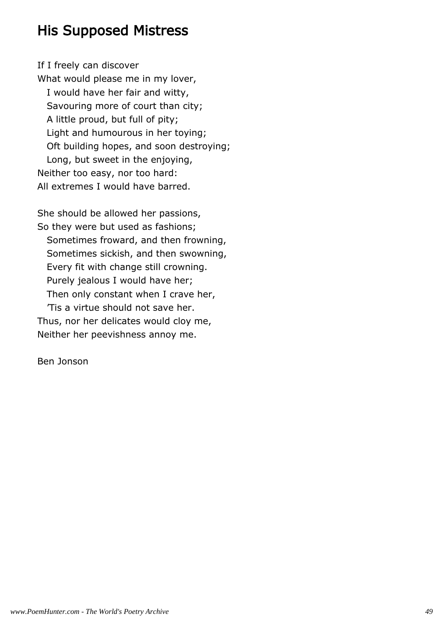### His Supposed Mistress

If I freely can discover What would please me in my lover, I would have her fair and witty, Savouring more of court than city; A little proud, but full of pity; Light and humourous in her toying; Oft building hopes, and soon destroying; Long, but sweet in the enjoying, Neither too easy, nor too hard: All extremes I would have barred.

She should be allowed her passions, So they were but used as fashions; Sometimes froward, and then frowning, Sometimes sickish, and then swowning, Every fit with change still crowning. Purely jealous I would have her; Then only constant when I crave her, 'Tis a virtue should not save her. Thus, nor her delicates would cloy me, Neither her peevishness annoy me.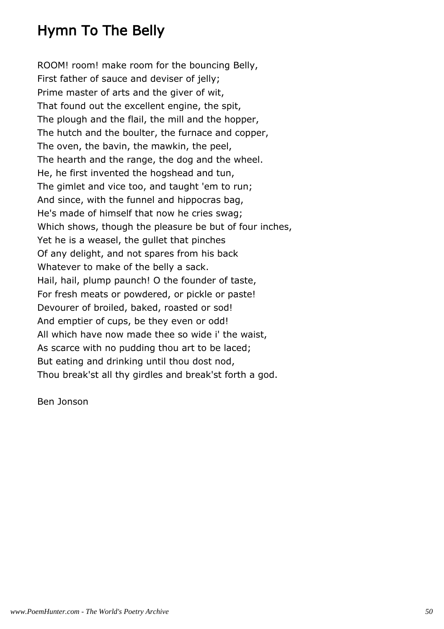# Hymn To The Belly

ROOM! room! make room for the bouncing Belly, First father of sauce and deviser of jelly; Prime master of arts and the giver of wit, That found out the excellent engine, the spit, The plough and the flail, the mill and the hopper, The hutch and the boulter, the furnace and copper, The oven, the bavin, the mawkin, the peel, The hearth and the range, the dog and the wheel. He, he first invented the hogshead and tun, The gimlet and vice too, and taught 'em to run; And since, with the funnel and hippocras bag, He's made of himself that now he cries swag; Which shows, though the pleasure be but of four inches, Yet he is a weasel, the gullet that pinches Of any delight, and not spares from his back Whatever to make of the belly a sack. Hail, hail, plump paunch! O the founder of taste, For fresh meats or powdered, or pickle or paste! Devourer of broiled, baked, roasted or sod! And emptier of cups, be they even or odd! All which have now made thee so wide i' the waist, As scarce with no pudding thou art to be laced; But eating and drinking until thou dost nod, Thou break'st all thy girdles and break'st forth a god.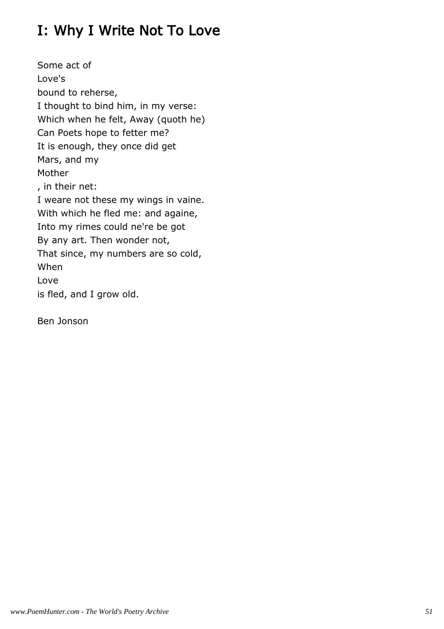# I: Why I Write Not To Love

Some act of Love's bound to reherse, I thought to bind him, in my verse: Which when he felt, Away (quoth he) Can Poets hope to fetter me? It is enough, they once did get Mars, and my Mother , in their net: I weare not these my wings in vaine. With which he fled me: and againe, Into my rimes could ne're be got By any art. Then wonder not, That since, my numbers are so cold, When Love is fled, and I grow old.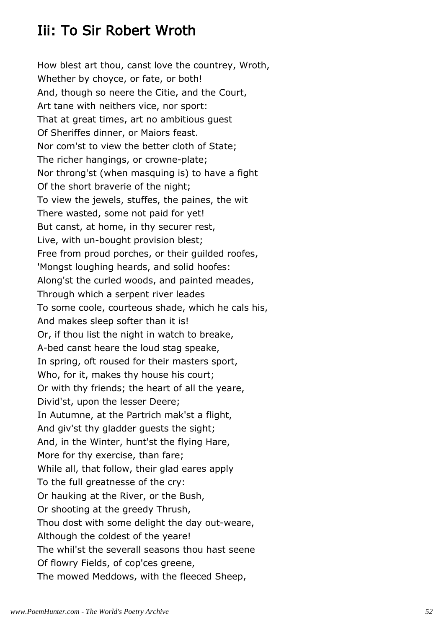# Iii: To Sir Robert Wroth

How blest art thou, canst love the countrey, Wroth, Whether by choyce, or fate, or both! And, though so neere the Citie, and the Court, Art tane with neithers vice, nor sport: That at great times, art no ambitious guest Of Sheriffes dinner, or Maiors feast. Nor com'st to view the better cloth of State; The richer hangings, or crowne-plate; Nor throng'st (when masquing is) to have a fight Of the short braverie of the night; To view the jewels, stuffes, the paines, the wit There wasted, some not paid for yet! But canst, at home, in thy securer rest, Live, with un-bought provision blest; Free from proud porches, or their guilded roofes, 'Mongst loughing heards, and solid hoofes: Along'st the curled woods, and painted meades, Through which a serpent river leades To some coole, courteous shade, which he cals his, And makes sleep softer than it is! Or, if thou list the night in watch to breake, A-bed canst heare the loud stag speake, In spring, oft roused for their masters sport, Who, for it, makes thy house his court; Or with thy friends; the heart of all the yeare, Divid'st, upon the lesser Deere; In Autumne, at the Partrich mak'st a flight, And giv'st thy gladder guests the sight; And, in the Winter, hunt'st the flying Hare, More for thy exercise, than fare; While all, that follow, their glad eares apply To the full greatnesse of the cry: Or hauking at the River, or the Bush, Or shooting at the greedy Thrush, Thou dost with some delight the day out-weare, Although the coldest of the yeare! The whil'st the severall seasons thou hast seene Of flowry Fields, of cop'ces greene, The mowed Meddows, with the fleeced Sheep,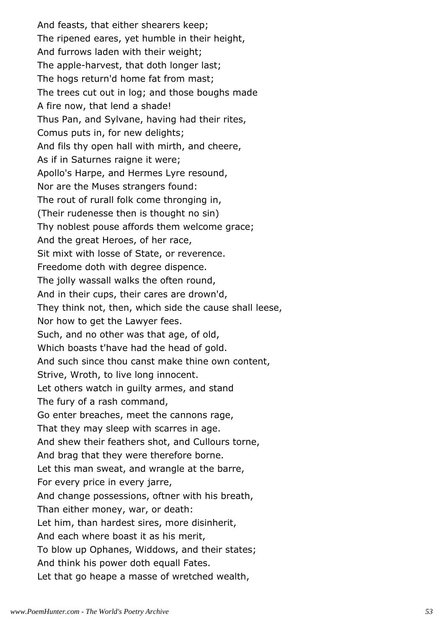And feasts, that either shearers keep; The ripened eares, yet humble in their height, And furrows laden with their weight; The apple-harvest, that doth longer last; The hogs return'd home fat from mast; The trees cut out in log; and those boughs made A fire now, that lend a shade! Thus Pan, and Sylvane, having had their rites, Comus puts in, for new delights; And fils thy open hall with mirth, and cheere, As if in Saturnes raigne it were; Apollo's Harpe, and Hermes Lyre resound, Nor are the Muses strangers found: The rout of rurall folk come thronging in, (Their rudenesse then is thought no sin) Thy noblest pouse affords them welcome grace; And the great Heroes, of her race, Sit mixt with losse of State, or reverence. Freedome doth with degree dispence. The jolly wassall walks the often round, And in their cups, their cares are drown'd, They think not, then, which side the cause shall leese, Nor how to get the Lawyer fees. Such, and no other was that age, of old, Which boasts t'have had the head of gold. And such since thou canst make thine own content, Strive, Wroth, to live long innocent. Let others watch in guilty armes, and stand The fury of a rash command, Go enter breaches, meet the cannons rage, That they may sleep with scarres in age. And shew their feathers shot, and Cullours torne, And brag that they were therefore borne. Let this man sweat, and wrangle at the barre, For every price in every jarre, And change possessions, oftner with his breath, Than either money, war, or death: Let him, than hardest sires, more disinherit, And each where boast it as his merit, To blow up Ophanes, Widdows, and their states; And think his power doth equall Fates. Let that go heape a masse of wretched wealth,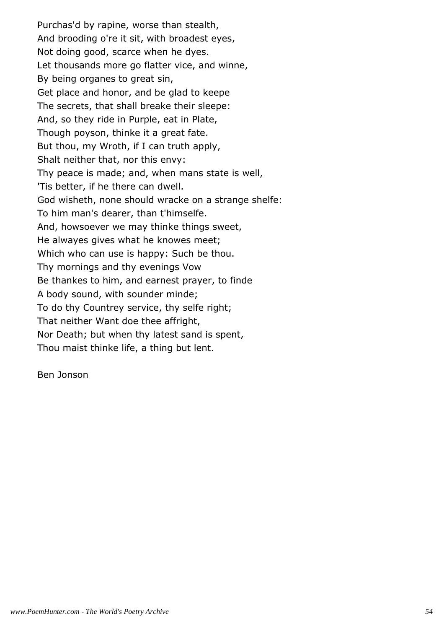Purchas'd by rapine, worse than stealth, And brooding o're it sit, with broadest eyes, Not doing good, scarce when he dyes. Let thousands more go flatter vice, and winne, By being organes to great sin, Get place and honor, and be glad to keepe The secrets, that shall breake their sleepe: And, so they ride in Purple, eat in Plate, Though poyson, thinke it a great fate. But thou, my Wroth, if I can truth apply, Shalt neither that, nor this envy: Thy peace is made; and, when mans state is well, 'Tis better, if he there can dwell. God wisheth, none should wracke on a strange shelfe: To him man's dearer, than t'himselfe. And, howsoever we may thinke things sweet, He alwayes gives what he knowes meet; Which who can use is happy: Such be thou. Thy mornings and thy evenings Vow Be thankes to him, and earnest prayer, to finde A body sound, with sounder minde; To do thy Countrey service, thy selfe right; That neither Want doe thee affright, Nor Death; but when thy latest sand is spent, Thou maist thinke life, a thing but lent.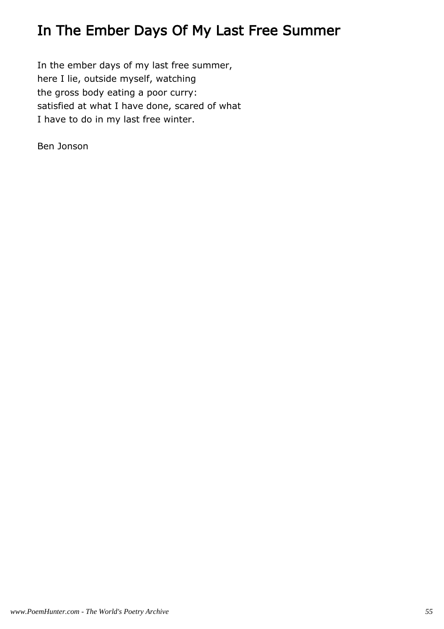# In The Ember Days Of My Last Free Summer

In the ember days of my last free summer, here I lie, outside myself, watching the gross body eating a poor curry: satisfied at what I have done, scared of what I have to do in my last free winter.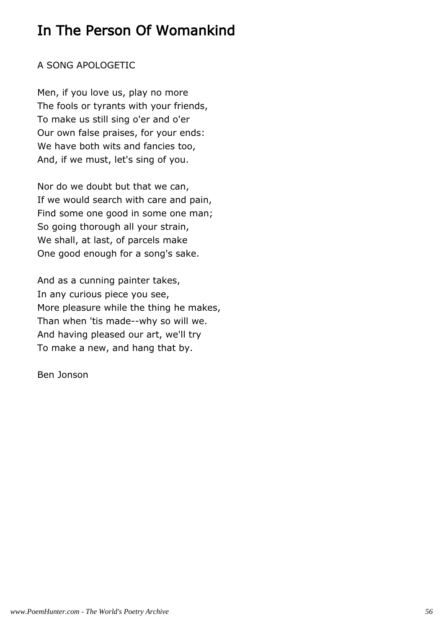# In The Person Of Womankind

#### A SONG APOLOGETIC

Men, if you love us, play no more The fools or tyrants with your friends, To make us still sing o'er and o'er Our own false praises, for your ends: We have both wits and fancies too, And, if we must, let's sing of you.

Nor do we doubt but that we can, If we would search with care and pain, Find some one good in some one man; So going thorough all your strain, We shall, at last, of parcels make One good enough for a song's sake.

And as a cunning painter takes, In any curious piece you see, More pleasure while the thing he makes, Than when 'tis made--why so will we. And having pleased our art, we'll try To make a new, and hang that by.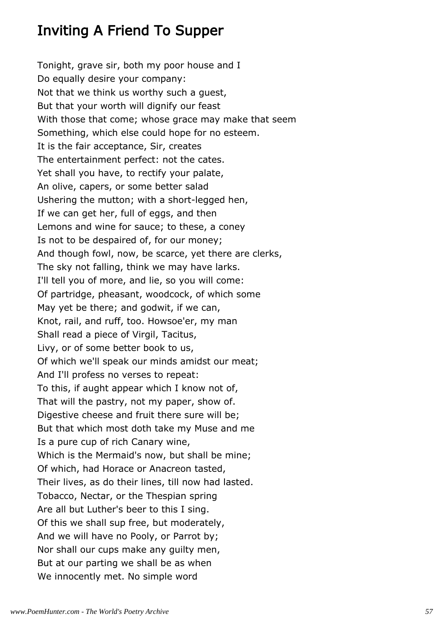### Inviting A Friend To Supper

Tonight, grave sir, both my poor house and I Do equally desire your company: Not that we think us worthy such a guest, But that your worth will dignify our feast With those that come; whose grace may make that seem Something, which else could hope for no esteem. It is the fair acceptance, Sir, creates The entertainment perfect: not the cates. Yet shall you have, to rectify your palate, An olive, capers, or some better salad Ushering the mutton; with a short-legged hen, If we can get her, full of eggs, and then Lemons and wine for sauce; to these, a coney Is not to be despaired of, for our money; And though fowl, now, be scarce, yet there are clerks, The sky not falling, think we may have larks. I'll tell you of more, and lie, so you will come: Of partridge, pheasant, woodcock, of which some May yet be there; and godwit, if we can, Knot, rail, and ruff, too. Howsoe'er, my man Shall read a piece of Virgil, Tacitus, Livy, or of some better book to us, Of which we'll speak our minds amidst our meat; And I'll profess no verses to repeat: To this, if aught appear which I know not of, That will the pastry, not my paper, show of. Digestive cheese and fruit there sure will be; But that which most doth take my Muse and me Is a pure cup of rich Canary wine, Which is the Mermaid's now, but shall be mine; Of which, had Horace or Anacreon tasted, Their lives, as do their lines, till now had lasted. Tobacco, Nectar, or the Thespian spring Are all but Luther's beer to this I sing. Of this we shall sup free, but moderately, And we will have no Pooly, or Parrot by; Nor shall our cups make any guilty men, But at our parting we shall be as when We innocently met. No simple word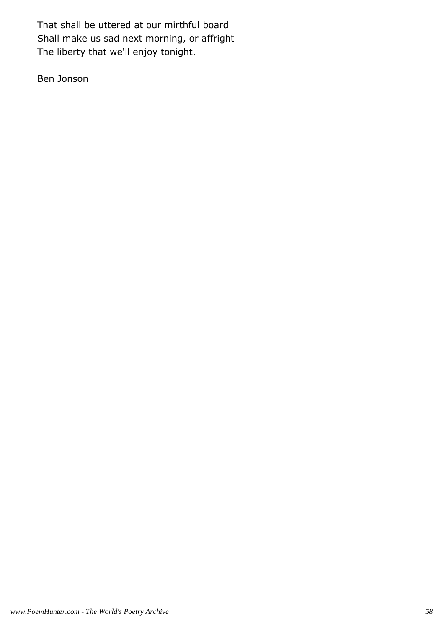That shall be uttered at our mirthful board Shall make us sad next morning, or affright The liberty that we'll enjoy tonight.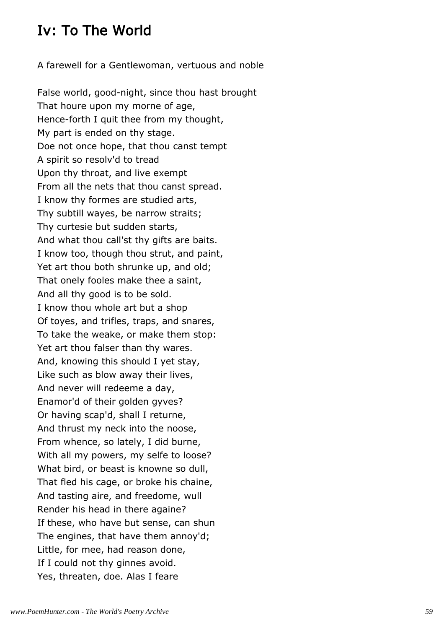# Iv: To The World

A farewell for a Gentlewoman, vertuous and noble

False world, good-night, since thou hast brought That houre upon my morne of age, Hence-forth I quit thee from my thought, My part is ended on thy stage. Doe not once hope, that thou canst tempt A spirit so resolv'd to tread Upon thy throat, and live exempt From all the nets that thou canst spread. I know thy formes are studied arts, Thy subtill wayes, be narrow straits; Thy curtesie but sudden starts, And what thou call'st thy gifts are baits. I know too, though thou strut, and paint, Yet art thou both shrunke up, and old; That onely fooles make thee a saint, And all thy good is to be sold. I know thou whole art but a shop Of toyes, and trifles, traps, and snares, To take the weake, or make them stop: Yet art thou falser than thy wares. And, knowing this should I yet stay, Like such as blow away their lives, And never will redeeme a day, Enamor'd of their golden gyves? Or having scap'd, shall I returne, And thrust my neck into the noose, From whence, so lately, I did burne, With all my powers, my selfe to loose? What bird, or beast is knowne so dull, That fled his cage, or broke his chaine, And tasting aire, and freedome, wull Render his head in there againe? If these, who have but sense, can shun The engines, that have them annoy'd; Little, for mee, had reason done, If I could not thy ginnes avoid. Yes, threaten, doe. Alas I feare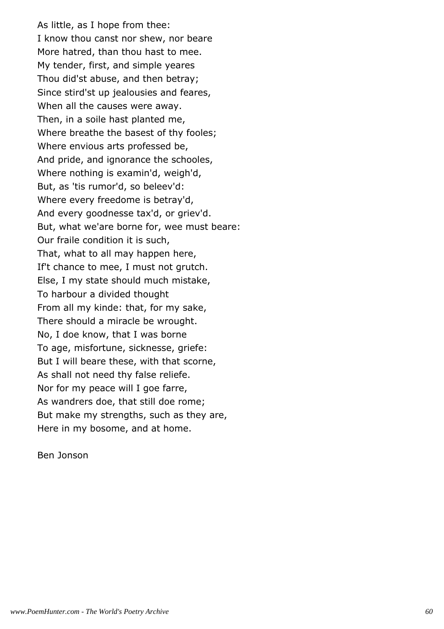As little, as I hope from thee: I know thou canst nor shew, nor beare More hatred, than thou hast to mee. My tender, first, and simple yeares Thou did'st abuse, and then betray; Since stird'st up jealousies and feares, When all the causes were away. Then, in a soile hast planted me, Where breathe the basest of thy fooles; Where envious arts professed be, And pride, and ignorance the schooles, Where nothing is examin'd, weigh'd, But, as 'tis rumor'd, so beleev'd: Where every freedome is betray'd, And every goodnesse tax'd, or griev'd. But, what we'are borne for, wee must beare: Our fraile condition it is such, That, what to all may happen here, If't chance to mee, I must not grutch. Else, I my state should much mistake, To harbour a divided thought From all my kinde: that, for my sake, There should a miracle be wrought. No, I doe know, that I was borne To age, misfortune, sicknesse, griefe: But I will beare these, with that scorne, As shall not need thy false reliefe. Nor for my peace will I goe farre, As wandrers doe, that still doe rome; But make my strengths, such as they are, Here in my bosome, and at home.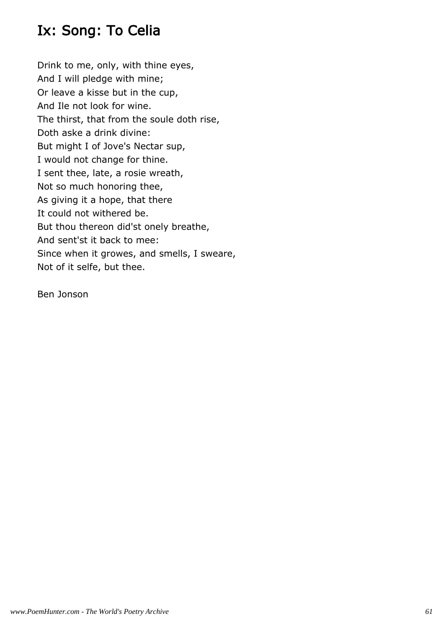# Ix: Song: To Celia

Drink to me, only, with thine eyes, And I will pledge with mine; Or leave a kisse but in the cup, And Ile not look for wine. The thirst, that from the soule doth rise, Doth aske a drink divine: But might I of Jove's Nectar sup, I would not change for thine. I sent thee, late, a rosie wreath, Not so much honoring thee, As giving it a hope, that there It could not withered be. But thou thereon did'st onely breathe, And sent'st it back to mee: Since when it growes, and smells, I sweare, Not of it selfe, but thee.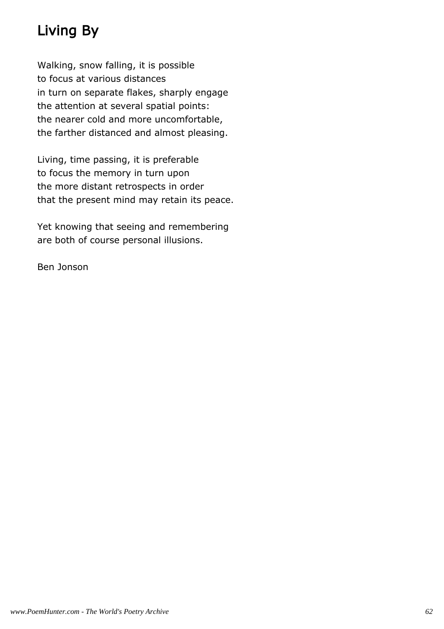# Living By

Walking, snow falling, it is possible to focus at various distances in turn on separate flakes, sharply engage the attention at several spatial points: the nearer cold and more uncomfortable, the farther distanced and almost pleasing.

Living, time passing, it is preferable to focus the memory in turn upon the more distant retrospects in order that the present mind may retain its peace.

Yet knowing that seeing and remembering are both of course personal illusions.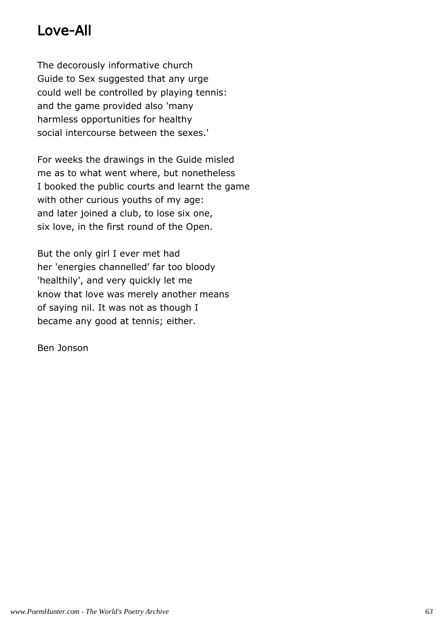# Love-All

The decorously informative church Guide to Sex suggested that any urge could well be controlled by playing tennis: and the game provided also 'many harmless opportunities for healthy social intercourse between the sexes.'

For weeks the drawings in the Guide misled me as to what went where, but nonetheless I booked the public courts and learnt the game with other curious youths of my age: and later joined a club, to lose six one, six love, in the first round of the Open.

But the only girl I ever met had her 'energies channelled' far too bloody 'healthily', and very quickly let me know that love was merely another means of saying nil. It was not as though I became any good at tennis; either.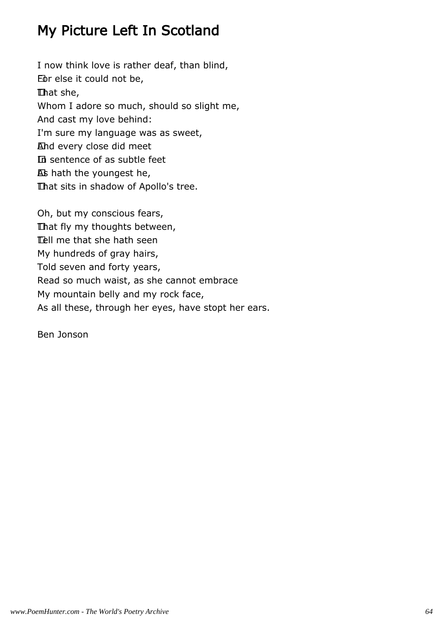# My Picture Left In Scotland

I now think love is rather deaf, than blind, For else it could not be, That she, Whom I adore so much, should so slight me, And cast my love behind: I'm sure my language was as sweet, And every close did meet In sentence of as subtle feet As hath the youngest he, That sits in shadow of Apollo's tree.

Oh, but my conscious fears, That fly my thoughts between, Tell me that she hath seen My hundreds of gray hairs, Told seven and forty years, Read so much waist, as she cannot embrace My mountain belly and my rock face, As all these, through her eyes, have stopt her ears.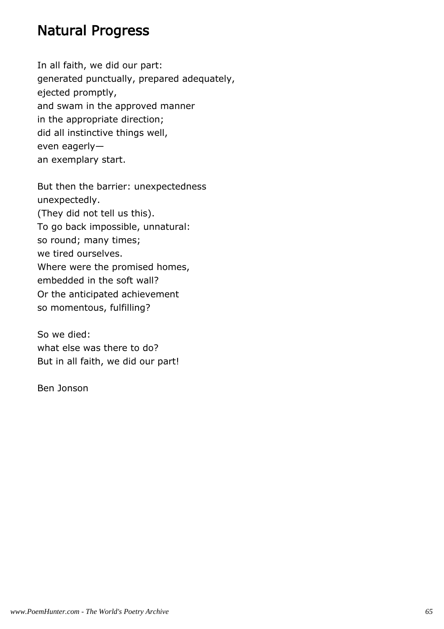### Natural Progress

In all faith, we did our part: generated punctually, prepared adequately, ejected promptly, and swam in the approved manner in the appropriate direction; did all instinctive things well, even eagerly an exemplary start.

But then the barrier: unexpectedness unexpectedly. (They did not tell us this). To go back impossible, unnatural: so round; many times; we tired ourselves. Where were the promised homes, embedded in the soft wall? Or the anticipated achievement so momentous, fulfilling?

So we died: what else was there to do? But in all faith, we did our part!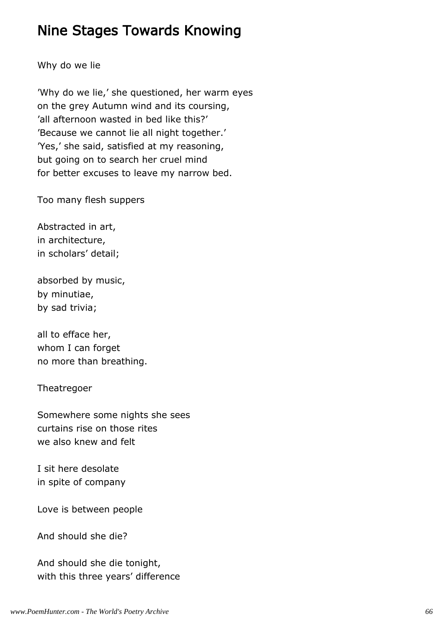### Nine Stages Towards Knowing

Why do we lie

'Why do we lie,' she questioned, her warm eyes on the grey Autumn wind and its coursing, 'all afternoon wasted in bed like this?' 'Because we cannot lie all night together.' 'Yes,' she said, satisfied at my reasoning, but going on to search her cruel mind for better excuses to leave my narrow bed.

Too many flesh suppers

Abstracted in art, in architecture, in scholars' detail;

absorbed by music, by minutiae, by sad trivia;

all to efface her, whom I can forget no more than breathing.

#### Theatregoer

Somewhere some nights she sees curtains rise on those rites we also knew and felt

I sit here desolate in spite of company

Love is between people

And should she die?

And should she die tonight, with this three years' difference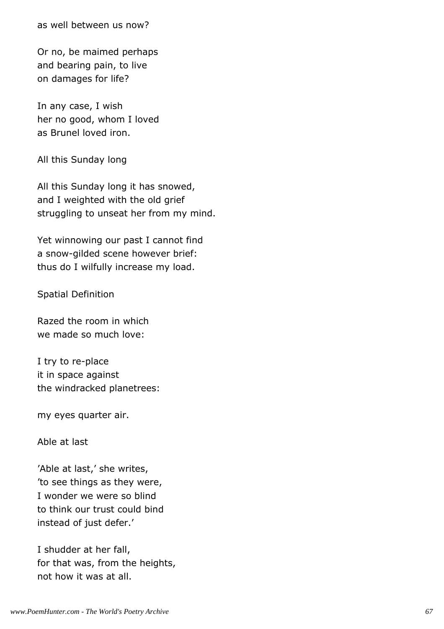as well between us now?

Or no, be maimed perhaps and bearing pain, to live on damages for life?

In any case, I wish her no good, whom I loved as Brunel loved iron.

All this Sunday long

All this Sunday long it has snowed, and I weighted with the old grief struggling to unseat her from my mind.

Yet winnowing our past I cannot find a snow-gilded scene however brief: thus do I wilfully increase my load.

Spatial Definition

Razed the room in which we made so much love:

I try to re-place it in space against the windracked planetrees:

my eyes quarter air.

Able at last

'Able at last,' she writes, 'to see things as they were, I wonder we were so blind to think our trust could bind instead of just defer.'

I shudder at her fall, for that was, from the heights, not how it was at all.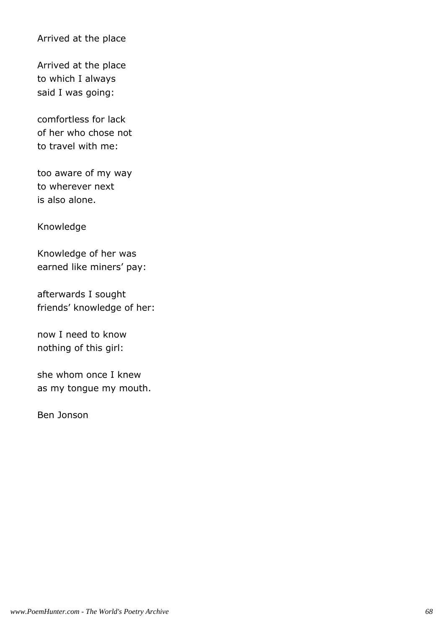Arrived at the place

Arrived at the place to which I always said I was going:

comfortless for lack of her who chose not to travel with me:

too aware of my way to wherever next is also alone.

Knowledge

Knowledge of her was earned like miners' pay:

afterwards I sought friends' knowledge of her:

now I need to know nothing of this girl:

she whom once I knew as my tongue my mouth.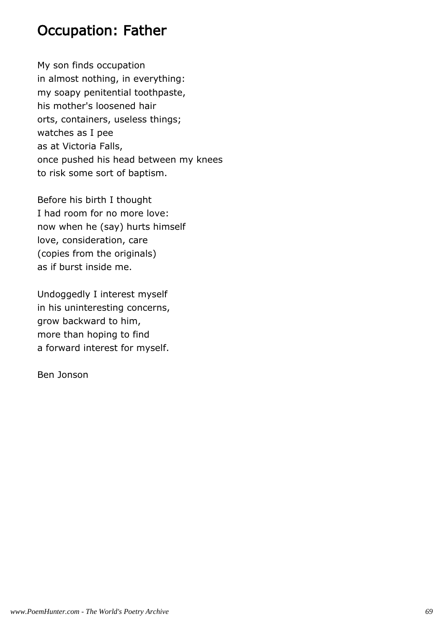### Occupation: Father

My son finds occupation in almost nothing, in everything: my soapy penitential toothpaste, his mother's loosened hair orts, containers, useless things; watches as I pee as at Victoria Falls, once pushed his head between my knees to risk some sort of baptism.

Before his birth I thought I had room for no more love: now when he (say) hurts himself love, consideration, care (copies from the originals) as if burst inside me.

Undoggedly I interest myself in his uninteresting concerns, grow backward to him, more than hoping to find a forward interest for myself.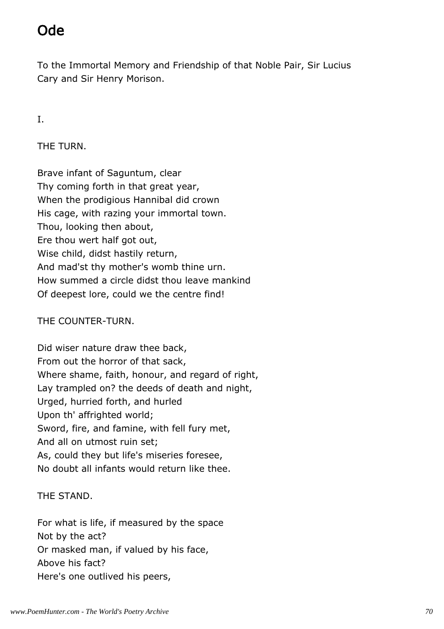# Ode

To the Immortal Memory and Friendship of that Noble Pair, Sir Lucius Cary and Sir Henry Morison.

#### I.

THE TURN.

Brave infant of Saguntum, clear Thy coming forth in that great year, When the prodigious Hannibal did crown His cage, with razing your immortal town. Thou, looking then about, Ere thou wert half got out, Wise child, didst hastily return, And mad'st thy mother's womb thine urn. How summed a circle didst thou leave mankind Of deepest lore, could we the centre find!

THE COUNTER-TURN.

Did wiser nature draw thee back, From out the horror of that sack, Where shame, faith, honour, and regard of right, Lay trampled on? the deeds of death and night, Urged, hurried forth, and hurled Upon th' affrighted world; Sword, fire, and famine, with fell fury met, And all on utmost ruin set; As, could they but life's miseries foresee, No doubt all infants would return like thee.

#### THE STAND.

For what is life, if measured by the space Not by the act? Or masked man, if valued by his face, Above his fact? Here's one outlived his peers,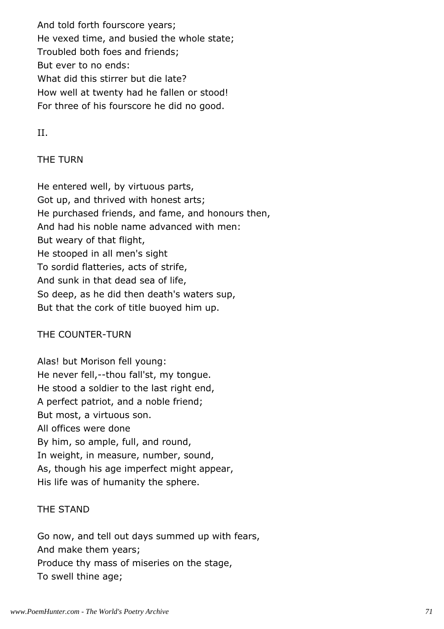And told forth fourscore years; He vexed time, and busied the whole state; Troubled both foes and friends; But ever to no ends: What did this stirrer but die late? How well at twenty had he fallen or stood! For three of his fourscore he did no good.

#### II.

#### THE TURN

He entered well, by virtuous parts, Got up, and thrived with honest arts; He purchased friends, and fame, and honours then, And had his noble name advanced with men: But weary of that flight, He stooped in all men's sight To sordid flatteries, acts of strife, And sunk in that dead sea of life, So deep, as he did then death's waters sup, But that the cork of title buoyed him up.

THE COUNTER-TURN

Alas! but Morison fell young: He never fell,--thou fall'st, my tongue. He stood a soldier to the last right end, A perfect patriot, and a noble friend; But most, a virtuous son. All offices were done By him, so ample, full, and round, In weight, in measure, number, sound, As, though his age imperfect might appear, His life was of humanity the sphere.

#### THE STAND

Go now, and tell out days summed up with fears, And make them years; Produce thy mass of miseries on the stage, To swell thine age;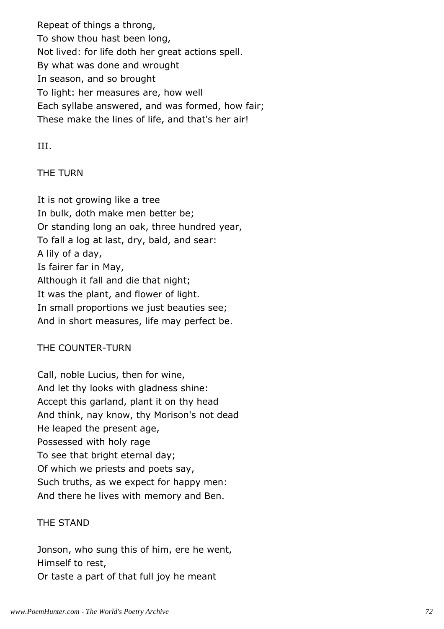Repeat of things a throng, To show thou hast been long, Not lived: for life doth her great actions spell. By what was done and wrought In season, and so brought To light: her measures are, how well Each syllabe answered, and was formed, how fair; These make the lines of life, and that's her air!

III.

### THE TURN

It is not growing like a tree In bulk, doth make men better be; Or standing long an oak, three hundred year, To fall a log at last, dry, bald, and sear: A lily of a day, Is fairer far in May, Although it fall and die that night; It was the plant, and flower of light. In small proportions we just beauties see; And in short measures, life may perfect be.

THE COUNTER-TURN

Call, noble Lucius, then for wine, And let thy looks with gladness shine: Accept this garland, plant it on thy head And think, nay know, thy Morison's not dead He leaped the present age, Possessed with holy rage To see that bright eternal day; Of which we priests and poets say, Such truths, as we expect for happy men: And there he lives with memory and Ben.

THE STAND

Jonson, who sung this of him, ere he went, Himself to rest, Or taste a part of that full joy he meant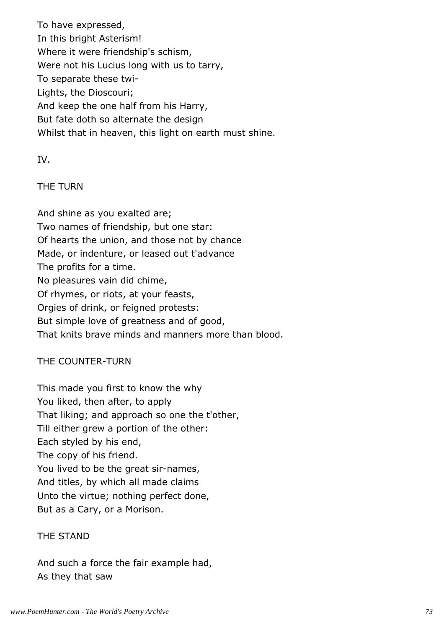To have expressed, In this bright Asterism! Where it were friendship's schism, Were not his Lucius long with us to tarry, To separate these twi-Lights, the Dioscouri; And keep the one half from his Harry, But fate doth so alternate the design Whilst that in heaven, this light on earth must shine.

IV.

THE TURN

And shine as you exalted are; Two names of friendship, but one star: Of hearts the union, and those not by chance Made, or indenture, or leased out t'advance The profits for a time. No pleasures vain did chime, Of rhymes, or riots, at your feasts, Orgies of drink, or feigned protests: But simple love of greatness and of good, That knits brave minds and manners more than blood.

THE COUNTER-TURN

This made you first to know the why You liked, then after, to apply That liking; and approach so one the t'other, Till either grew a portion of the other: Each styled by his end, The copy of his friend. You lived to be the great sir-names, And titles, by which all made claims Unto the virtue; nothing perfect done, But as a Cary, or a Morison.

### THE STAND

And such a force the fair example had, As they that saw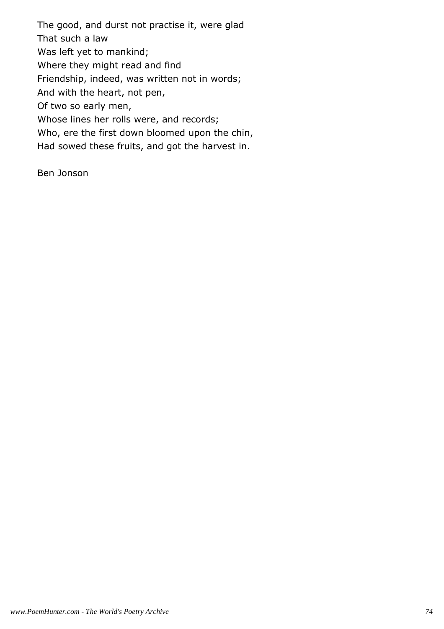The good, and durst not practise it, were glad That such a law Was left yet to mankind; Where they might read and find Friendship, indeed, was written not in words; And with the heart, not pen, Of two so early men, Whose lines her rolls were, and records; Who, ere the first down bloomed upon the chin, Had sowed these fruits, and got the harvest in.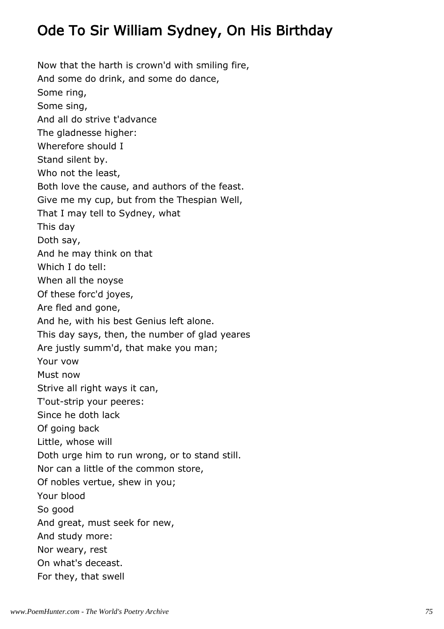# Ode To Sir William Sydney, On His Birthday

Now that the harth is crown'd with smiling fire, And some do drink, and some do dance, Some ring, Some sing, And all do strive t'advance The gladnesse higher: Wherefore should I Stand silent by. Who not the least, Both love the cause, and authors of the feast. Give me my cup, but from the Thespian Well, That I may tell to Sydney, what This day Doth say, And he may think on that Which I do tell: When all the noyse Of these forc'd joyes, Are fled and gone, And he, with his best Genius left alone. This day says, then, the number of glad yeares Are justly summ'd, that make you man; Your vow Must now Strive all right ways it can, T'out-strip your peeres: Since he doth lack Of going back Little, whose will Doth urge him to run wrong, or to stand still. Nor can a little of the common store, Of nobles vertue, shew in you; Your blood So good And great, must seek for new, And study more: Nor weary, rest On what's deceast. For they, that swell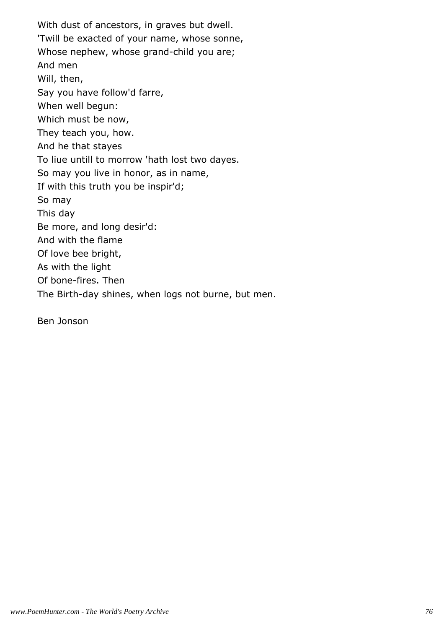With dust of ancestors, in graves but dwell. 'Twill be exacted of your name, whose sonne, Whose nephew, whose grand-child you are; And men Will, then, Say you have follow'd farre, When well begun: Which must be now, They teach you, how. And he that stayes To liue untill to morrow 'hath lost two dayes. So may you live in honor, as in name, If with this truth you be inspir'd; So may This day Be more, and long desir'd: And with the flame Of love bee bright, As with the light Of bone-fires. Then The Birth-day shines, when logs not burne, but men.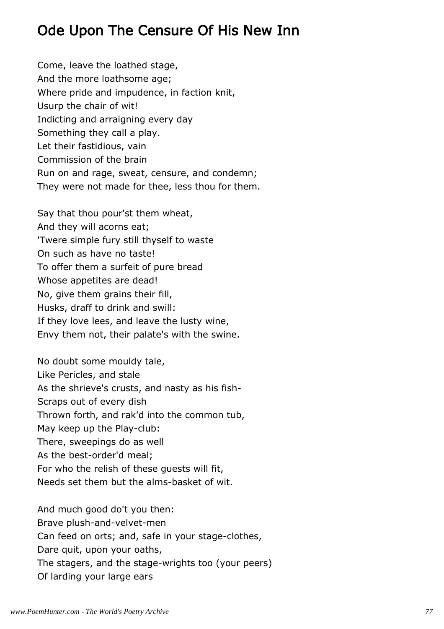### Ode Upon The Censure Of His New Inn

Come, leave the loathed stage, And the more loathsome age; Where pride and impudence, in faction knit, Usurp the chair of wit! Indicting and arraigning every day Something they call a play. Let their fastidious, vain Commission of the brain Run on and rage, sweat, censure, and condemn; They were not made for thee, less thou for them.

Say that thou pour'st them wheat, And they will acorns eat; 'Twere simple fury still thyself to waste On such as have no taste! To offer them a surfeit of pure bread Whose appetites are dead! No, give them grains their fill, Husks, draff to drink and swill: If they love lees, and leave the lusty wine, Envy them not, their palate's with the swine.

No doubt some mouldy tale, Like Pericles, and stale As the shrieve's crusts, and nasty as his fish-Scraps out of every dish Thrown forth, and rak'd into the common tub, May keep up the Play-club: There, sweepings do as well As the best-order'd meal; For who the relish of these guests will fit, Needs set them but the alms-basket of wit.

And much good do't you then: Brave plush-and-velvet-men Can feed on orts; and, safe in your stage-clothes, Dare quit, upon your oaths, The stagers, and the stage-wrights too (your peers) Of larding your large ears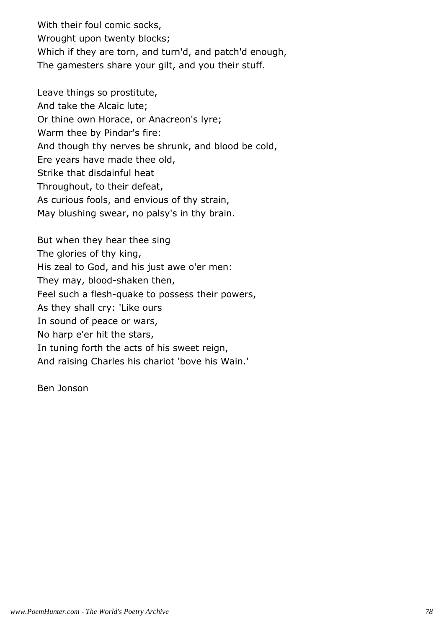With their foul comic socks, Wrought upon twenty blocks; Which if they are torn, and turn'd, and patch'd enough, The gamesters share your gilt, and you their stuff.

Leave things so prostitute, And take the Alcaic lute; Or thine own Horace, or Anacreon's lyre; Warm thee by Pindar's fire: And though thy nerves be shrunk, and blood be cold, Ere years have made thee old, Strike that disdainful heat Throughout, to their defeat, As curious fools, and envious of thy strain, May blushing swear, no palsy's in thy brain.

But when they hear thee sing

- The glories of thy king,
- His zeal to God, and his just awe o'er men:

They may, blood-shaken then,

Feel such a flesh-quake to possess their powers,

As they shall cry: 'Like ours

In sound of peace or wars,

No harp e'er hit the stars,

In tuning forth the acts of his sweet reign,

And raising Charles his chariot 'bove his Wain.'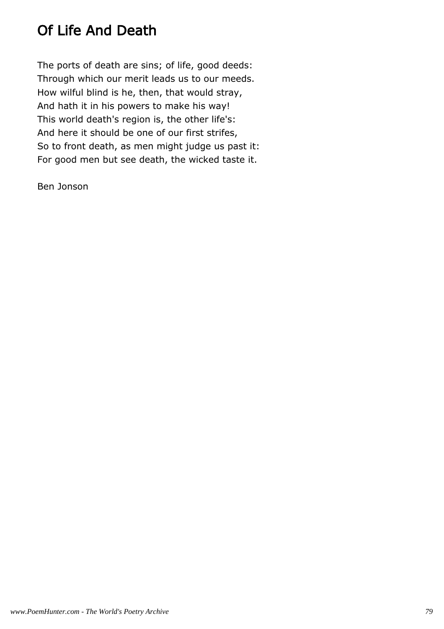# Of Life And Death

The ports of death are sins; of life, good deeds: Through which our merit leads us to our meeds. How wilful blind is he, then, that would stray, And hath it in his powers to make his way! This world death's region is, the other life's: And here it should be one of our first strifes, So to front death, as men might judge us past it: For good men but see death, the wicked taste it.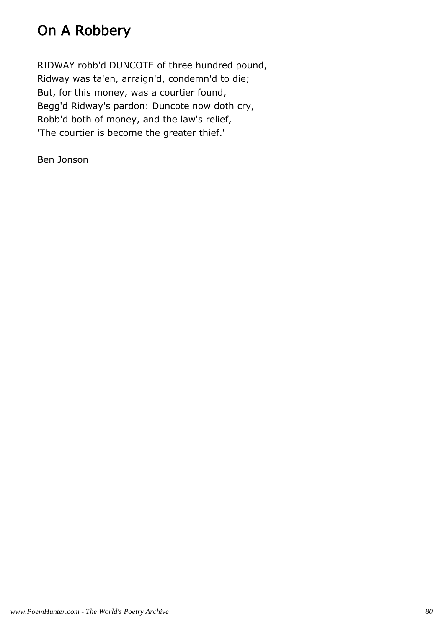# On A Robbery

RIDWAY robb'd DUNCOTE of three hundred pound, Ridway was ta'en, arraign'd, condemn'd to die; But, for this money, was a courtier found, Begg'd Ridway's pardon: Duncote now doth cry, Robb'd both of money, and the law's relief, 'The courtier is become the greater thief.'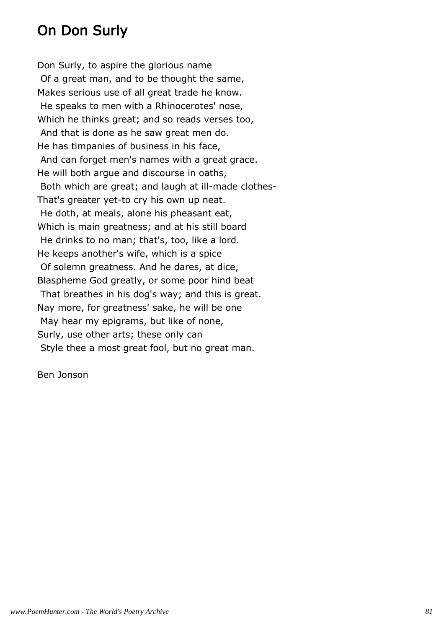# On Don Surly

Don Surly, to aspire the glorious name Of a great man, and to be thought the same, Makes serious use of all great trade he know. He speaks to men with a Rhinocerotes' nose, Which he thinks great; and so reads verses too, And that is done as he saw great men do. He has timpanies of business in his face, And can forget men's names with a great grace. He will both argue and discourse in oaths, Both which are great; and laugh at ill-made clothes-That's greater yet-to cry his own up neat. He doth, at meals, alone his pheasant eat, Which is main greatness; and at his still board He drinks to no man; that's, too, like a lord. He keeps another's wife, which is a spice Of solemn greatness. And he dares, at dice, Blaspheme God greatly, or some poor hind beat That breathes in his dog's way; and this is great. Nay more, for greatness' sake, he will be one May hear my epigrams, but like of none, Surly, use other arts; these only can Style thee a most great fool, but no great man.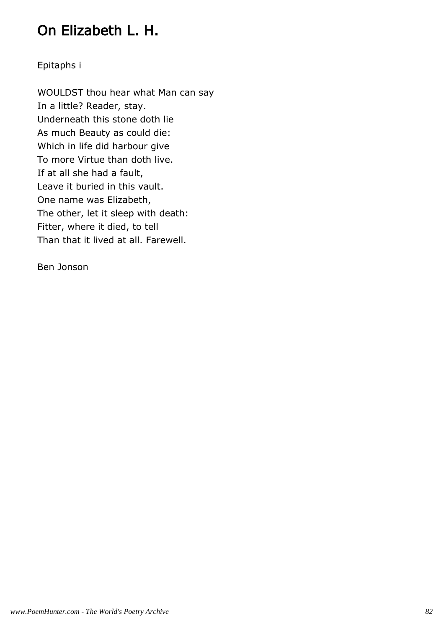# On Elizabeth L. H.

### Epitaphs i

WOULDST thou hear what Man can say In a little? Reader, stay. Underneath this stone doth lie As much Beauty as could die: Which in life did harbour give To more Virtue than doth live. If at all she had a fault, Leave it buried in this vault. One name was Elizabeth, The other, let it sleep with death: Fitter, where it died, to tell Than that it lived at all. Farewell.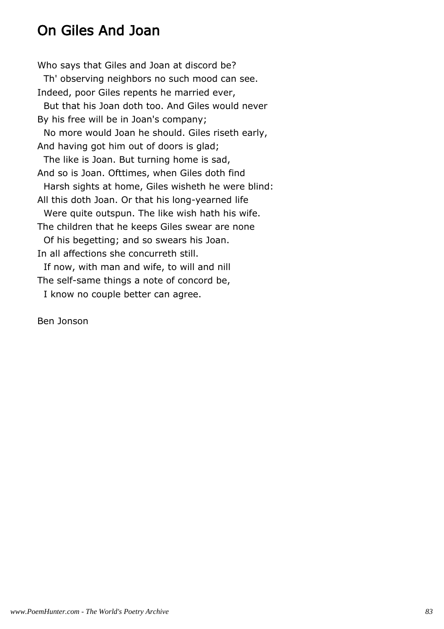### On Giles And Joan

Who says that Giles and Joan at discord be? Th' observing neighbors no such mood can see. Indeed, poor Giles repents he married ever, But that his Joan doth too. And Giles would never By his free will be in Joan's company; No more would Joan he should. Giles riseth early, And having got him out of doors is glad; The like is Joan. But turning home is sad, And so is Joan. Ofttimes, when Giles doth find Harsh sights at home, Giles wisheth he were blind: All this doth Joan. Or that his long-yearned life Were quite outspun. The like wish hath his wife. The children that he keeps Giles swear are none Of his begetting; and so swears his Joan. In all affections she concurreth still. If now, with man and wife, to will and nill The self-same things a note of concord be, I know no couple better can agree.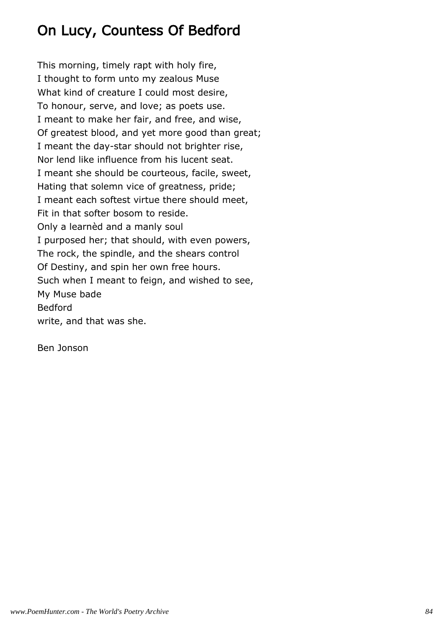# On Lucy, Countess Of Bedford

This morning, timely rapt with holy fire, I thought to form unto my zealous Muse What kind of creature I could most desire, To honour, serve, and love; as poets use. I meant to make her fair, and free, and wise, Of greatest blood, and yet more good than great; I meant the day-star should not brighter rise, Nor lend like influence from his lucent seat. I meant she should be courteous, facile, sweet, Hating that solemn vice of greatness, pride; I meant each softest virtue there should meet, Fit in that softer bosom to reside. Only a learnèd and a manly soul I purposed her; that should, with even powers, The rock, the spindle, and the shears control Of Destiny, and spin her own free hours. Such when I meant to feign, and wished to see, My Muse bade Bedford write, and that was she.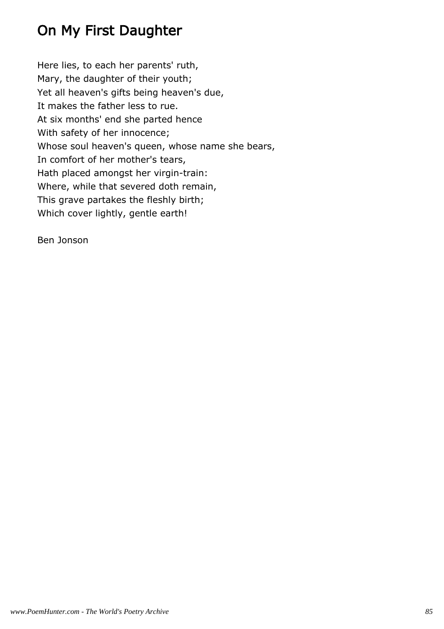# On My First Daughter

Here lies, to each her parents' ruth, Mary, the daughter of their youth; Yet all heaven's gifts being heaven's due, It makes the father less to rue. At six months' end she parted hence With safety of her innocence; Whose soul heaven's queen, whose name she bears, In comfort of her mother's tears, Hath placed amongst her virgin-train: Where, while that severed doth remain, This grave partakes the fleshly birth; Which cover lightly, gentle earth!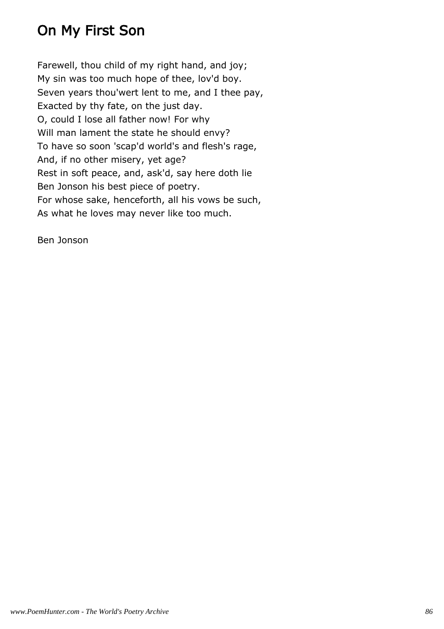# On My First Son

Farewell, thou child of my right hand, and joy; My sin was too much hope of thee, lov'd boy. Seven years thou'wert lent to me, and I thee pay, Exacted by thy fate, on the just day. O, could I lose all father now! For why Will man lament the state he should envy? To have so soon 'scap'd world's and flesh's rage, And, if no other misery, yet age? Rest in soft peace, and, ask'd, say here doth lie Ben Jonson his best piece of poetry. For whose sake, henceforth, all his vows be such, As what he loves may never like too much.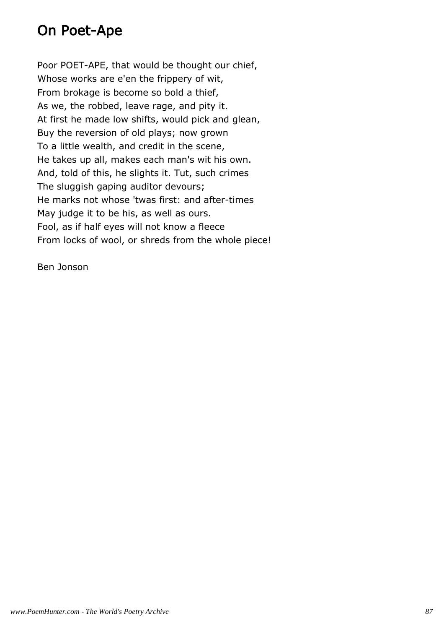# On Poet-Ape

Poor POET-APE, that would be thought our chief, Whose works are e'en the frippery of wit, From brokage is become so bold a thief, As we, the robbed, leave rage, and pity it. At first he made low shifts, would pick and glean, Buy the reversion of old plays; now grown To a little wealth, and credit in the scene, He takes up all, makes each man's wit his own. And, told of this, he slights it. Tut, such crimes The sluggish gaping auditor devours; He marks not whose 'twas first: and after-times May judge it to be his, as well as ours. Fool, as if half eyes will not know a fleece From locks of wool, or shreds from the whole piece!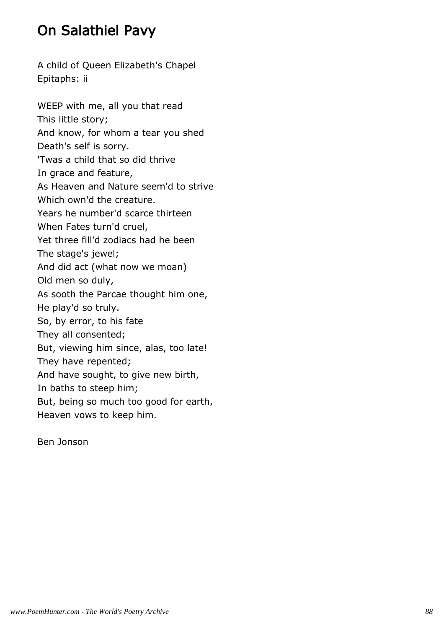# On Salathiel Pavy

A child of Queen Elizabeth's Chapel Epitaphs: ii

WEEP with me, all you that read This little story; And know, for whom a tear you shed Death's self is sorry. 'Twas a child that so did thrive In grace and feature, As Heaven and Nature seem'd to strive Which own'd the creature. Years he number'd scarce thirteen When Fates turn'd cruel, Yet three fill'd zodiacs had he been The stage's jewel; And did act (what now we moan) Old men so duly, As sooth the Parcae thought him one, He play'd so truly. So, by error, to his fate They all consented; But, viewing him since, alas, too late! They have repented; And have sought, to give new birth, In baths to steep him; But, being so much too good for earth, Heaven vows to keep him.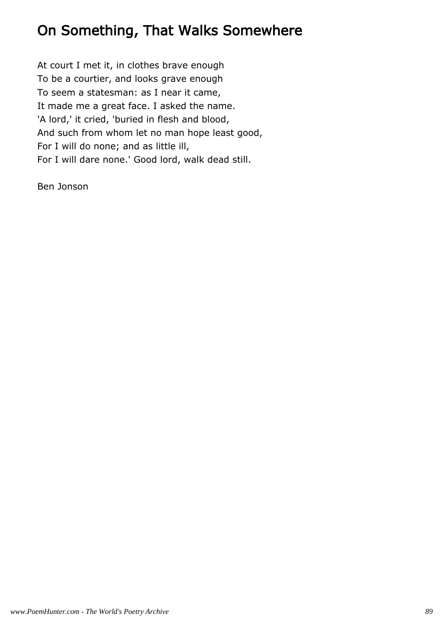# On Something, That Walks Somewhere

At court I met it, in clothes brave enough To be a courtier, and looks grave enough To seem a statesman: as I near it came, It made me a great face. I asked the name. 'A lord,' it cried, 'buried in flesh and blood, And such from whom let no man hope least good, For I will do none; and as little ill, For I will dare none.' Good lord, walk dead still.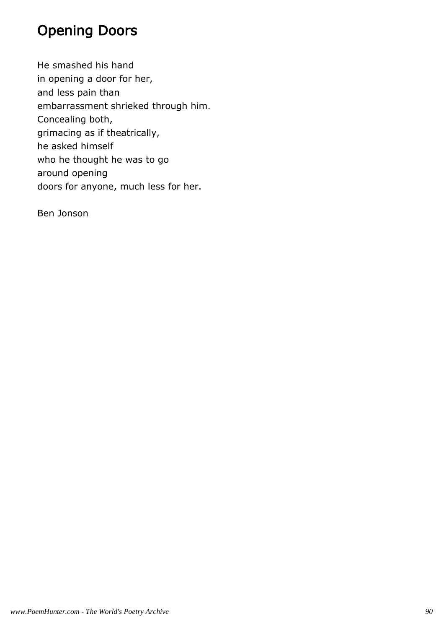# Opening Doors

He smashed his hand in opening a door for her, and less pain than embarrassment shrieked through him. Concealing both, grimacing as if theatrically, he asked himself who he thought he was to go around opening doors for anyone, much less for her.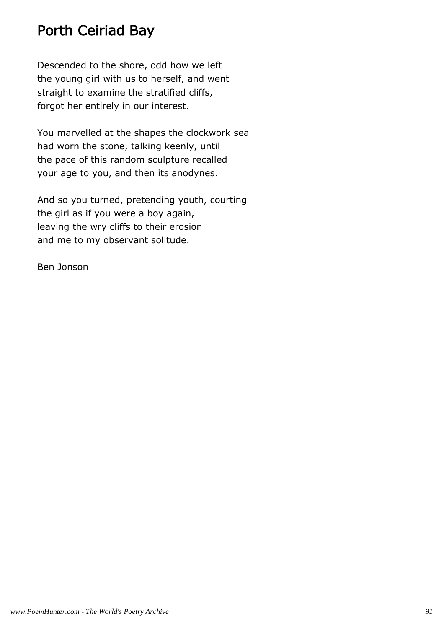### Porth Ceiriad Bay

Descended to the shore, odd how we left the young girl with us to herself, and went straight to examine the stratified cliffs, forgot her entirely in our interest.

You marvelled at the shapes the clockwork sea had worn the stone, talking keenly, until the pace of this random sculpture recalled your age to you, and then its anodynes.

And so you turned, pretending youth, courting the girl as if you were a boy again, leaving the wry cliffs to their erosion and me to my observant solitude.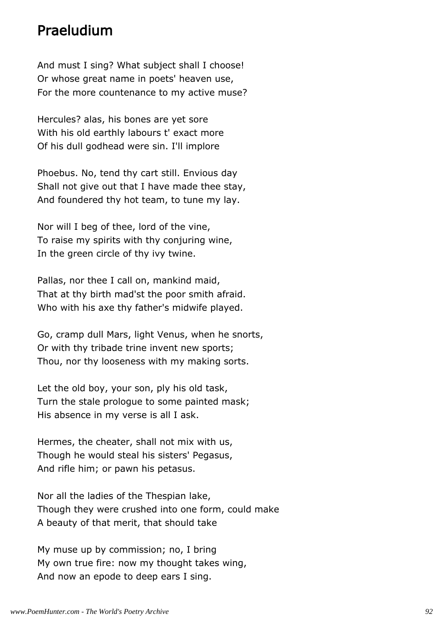### Praeludium

And must I sing? What subject shall I choose! Or whose great name in poets' heaven use, For the more countenance to my active muse?

Hercules? alas, his bones are yet sore With his old earthly labours t' exact more Of his dull godhead were sin. I'll implore

Phoebus. No, tend thy cart still. Envious day Shall not give out that I have made thee stay, And foundered thy hot team, to tune my lay.

Nor will I beg of thee, lord of the vine, To raise my spirits with thy conjuring wine, In the green circle of thy ivy twine.

Pallas, nor thee I call on, mankind maid, That at thy birth mad'st the poor smith afraid. Who with his axe thy father's midwife played.

Go, cramp dull Mars, light Venus, when he snorts, Or with thy tribade trine invent new sports; Thou, nor thy looseness with my making sorts.

Let the old boy, your son, ply his old task, Turn the stale prologue to some painted mask; His absence in my verse is all I ask.

Hermes, the cheater, shall not mix with us, Though he would steal his sisters' Pegasus, And rifle him; or pawn his petasus.

Nor all the ladies of the Thespian lake, Though they were crushed into one form, could make A beauty of that merit, that should take

My muse up by commission; no, I bring My own true fire: now my thought takes wing, And now an epode to deep ears I sing.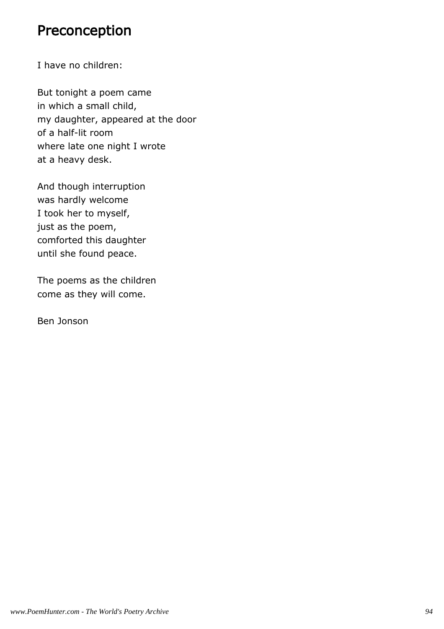### Preconception

I have no children:

But tonight a poem came in which a small child, my daughter, appeared at the door of a half-lit room where late one night I wrote at a heavy desk.

And though interruption was hardly welcome I took her to myself, just as the poem, comforted this daughter until she found peace.

The poems as the children come as they will come.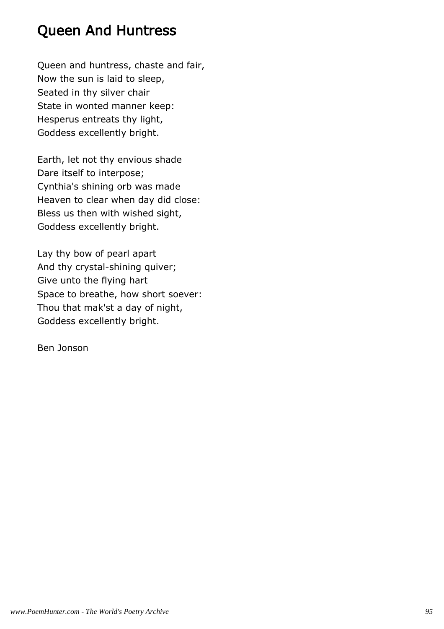### Queen And Huntress

Queen and huntress, chaste and fair, Now the sun is laid to sleep, Seated in thy silver chair State in wonted manner keep: Hesperus entreats thy light, Goddess excellently bright.

Earth, let not thy envious shade Dare itself to interpose; Cynthia's shining orb was made Heaven to clear when day did close: Bless us then with wished sight, Goddess excellently bright.

Lay thy bow of pearl apart And thy crystal-shining quiver; Give unto the flying hart Space to breathe, how short soever: Thou that mak'st a day of night, Goddess excellently bright.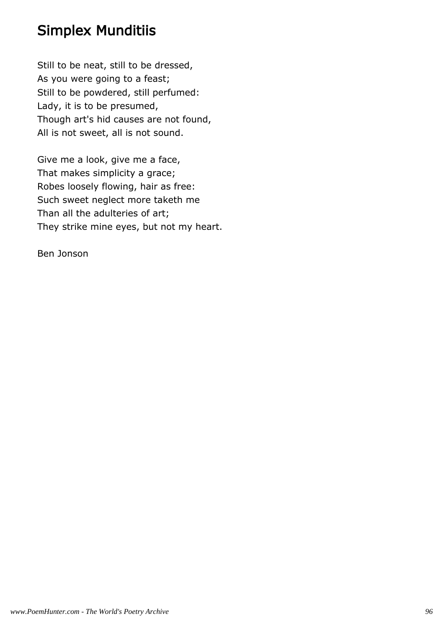### Simplex Munditiis

Still to be neat, still to be dressed, As you were going to a feast; Still to be powdered, still perfumed: Lady, it is to be presumed, Though art's hid causes are not found, All is not sweet, all is not sound.

Give me a look, give me a face, That makes simplicity a grace; Robes loosely flowing, hair as free: Such sweet neglect more taketh me Than all the adulteries of art; They strike mine eyes, but not my heart.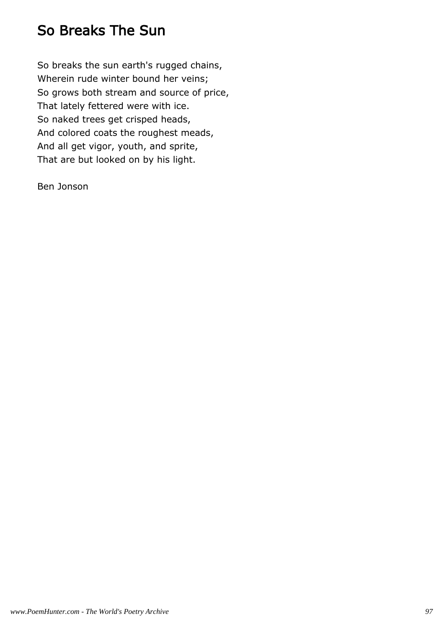# So Breaks The Sun

So breaks the sun earth's rugged chains, Wherein rude winter bound her veins; So grows both stream and source of price, That lately fettered were with ice. So naked trees get crisped heads, And colored coats the roughest meads, And all get vigor, youth, and sprite, That are but looked on by his light.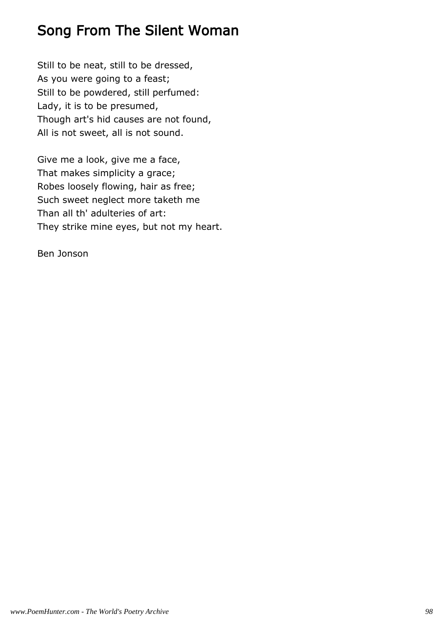### Song From The Silent Woman

Still to be neat, still to be dressed, As you were going to a feast; Still to be powdered, still perfumed: Lady, it is to be presumed, Though art's hid causes are not found, All is not sweet, all is not sound.

Give me a look, give me a face, That makes simplicity a grace; Robes loosely flowing, hair as free; Such sweet neglect more taketh me Than all th' adulteries of art: They strike mine eyes, but not my heart.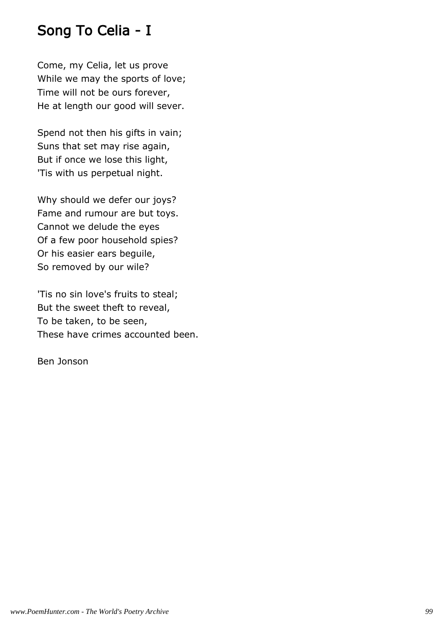### Song To Celia - I

Come, my Celia, let us prove While we may the sports of love; Time will not be ours forever, He at length our good will sever.

Spend not then his gifts in vain; Suns that set may rise again, But if once we lose this light, 'Tis with us perpetual night.

Why should we defer our joys? Fame and rumour are but toys. Cannot we delude the eyes Of a few poor household spies? Or his easier ears beguile, So removed by our wile?

'Tis no sin love's fruits to steal; But the sweet theft to reveal, To be taken, to be seen, These have crimes accounted been.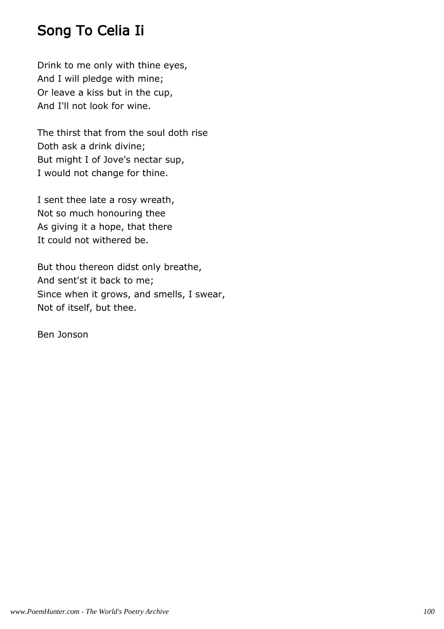### Song To Celia Ii

Drink to me only with thine eyes, And I will pledge with mine; Or leave a kiss but in the cup, And I'll not look for wine.

The thirst that from the soul doth rise Doth ask a drink divine; But might I of Jove's nectar sup, I would not change for thine.

I sent thee late a rosy wreath, Not so much honouring thee As giving it a hope, that there It could not withered be.

But thou thereon didst only breathe, And sent'st it back to me; Since when it grows, and smells, I swear, Not of itself, but thee.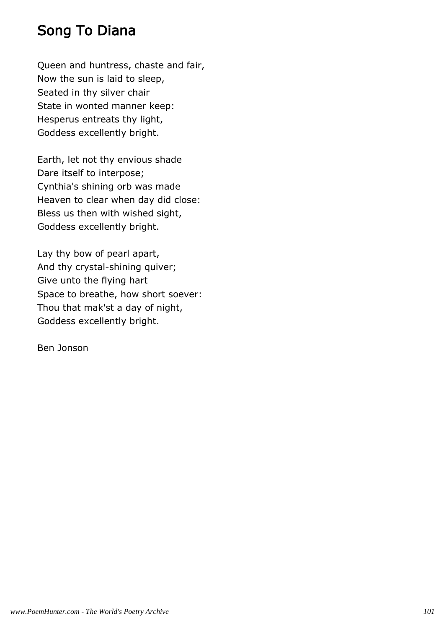### Song To Diana

Queen and huntress, chaste and fair, Now the sun is laid to sleep, Seated in thy silver chair State in wonted manner keep: Hesperus entreats thy light, Goddess excellently bright.

Earth, let not thy envious shade Dare itself to interpose; Cynthia's shining orb was made Heaven to clear when day did close: Bless us then with wished sight, Goddess excellently bright.

Lay thy bow of pearl apart, And thy crystal-shining quiver; Give unto the flying hart Space to breathe, how short soever: Thou that mak'st a day of night, Goddess excellently bright.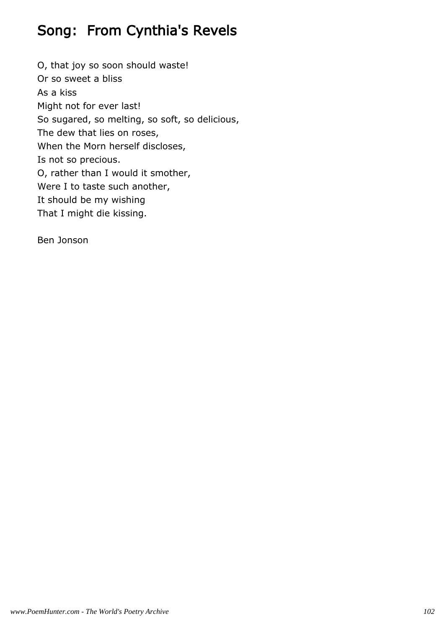# Song: From Cynthia's Revels

O, that joy so soon should waste! Or so sweet a bliss As a kiss Might not for ever last! So sugared, so melting, so soft, so delicious, The dew that lies on roses, When the Morn herself discloses, Is not so precious. O, rather than I would it smother, Were I to taste such another, It should be my wishing That I might die kissing.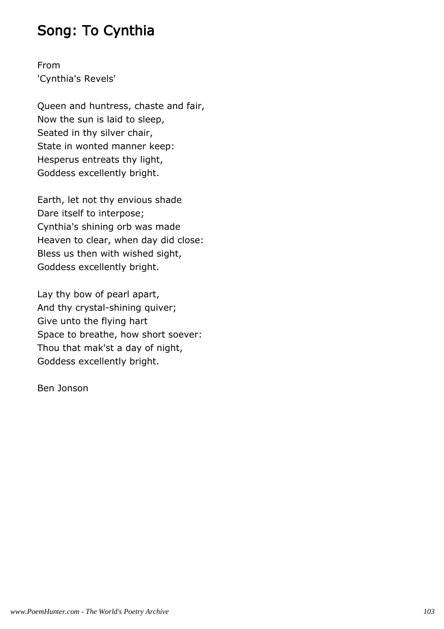### Song: To Cynthia

From 'Cynthia's Revels'

Queen and huntress, chaste and fair, Now the sun is laid to sleep, Seated in thy silver chair, State in wonted manner keep: Hesperus entreats thy light, Goddess excellently bright.

Earth, let not thy envious shade Dare itself to interpose; Cynthia's shining orb was made Heaven to clear, when day did close: Bless us then with wished sight, Goddess excellently bright.

Lay thy bow of pearl apart, And thy crystal-shining quiver; Give unto the flying hart Space to breathe, how short soever: Thou that mak'st a day of night, Goddess excellently bright.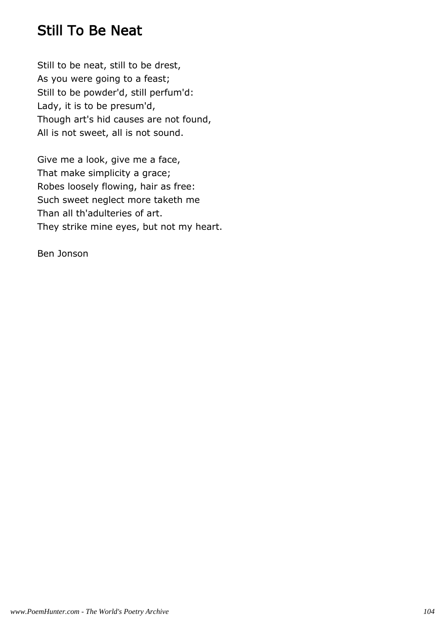### Still To Be Neat

Still to be neat, still to be drest, As you were going to a feast; Still to be powder'd, still perfum'd: Lady, it is to be presum'd, Though art's hid causes are not found, All is not sweet, all is not sound.

Give me a look, give me a face, That make simplicity a grace; Robes loosely flowing, hair as free: Such sweet neglect more taketh me Than all th'adulteries of art. They strike mine eyes, but not my heart.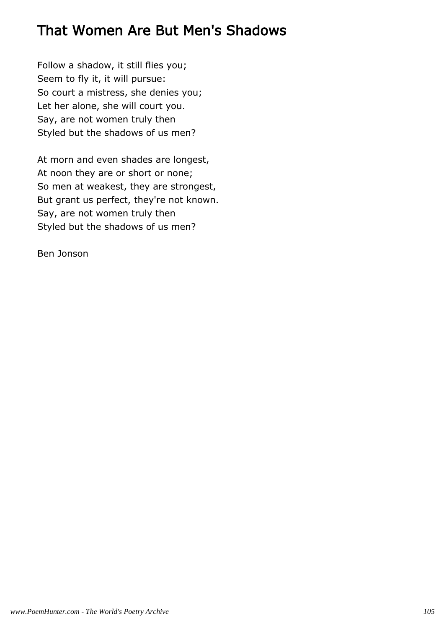### That Women Are But Men's Shadows

Follow a shadow, it still flies you; Seem to fly it, it will pursue: So court a mistress, she denies you; Let her alone, she will court you. Say, are not women truly then Styled but the shadows of us men?

At morn and even shades are longest, At noon they are or short or none; So men at weakest, they are strongest, But grant us perfect, they're not known. Say, are not women truly then Styled but the shadows of us men?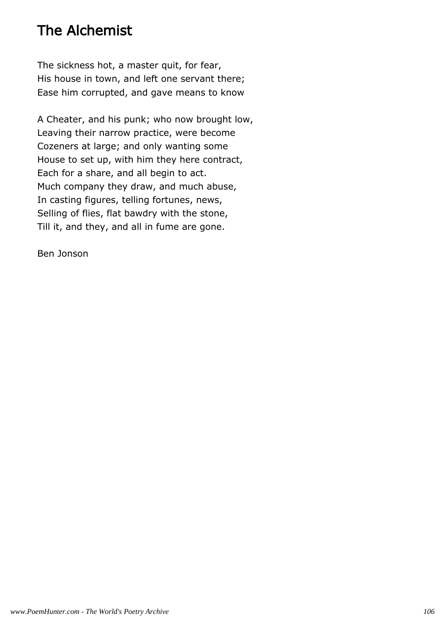# The Alchemist

The sickness hot, a master quit, for fear, His house in town, and left one servant there; Ease him corrupted, and gave means to know

A Cheater, and his punk; who now brought low, Leaving their narrow practice, were become Cozeners at large; and only wanting some House to set up, with him they here contract, Each for a share, and all begin to act. Much company they draw, and much abuse, In casting figures, telling fortunes, news, Selling of flies, flat bawdry with the stone, Till it, and they, and all in fume are gone.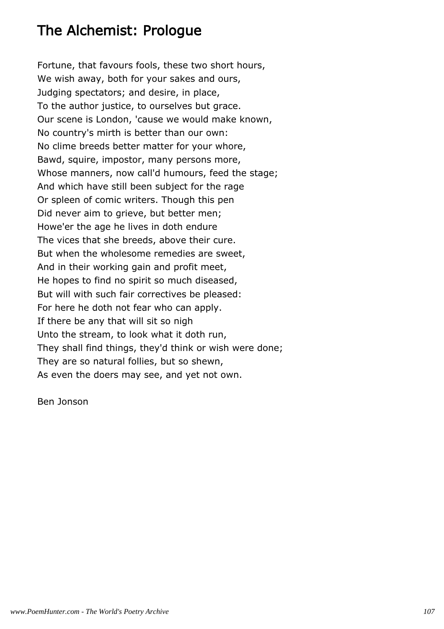### The Alchemist: Prologue

Fortune, that favours fools, these two short hours, We wish away, both for your sakes and ours, Judging spectators; and desire, in place, To the author justice, to ourselves but grace. Our scene is London, 'cause we would make known, No country's mirth is better than our own: No clime breeds better matter for your whore, Bawd, squire, impostor, many persons more, Whose manners, now call'd humours, feed the stage; And which have still been subject for the rage Or spleen of comic writers. Though this pen Did never aim to grieve, but better men; Howe'er the age he lives in doth endure The vices that she breeds, above their cure. But when the wholesome remedies are sweet, And in their working gain and profit meet, He hopes to find no spirit so much diseased, But will with such fair correctives be pleased: For here he doth not fear who can apply. If there be any that will sit so nigh Unto the stream, to look what it doth run, They shall find things, they'd think or wish were done; They are so natural follies, but so shewn, As even the doers may see, and yet not own.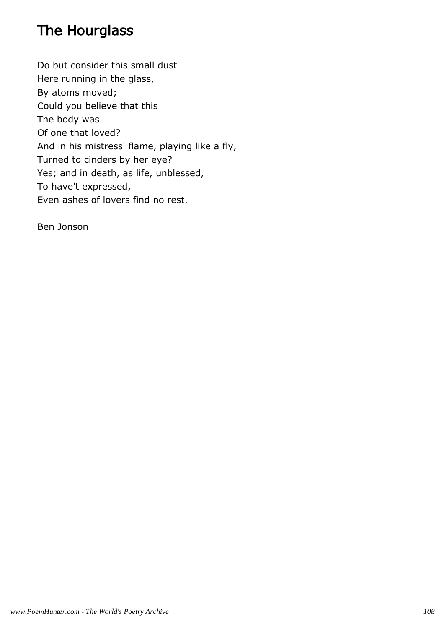## The Hourglass

Do but consider this small dust Here running in the glass, By atoms moved; Could you believe that this The body was Of one that loved? And in his mistress' flame, playing like a fly, Turned to cinders by her eye? Yes; and in death, as life, unblessed, To have't expressed, Even ashes of lovers find no rest.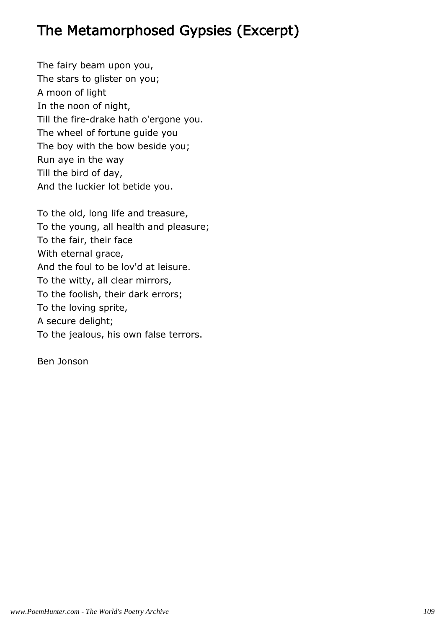## The Metamorphosed Gypsies (Excerpt)

The fairy beam upon you, The stars to glister on you; A moon of light In the noon of night, Till the fire-drake hath o'ergone you. The wheel of fortune guide you The boy with the bow beside you; Run aye in the way Till the bird of day, And the luckier lot betide you.

To the old, long life and treasure, To the young, all health and pleasure; To the fair, their face With eternal grace, And the foul to be lov'd at leisure. To the witty, all clear mirrors, To the foolish, their dark errors; To the loving sprite, A secure delight; To the jealous, his own false terrors.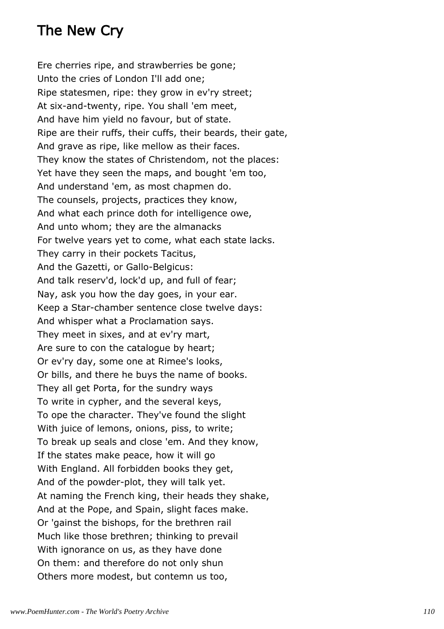## The New Cry

Ere cherries ripe, and strawberries be gone; Unto the cries of London I'll add one; Ripe statesmen, ripe: they grow in ev'ry street; At six-and-twenty, ripe. You shall 'em meet, And have him yield no favour, but of state. Ripe are their ruffs, their cuffs, their beards, their gate, And grave as ripe, like mellow as their faces. They know the states of Christendom, not the places: Yet have they seen the maps, and bought 'em too, And understand 'em, as most chapmen do. The counsels, projects, practices they know, And what each prince doth for intelligence owe, And unto whom; they are the almanacks For twelve years yet to come, what each state lacks. They carry in their pockets Tacitus, And the Gazetti, or Gallo-Belgicus: And talk reserv'd, lock'd up, and full of fear; Nay, ask you how the day goes, in your ear. Keep a Star-chamber sentence close twelve days: And whisper what a Proclamation says. They meet in sixes, and at ev'ry mart, Are sure to con the catalogue by heart; Or ev'ry day, some one at Rimee's looks, Or bills, and there he buys the name of books. They all get Porta, for the sundry ways To write in cypher, and the several keys, To ope the character. They've found the slight With juice of lemons, onions, piss, to write; To break up seals and close 'em. And they know, If the states make peace, how it will go With England. All forbidden books they get, And of the powder-plot, they will talk yet. At naming the French king, their heads they shake, And at the Pope, and Spain, slight faces make. Or 'gainst the bishops, for the brethren rail Much like those brethren; thinking to prevail With ignorance on us, as they have done On them: and therefore do not only shun Others more modest, but contemn us too,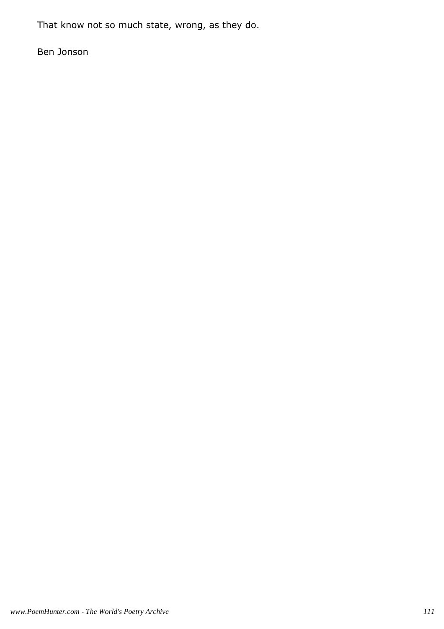That know not so much state, wrong, as they do.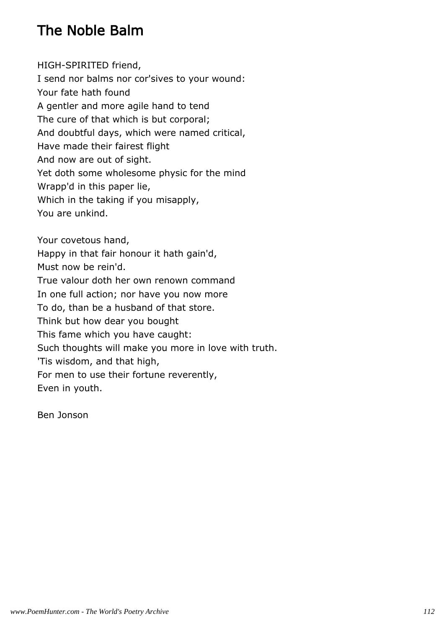## The Noble Balm

HIGH-SPIRITED friend, I send nor balms nor cor'sives to your wound: Your fate hath found A gentler and more agile hand to tend The cure of that which is but corporal; And doubtful days, which were named critical, Have made their fairest flight And now are out of sight. Yet doth some wholesome physic for the mind Wrapp'd in this paper lie, Which in the taking if you misapply, You are unkind.

Your covetous hand, Happy in that fair honour it hath gain'd, Must now be rein'd. True valour doth her own renown command In one full action; nor have you now more To do, than be a husband of that store. Think but how dear you bought This fame which you have caught: Such thoughts will make you more in love with truth. 'Tis wisdom, and that high, For men to use their fortune reverently, Even in youth.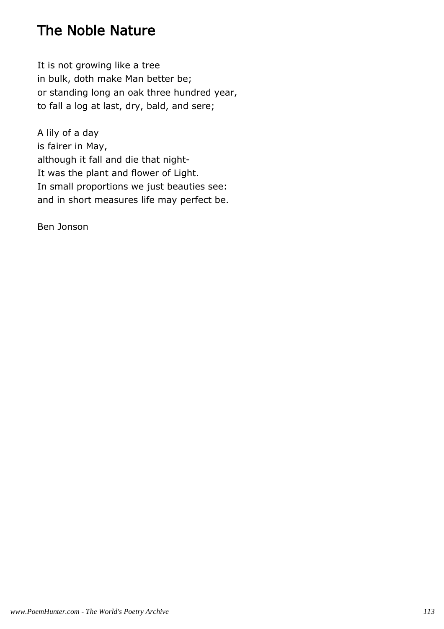## The Noble Nature

It is not growing like a tree in bulk, doth make Man better be; or standing long an oak three hundred year, to fall a log at last, dry, bald, and sere;

A lily of a day is fairer in May, although it fall and die that night-It was the plant and flower of Light. In small proportions we just beauties see: and in short measures life may perfect be.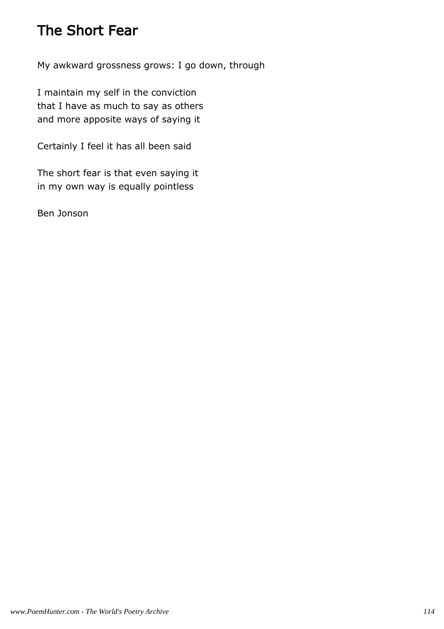## The Short Fear

My awkward grossness grows: I go down, through

I maintain my self in the conviction that I have as much to say as others and more apposite ways of saying it

Certainly I feel it has all been said

The short fear is that even saying it in my own way is equally pointless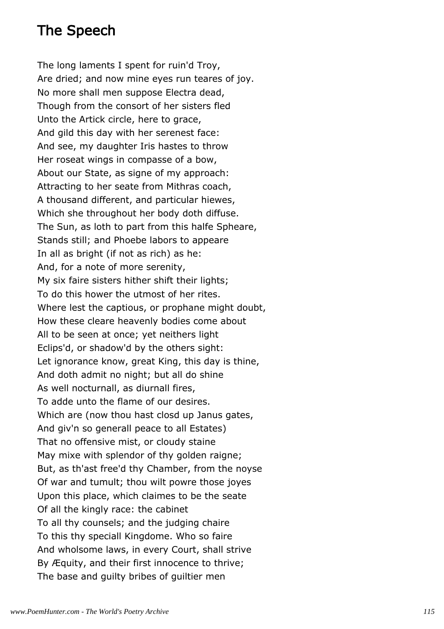## The Speech

The long laments I spent for ruin'd Troy, Are dried; and now mine eyes run teares of joy. No more shall men suppose Electra dead, Though from the consort of her sisters fled Unto the Artick circle, here to grace, And gild this day with her serenest face: And see, my daughter Iris hastes to throw Her roseat wings in compasse of a bow, About our State, as signe of my approach: Attracting to her seate from Mithras coach, A thousand different, and particular hiewes, Which she throughout her body doth diffuse. The Sun, as loth to part from this halfe Spheare, Stands still; and Phoebe labors to appeare In all as bright (if not as rich) as he: And, for a note of more serenity, My six faire sisters hither shift their lights; To do this hower the utmost of her rites. Where lest the captious, or prophane might doubt, How these cleare heavenly bodies come about All to be seen at once; yet neithers light Eclips'd, or shadow'd by the others sight: Let ignorance know, great King, this day is thine, And doth admit no night; but all do shine As well nocturnall, as diurnall fires, To adde unto the flame of our desires. Which are (now thou hast closd up Janus gates, And giv'n so generall peace to all Estates) That no offensive mist, or cloudy staine May mixe with splendor of thy golden raigne; But, as th'ast free'd thy Chamber, from the noyse Of war and tumult; thou wilt powre those joyes Upon this place, which claimes to be the seate Of all the kingly race: the cabinet To all thy counsels; and the judging chaire To this thy speciall Kingdome. Who so faire And wholsome laws, in every Court, shall strive By Æquity, and their first innocence to thrive; The base and guilty bribes of guiltier men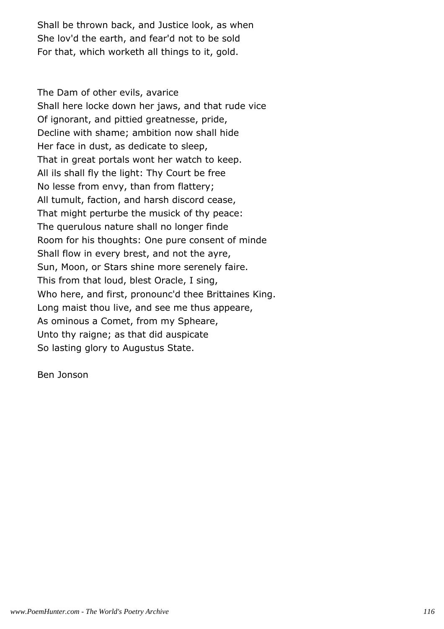Shall be thrown back, and Justice look, as when She lov'd the earth, and fear'd not to be sold For that, which worketh all things to it, gold.

The Dam of other evils, avarice Shall here locke down her jaws, and that rude vice Of ignorant, and pittied greatnesse, pride, Decline with shame; ambition now shall hide Her face in dust, as dedicate to sleep, That in great portals wont her watch to keep. All ils shall fly the light: Thy Court be free No lesse from envy, than from flattery; All tumult, faction, and harsh discord cease, That might perturbe the musick of thy peace: The querulous nature shall no longer finde Room for his thoughts: One pure consent of minde Shall flow in every brest, and not the ayre, Sun, Moon, or Stars shine more serenely faire. This from that loud, blest Oracle, I sing, Who here, and first, pronounc'd thee Brittaines King. Long maist thou live, and see me thus appeare, As ominous a Comet, from my Spheare, Unto thy raigne; as that did auspicate So lasting glory to Augustus State.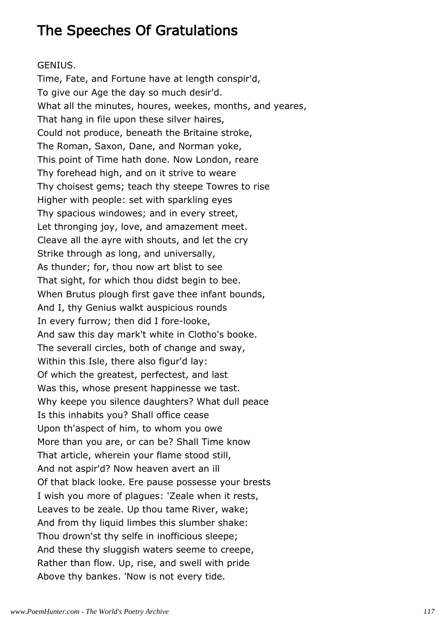## The Speeches Of Gratulations

#### GENIUS.

Time, Fate, and Fortune have at length conspir'd, To give our Age the day so much desir'd. What all the minutes, houres, weekes, months, and yeares, That hang in file upon these silver haires, Could not produce, beneath the Britaine stroke, The Roman, Saxon, Dane, and Norman yoke, This point of Time hath done. Now London, reare Thy forehead high, and on it strive to weare Thy choisest gems; teach thy steepe Towres to rise Higher with people: set with sparkling eyes Thy spacious windowes; and in every street, Let thronging joy, love, and amazement meet. Cleave all the ayre with shouts, and let the cry Strike through as long, and universally, As thunder; for, thou now art blist to see That sight, for which thou didst begin to bee. When Brutus plough first gave thee infant bounds, And I, thy Genius walkt auspicious rounds In every furrow; then did I fore-looke, And saw this day mark't white in Clotho's booke. The severall circles, both of change and sway, Within this Isle, there also figur'd lay: Of which the greatest, perfectest, and last Was this, whose present happinesse we tast. Why keepe you silence daughters? What dull peace Is this inhabits you? Shall office cease Upon th'aspect of him, to whom you owe More than you are, or can be? Shall Time know That article, wherein your flame stood still, And not aspir'd? Now heaven avert an ill Of that black looke. Ere pause possesse your brests I wish you more of plagues: 'Zeale when it rests, Leaves to be zeale. Up thou tame River, wake; And from thy liquid limbes this slumber shake: Thou drown'st thy selfe in inofficious sleepe; And these thy sluggish waters seeme to creepe, Rather than flow. Up, rise, and swell with pride Above thy bankes. 'Now is not every tide.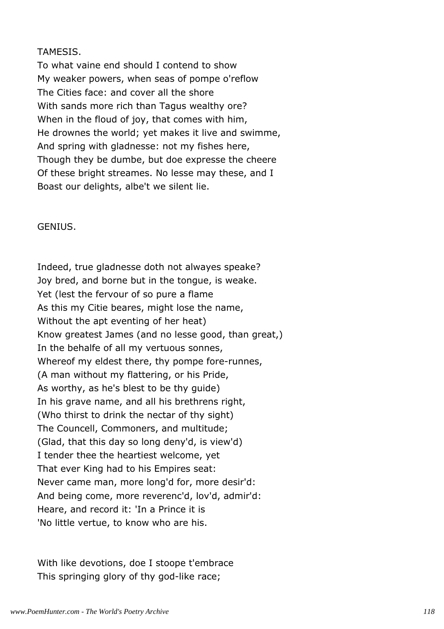#### TAMESIS.

To what vaine end should I contend to show My weaker powers, when seas of pompe o'reflow The Cities face: and cover all the shore With sands more rich than Tagus wealthy ore? When in the floud of joy, that comes with him, He drownes the world; yet makes it live and swimme, And spring with gladnesse: not my fishes here, Though they be dumbe, but doe expresse the cheere Of these bright streames. No lesse may these, and I Boast our delights, albe't we silent lie.

#### GENIUS.

Indeed, true gladnesse doth not alwayes speake? Joy bred, and borne but in the tongue, is weake. Yet (lest the fervour of so pure a flame As this my Citie beares, might lose the name, Without the apt eventing of her heat) Know greatest James (and no lesse good, than great,) In the behalfe of all my vertuous sonnes, Whereof my eldest there, thy pompe fore-runnes, (A man without my flattering, or his Pride, As worthy, as he's blest to be thy guide) In his grave name, and all his brethrens right, (Who thirst to drink the nectar of thy sight) The Councell, Commoners, and multitude; (Glad, that this day so long deny'd, is view'd) I tender thee the heartiest welcome, yet That ever King had to his Empires seat: Never came man, more long'd for, more desir'd: And being come, more reverenc'd, lov'd, admir'd: Heare, and record it: 'In a Prince it is 'No little vertue, to know who are his.

With like devotions, doe I stoope t'embrace This springing glory of thy god-like race;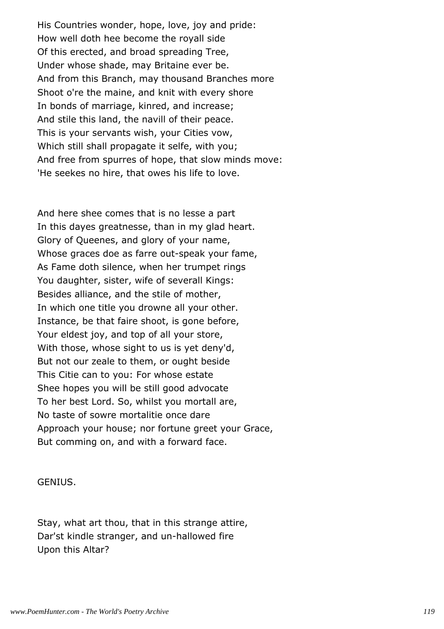His Countries wonder, hope, love, joy and pride: How well doth hee become the royall side Of this erected, and broad spreading Tree, Under whose shade, may Britaine ever be. And from this Branch, may thousand Branches more Shoot o're the maine, and knit with every shore In bonds of marriage, kinred, and increase; And stile this land, the navill of their peace. This is your servants wish, your Cities vow, Which still shall propagate it selfe, with you; And free from spurres of hope, that slow minds move: 'He seekes no hire, that owes his life to love.

And here shee comes that is no lesse a part In this dayes greatnesse, than in my glad heart. Glory of Queenes, and glory of your name, Whose graces doe as farre out-speak your fame, As Fame doth silence, when her trumpet rings You daughter, sister, wife of severall Kings: Besides alliance, and the stile of mother, In which one title you drowne all your other. Instance, be that faire shoot, is gone before, Your eldest joy, and top of all your store, With those, whose sight to us is yet deny'd, But not our zeale to them, or ought beside This Citie can to you: For whose estate Shee hopes you will be still good advocate To her best Lord. So, whilst you mortall are, No taste of sowre mortalitie once dare Approach your house; nor fortune greet your Grace, But comming on, and with a forward face.

GENIUS.

Stay, what art thou, that in this strange attire, Dar'st kindle stranger, and un-hallowed fire Upon this Altar?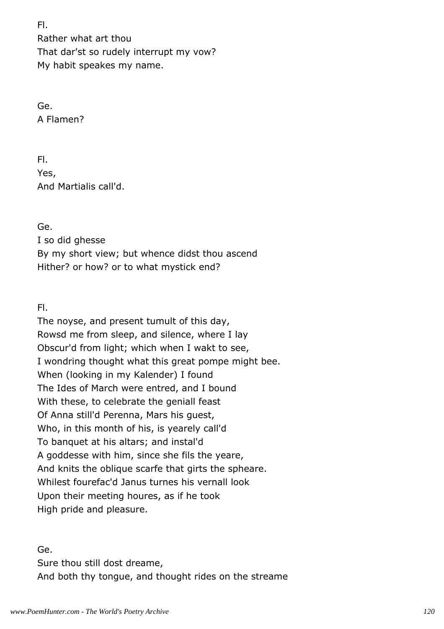Fl. Rather what art thou That dar'st so rudely interrupt my vow? My habit speakes my name.

Ge. A Flamen?

Fl. Yes, And Martialis call'd.

Ge. I so did ghesse By my short view; but whence didst thou ascend Hither? or how? or to what mystick end?

Fl.

The noyse, and present tumult of this day, Rowsd me from sleep, and silence, where I lay Obscur'd from light; which when I wakt to see, I wondring thought what this great pompe might bee. When (looking in my Kalender) I found The Ides of March were entred, and I bound With these, to celebrate the geniall feast Of Anna still'd Perenna, Mars his guest, Who, in this month of his, is yearely call'd To banquet at his altars; and instal'd A goddesse with him, since she fils the yeare, And knits the oblique scarfe that girts the spheare. Whilest fourefac'd Janus turnes his vernall look Upon their meeting houres, as if he took High pride and pleasure.

Ge. Sure thou still dost dreame, And both thy tongue, and thought rides on the streame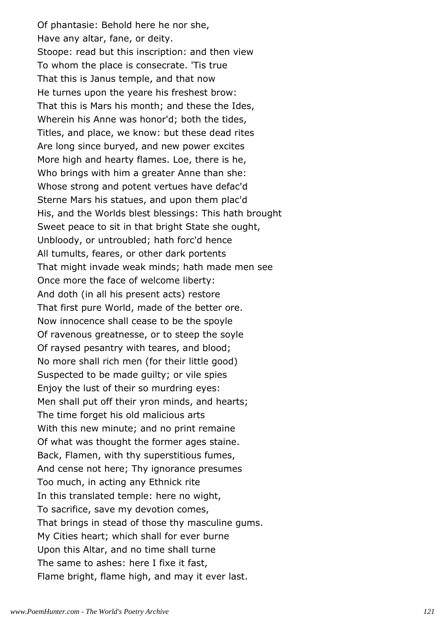Of phantasie: Behold here he nor she, Have any altar, fane, or deity. Stoope: read but this inscription: and then view To whom the place is consecrate. 'Tis true That this is Janus temple, and that now He turnes upon the yeare his freshest brow: That this is Mars his month; and these the Ides, Wherein his Anne was honor'd; both the tides, Titles, and place, we know: but these dead rites Are long since buryed, and new power excites More high and hearty flames. Loe, there is he, Who brings with him a greater Anne than she: Whose strong and potent vertues have defac'd Sterne Mars his statues, and upon them plac'd His, and the Worlds blest blessings: This hath brought Sweet peace to sit in that bright State she ought, Unbloody, or untroubled; hath forc'd hence All tumults, feares, or other dark portents That might invade weak minds; hath made men see Once more the face of welcome liberty: And doth (in all his present acts) restore That first pure World, made of the better ore. Now innocence shall cease to be the spoyle Of ravenous greatnesse, or to steep the soyle Of raysed pesantry with teares, and blood; No more shall rich men (for their little good) Suspected to be made guilty; or vile spies Enjoy the lust of their so murdring eyes: Men shall put off their yron minds, and hearts; The time forget his old malicious arts With this new minute; and no print remaine Of what was thought the former ages staine. Back, Flamen, with thy superstitious fumes, And cense not here; Thy ignorance presumes Too much, in acting any Ethnick rite In this translated temple: here no wight, To sacrifice, save my devotion comes, That brings in stead of those thy masculine gums. My Cities heart; which shall for ever burne Upon this Altar, and no time shall turne The same to ashes: here I fixe it fast, Flame bright, flame high, and may it ever last.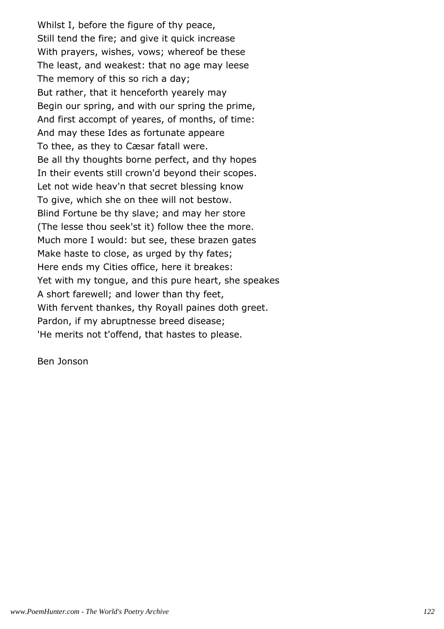Whilst I, before the figure of thy peace, Still tend the fire; and give it quick increase With prayers, wishes, vows; whereof be these The least, and weakest: that no age may leese The memory of this so rich a day; But rather, that it henceforth yearely may Begin our spring, and with our spring the prime, And first accompt of yeares, of months, of time: And may these Ides as fortunate appeare To thee, as they to Cæsar fatall were. Be all thy thoughts borne perfect, and thy hopes In their events still crown'd beyond their scopes. Let not wide heav'n that secret blessing know To give, which she on thee will not bestow. Blind Fortune be thy slave; and may her store (The lesse thou seek'st it) follow thee the more. Much more I would: but see, these brazen gates Make haste to close, as urged by thy fates; Here ends my Cities office, here it breakes: Yet with my tongue, and this pure heart, she speakes A short farewell; and lower than thy feet, With fervent thankes, thy Royall paines doth greet. Pardon, if my abruptnesse breed disease; 'He merits not t'offend, that hastes to please.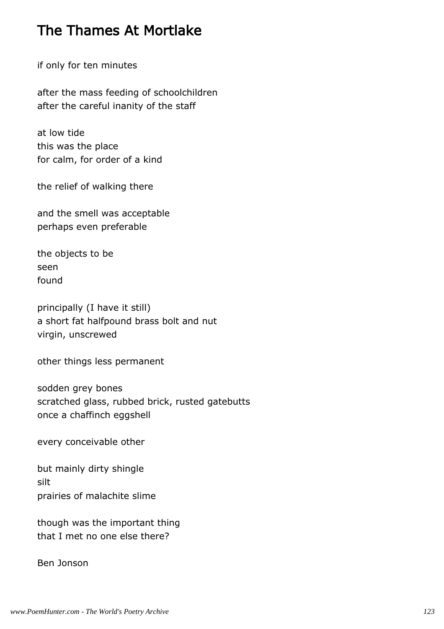#### The Thames At Mortlake

if only for ten minutes

after the mass feeding of schoolchildren after the careful inanity of the staff

at low tide this was the place for calm, for order of a kind

the relief of walking there

and the smell was acceptable perhaps even preferable

the objects to be seen found

principally (I have it still) a short fat halfpound brass bolt and nut virgin, unscrewed

other things less permanent

sodden grey bones scratched glass, rubbed brick, rusted gatebutts once a chaffinch eggshell

every conceivable other

but mainly dirty shingle silt prairies of malachite slime

though was the important thing that I met no one else there?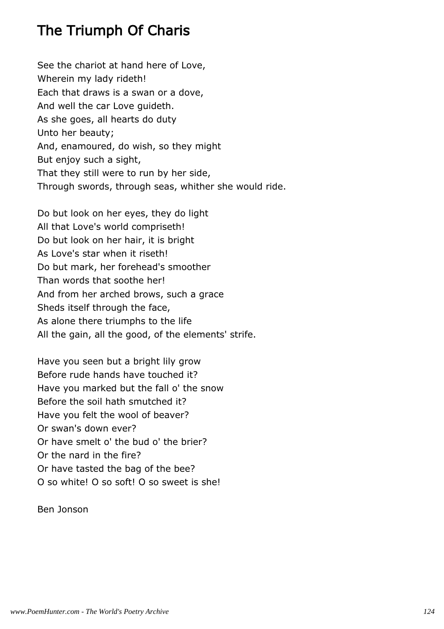## The Triumph Of Charis

See the chariot at hand here of Love, Wherein my lady rideth! Each that draws is a swan or a dove, And well the car Love guideth. As she goes, all hearts do duty Unto her beauty; And, enamoured, do wish, so they might But enjoy such a sight, That they still were to run by her side, Through swords, through seas, whither she would ride.

Do but look on her eyes, they do light All that Love's world compriseth! Do but look on her hair, it is bright As Love's star when it riseth! Do but mark, her forehead's smoother Than words that soothe her! And from her arched brows, such a grace Sheds itself through the face, As alone there triumphs to the life All the gain, all the good, of the elements' strife.

Have you seen but a bright lily grow Before rude hands have touched it? Have you marked but the fall o' the snow Before the soil hath smutched it? Have you felt the wool of beaver? Or swan's down ever? Or have smelt o' the bud o' the brier? Or the nard in the fire? Or have tasted the bag of the bee? O so white! O so soft! O so sweet is she!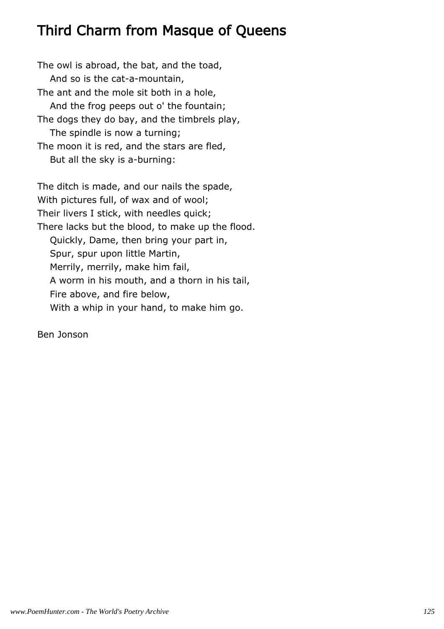## Third Charm from Masque of Queens

The owl is abroad, the bat, and the toad, And so is the cat-a-mountain, The ant and the mole sit both in a hole, And the frog peeps out o' the fountain; The dogs they do bay, and the timbrels play, The spindle is now a turning; The moon it is red, and the stars are fled, But all the sky is a-burning:

The ditch is made, and our nails the spade, With pictures full, of wax and of wool; Their livers I stick, with needles quick; There lacks but the blood, to make up the flood. Quickly, Dame, then bring your part in, Spur, spur upon little Martin, Merrily, merrily, make him fail, A worm in his mouth, and a thorn in his tail, Fire above, and fire below, With a whip in your hand, to make him go.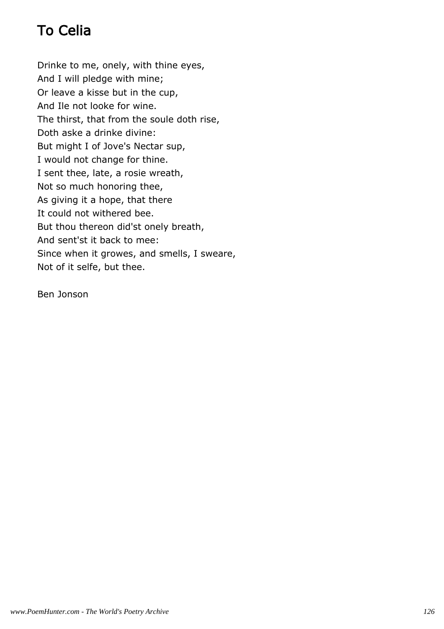# To Celia

Drinke to me, onely, with thine eyes, And I will pledge with mine; Or leave a kisse but in the cup, And Ile not looke for wine. The thirst, that from the soule doth rise, Doth aske a drinke divine: But might I of Jove's Nectar sup, I would not change for thine. I sent thee, late, a rosie wreath, Not so much honoring thee, As giving it a hope, that there It could not withered bee. But thou thereon did'st onely breath, And sent'st it back to mee: Since when it growes, and smells, I sweare, Not of it selfe, but thee.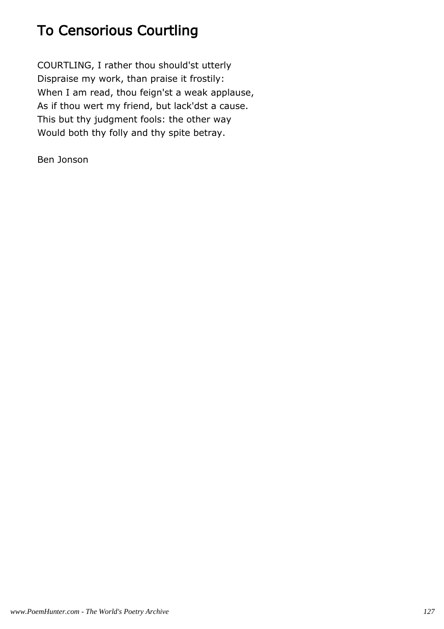## To Censorious Courtling

COURTLING, I rather thou should'st utterly Dispraise my work, than praise it frostily: When I am read, thou feign'st a weak applause, As if thou wert my friend, but lack'dst a cause. This but thy judgment fools: the other way Would both thy folly and thy spite betray.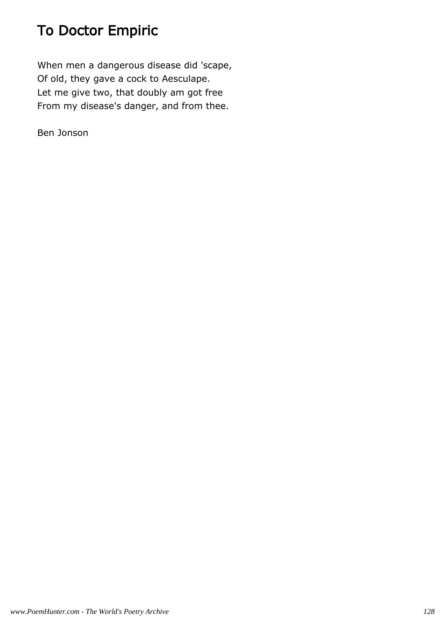## To Doctor Empiric

When men a dangerous disease did 'scape, Of old, they gave a cock to Aesculape. Let me give two, that doubly am got free From my disease's danger, and from thee.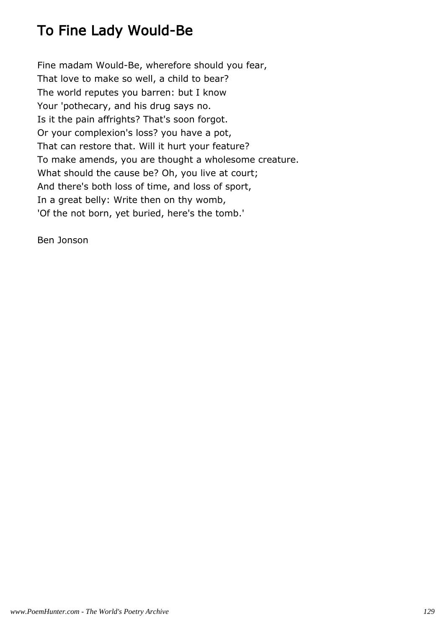## To Fine Lady Would-Be

Fine madam Would-Be, wherefore should you fear, That love to make so well, a child to bear? The world reputes you barren: but I know Your 'pothecary, and his drug says no. Is it the pain affrights? That's soon forgot. Or your complexion's loss? you have a pot, That can restore that. Will it hurt your feature? To make amends, you are thought a wholesome creature. What should the cause be? Oh, you live at court; And there's both loss of time, and loss of sport, In a great belly: Write then on thy womb, 'Of the not born, yet buried, here's the tomb.'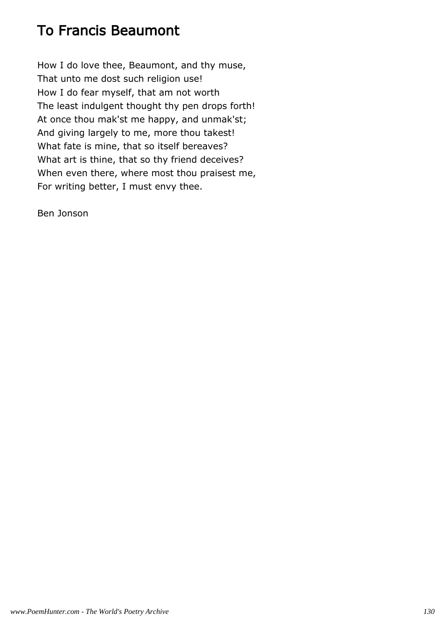## To Francis Beaumont

How I do love thee, Beaumont, and thy muse, That unto me dost such religion use! How I do fear myself, that am not worth The least indulgent thought thy pen drops forth! At once thou mak'st me happy, and unmak'st; And giving largely to me, more thou takest! What fate is mine, that so itself bereaves? What art is thine, that so thy friend deceives? When even there, where most thou praisest me, For writing better, I must envy thee.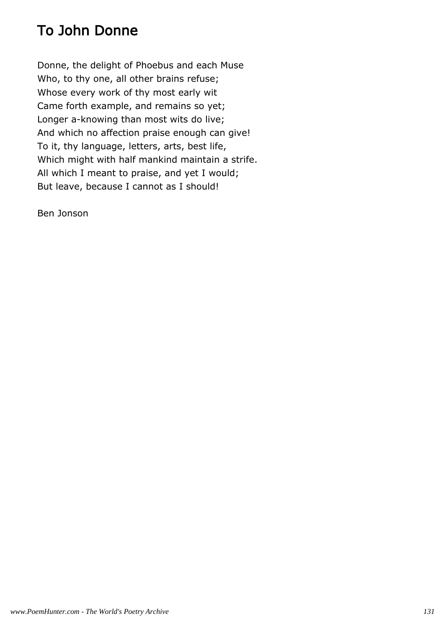## To John Donne

Donne, the delight of Phoebus and each Muse Who, to thy one, all other brains refuse; Whose every work of thy most early wit Came forth example, and remains so yet; Longer a-knowing than most wits do live; And which no affection praise enough can give! To it, thy language, letters, arts, best life, Which might with half mankind maintain a strife. All which I meant to praise, and yet I would; But leave, because I cannot as I should!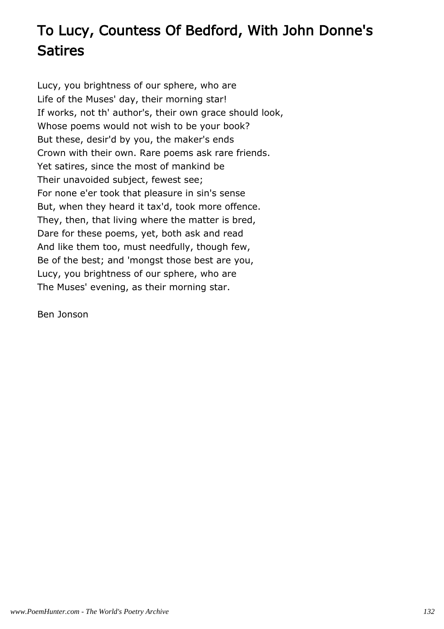# To Lucy, Countess Of Bedford, With John Donne's Satires

Lucy, you brightness of our sphere, who are Life of the Muses' day, their morning star! If works, not th' author's, their own grace should look, Whose poems would not wish to be your book? But these, desir'd by you, the maker's ends Crown with their own. Rare poems ask rare friends. Yet satires, since the most of mankind be Their unavoided subject, fewest see; For none e'er took that pleasure in sin's sense But, when they heard it tax'd, took more offence. They, then, that living where the matter is bred, Dare for these poems, yet, both ask and read And like them too, must needfully, though few, Be of the best; and 'mongst those best are you, Lucy, you brightness of our sphere, who are The Muses' evening, as their morning star.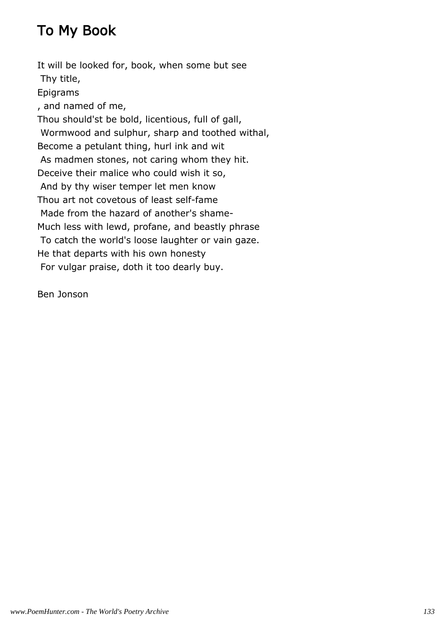## To My Book

It will be looked for, book, when some but see Thy title, Epigrams , and named of me, Thou should'st be bold, licentious, full of gall, Wormwood and sulphur, sharp and toothed withal, Become a petulant thing, hurl ink and wit As madmen stones, not caring whom they hit. Deceive their malice who could wish it so, And by thy wiser temper let men know Thou art not covetous of least self-fame Made from the hazard of another's shame-Much less with lewd, profane, and beastly phrase To catch the world's loose laughter or vain gaze. He that departs with his own honesty For vulgar praise, doth it too dearly buy.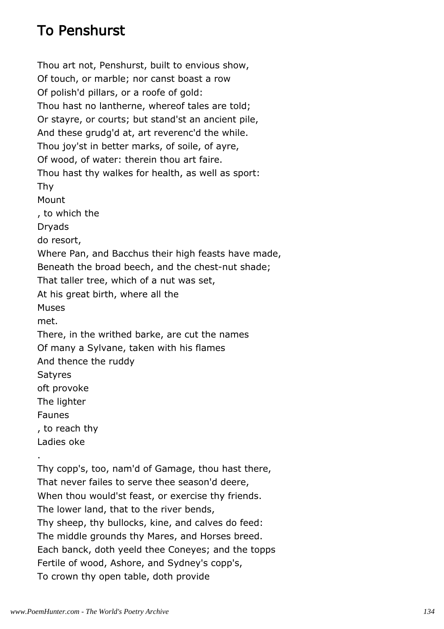## To Penshurst

Thou art not, Penshurst, built to envious show, Of touch, or marble; nor canst boast a row Of polish'd pillars, or a roofe of gold: Thou hast no lantherne, whereof tales are told; Or stayre, or courts; but stand'st an ancient pile, And these grudg'd at, art reverenc'd the while. Thou joy'st in better marks, of soile, of ayre, Of wood, of water: therein thou art faire. Thou hast thy walkes for health, as well as sport: Thy Mount , to which the Dryads do resort, Where Pan, and Bacchus their high feasts have made, Beneath the broad beech, and the chest-nut shade; That taller tree, which of a nut was set, At his great birth, where all the Muses met. There, in the writhed barke, are cut the names Of many a Sylvane, taken with his flames And thence the ruddy Satyres oft provoke The lighter Faunes , to reach thy Ladies oke .

Thy copp's, too, nam'd of Gamage, thou hast there, That never failes to serve thee season'd deere, When thou would'st feast, or exercise thy friends. The lower land, that to the river bends, Thy sheep, thy bullocks, kine, and calves do feed: The middle grounds thy Mares, and Horses breed. Each banck, doth yeeld thee Coneyes; and the topps Fertile of wood, Ashore, and Sydney's copp's, To crown thy open table, doth provide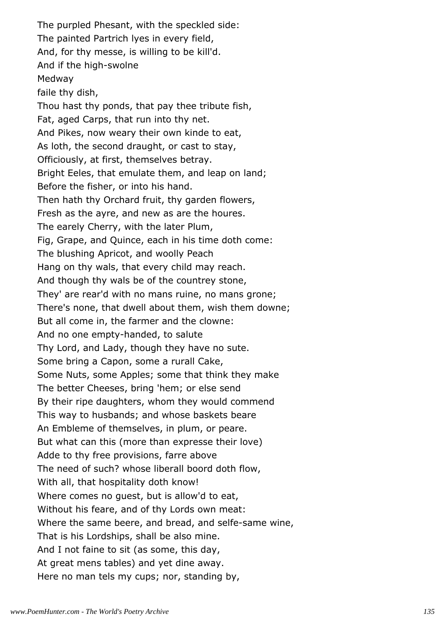The purpled Phesant, with the speckled side: The painted Partrich lyes in every field, And, for thy messe, is willing to be kill'd. And if the high-swolne Medway faile thy dish, Thou hast thy ponds, that pay thee tribute fish, Fat, aged Carps, that run into thy net. And Pikes, now weary their own kinde to eat, As loth, the second draught, or cast to stay, Officiously, at first, themselves betray. Bright Eeles, that emulate them, and leap on land; Before the fisher, or into his hand. Then hath thy Orchard fruit, thy garden flowers, Fresh as the ayre, and new as are the houres. The earely Cherry, with the later Plum, Fig, Grape, and Quince, each in his time doth come: The blushing Apricot, and woolly Peach Hang on thy wals, that every child may reach. And though thy wals be of the countrey stone, They' are rear'd with no mans ruine, no mans grone; There's none, that dwell about them, wish them downe; But all come in, the farmer and the clowne: And no one empty-handed, to salute Thy Lord, and Lady, though they have no sute. Some bring a Capon, some a rurall Cake, Some Nuts, some Apples; some that think they make The better Cheeses, bring 'hem; or else send By their ripe daughters, whom they would commend This way to husbands; and whose baskets beare An Embleme of themselves, in plum, or peare. But what can this (more than expresse their love) Adde to thy free provisions, farre above The need of such? whose liberall boord doth flow, With all, that hospitality doth know! Where comes no guest, but is allow'd to eat, Without his feare, and of thy Lords own meat: Where the same beere, and bread, and selfe-same wine, That is his Lordships, shall be also mine. And I not faine to sit (as some, this day, At great mens tables) and yet dine away. Here no man tels my cups; nor, standing by,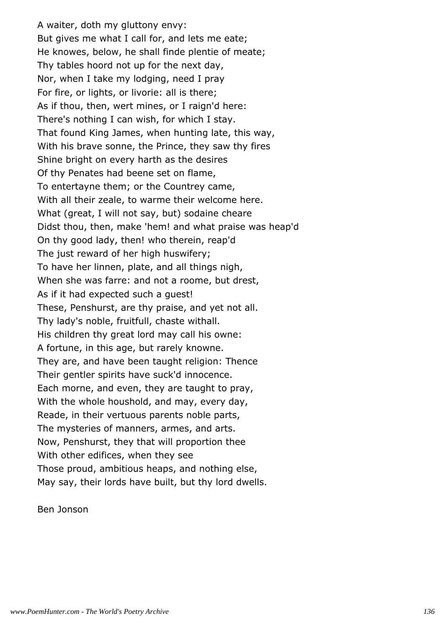A waiter, doth my gluttony envy: But gives me what I call for, and lets me eate; He knowes, below, he shall finde plentie of meate; Thy tables hoord not up for the next day, Nor, when I take my lodging, need I pray For fire, or lights, or livorie: all is there; As if thou, then, wert mines, or I raign'd here: There's nothing I can wish, for which I stay. That found King James, when hunting late, this way, With his brave sonne, the Prince, they saw thy fires Shine bright on every harth as the desires Of thy Penates had beene set on flame, To entertayne them; or the Countrey came, With all their zeale, to warme their welcome here. What (great, I will not say, but) sodaine cheare Didst thou, then, make 'hem! and what praise was heap'd On thy good lady, then! who therein, reap'd The just reward of her high huswifery; To have her linnen, plate, and all things nigh, When she was farre: and not a roome, but drest, As if it had expected such a guest! These, Penshurst, are thy praise, and yet not all. Thy lady's noble, fruitfull, chaste withall. His children thy great lord may call his owne: A fortune, in this age, but rarely knowne. They are, and have been taught religion: Thence Their gentler spirits have suck'd innocence. Each morne, and even, they are taught to pray, With the whole houshold, and may, every day, Reade, in their vertuous parents noble parts, The mysteries of manners, armes, and arts. Now, Penshurst, they that will proportion thee With other edifices, when they see Those proud, ambitious heaps, and nothing else, May say, their lords have built, but thy lord dwells.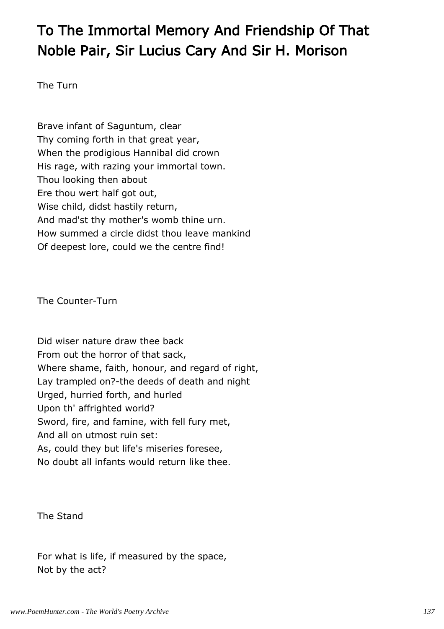# To The Immortal Memory And Friendship Of That Noble Pair, Sir Lucius Cary And Sir H. Morison

The Turn

Brave infant of Saguntum, clear Thy coming forth in that great year, When the prodigious Hannibal did crown His rage, with razing your immortal town. Thou looking then about Ere thou wert half got out, Wise child, didst hastily return, And mad'st thy mother's womb thine urn. How summed a circle didst thou leave mankind Of deepest lore, could we the centre find!

The Counter-Turn

Did wiser nature draw thee back From out the horror of that sack, Where shame, faith, honour, and regard of right, Lay trampled on?-the deeds of death and night Urged, hurried forth, and hurled Upon th' affrighted world? Sword, fire, and famine, with fell fury met, And all on utmost ruin set: As, could they but life's miseries foresee, No doubt all infants would return like thee.

The Stand

For what is life, if measured by the space, Not by the act?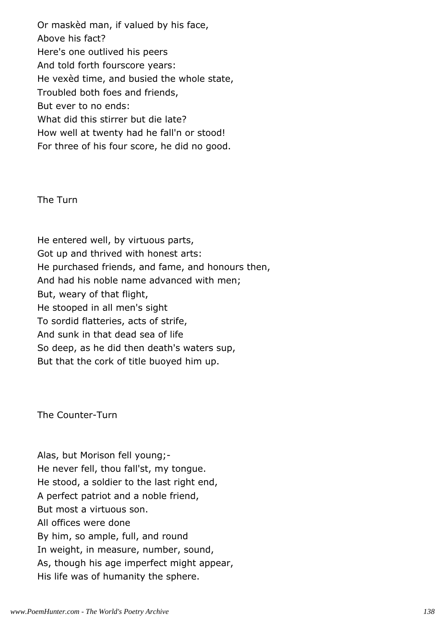Or maskèd man, if valued by his face, Above his fact? Here's one outlived his peers And told forth fourscore years: He vexèd time, and busied the whole state, Troubled both foes and friends, But ever to no ends: What did this stirrer but die late? How well at twenty had he fall'n or stood! For three of his four score, he did no good.

The Turn

He entered well, by virtuous parts, Got up and thrived with honest arts: He purchased friends, and fame, and honours then, And had his noble name advanced with men; But, weary of that flight, He stooped in all men's sight To sordid flatteries, acts of strife, And sunk in that dead sea of life So deep, as he did then death's waters sup, But that the cork of title buoyed him up.

The Counter-Turn

Alas, but Morison fell young;- He never fell, thou fall'st, my tongue. He stood, a soldier to the last right end, A perfect patriot and a noble friend, But most a virtuous son. All offices were done By him, so ample, full, and round In weight, in measure, number, sound, As, though his age imperfect might appear, His life was of humanity the sphere.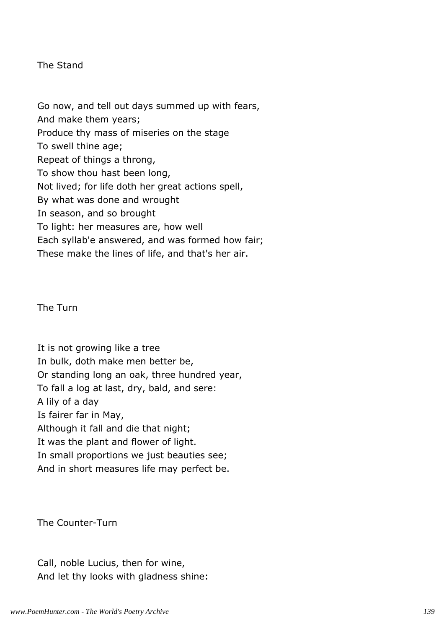#### The Stand

Go now, and tell out days summed up with fears, And make them years; Produce thy mass of miseries on the stage To swell thine age; Repeat of things a throng, To show thou hast been long, Not lived; for life doth her great actions spell, By what was done and wrought In season, and so brought To light: her measures are, how well Each syllab'e answered, and was formed how fair; These make the lines of life, and that's her air.

The Turn

It is not growing like a tree In bulk, doth make men better be, Or standing long an oak, three hundred year, To fall a log at last, dry, bald, and sere: A lily of a day Is fairer far in May, Although it fall and die that night; It was the plant and flower of light. In small proportions we just beauties see; And in short measures life may perfect be.

The Counter-Turn

Call, noble Lucius, then for wine, And let thy looks with gladness shine: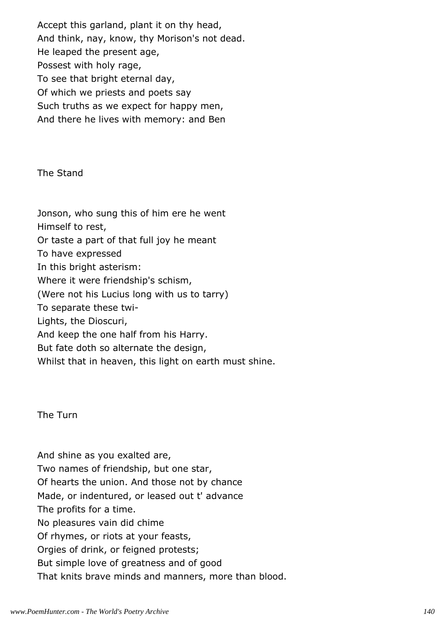Accept this garland, plant it on thy head, And think, nay, know, thy Morison's not dead. He leaped the present age, Possest with holy rage, To see that bright eternal day, Of which we priests and poets say Such truths as we expect for happy men, And there he lives with memory: and Ben

The Stand

Jonson, who sung this of him ere he went Himself to rest, Or taste a part of that full joy he meant To have expressed In this bright asterism: Where it were friendship's schism, (Were not his Lucius long with us to tarry) To separate these twi-Lights, the Dioscuri, And keep the one half from his Harry. But fate doth so alternate the design, Whilst that in heaven, this light on earth must shine.

The Turn

And shine as you exalted are, Two names of friendship, but one star, Of hearts the union. And those not by chance Made, or indentured, or leased out t' advance The profits for a time. No pleasures vain did chime Of rhymes, or riots at your feasts, Orgies of drink, or feigned protests; But simple love of greatness and of good That knits brave minds and manners, more than blood.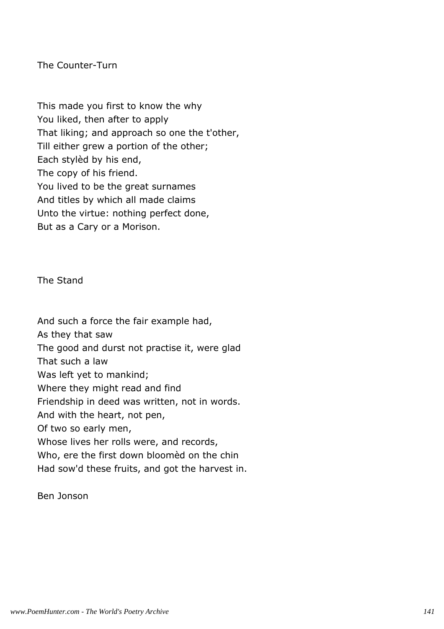The Counter-Turn

This made you first to know the why You liked, then after to apply That liking; and approach so one the t'other, Till either grew a portion of the other; Each stylèd by his end, The copy of his friend. You lived to be the great surnames And titles by which all made claims Unto the virtue: nothing perfect done, But as a Cary or a Morison.

The Stand

And such a force the fair example had, As they that saw The good and durst not practise it, were glad That such a law Was left yet to mankind; Where they might read and find Friendship in deed was written, not in words. And with the heart, not pen, Of two so early men, Whose lives her rolls were, and records, Who, ere the first down bloomèd on the chin Had sow'd these fruits, and got the harvest in.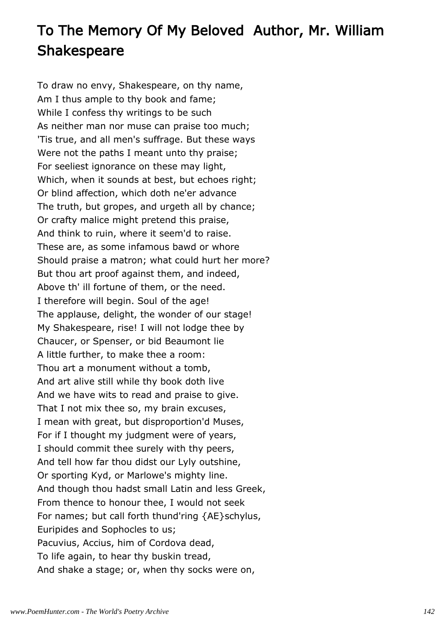# To The Memory Of My Beloved Author, Mr. William Shakespeare

To draw no envy, Shakespeare, on thy name, Am I thus ample to thy book and fame; While I confess thy writings to be such As neither man nor muse can praise too much; 'Tis true, and all men's suffrage. But these ways Were not the paths I meant unto thy praise; For seeliest ignorance on these may light, Which, when it sounds at best, but echoes right; Or blind affection, which doth ne'er advance The truth, but gropes, and urgeth all by chance; Or crafty malice might pretend this praise, And think to ruin, where it seem'd to raise. These are, as some infamous bawd or whore Should praise a matron; what could hurt her more? But thou art proof against them, and indeed, Above th' ill fortune of them, or the need. I therefore will begin. Soul of the age! The applause, delight, the wonder of our stage! My Shakespeare, rise! I will not lodge thee by Chaucer, or Spenser, or bid Beaumont lie A little further, to make thee a room: Thou art a monument without a tomb, And art alive still while thy book doth live And we have wits to read and praise to give. That I not mix thee so, my brain excuses, I mean with great, but disproportion'd Muses, For if I thought my judgment were of years, I should commit thee surely with thy peers, And tell how far thou didst our Lyly outshine, Or sporting Kyd, or Marlowe's mighty line. And though thou hadst small Latin and less Greek, From thence to honour thee, I would not seek For names; but call forth thund'ring {AE}schylus, Euripides and Sophocles to us; Pacuvius, Accius, him of Cordova dead, To life again, to hear thy buskin tread, And shake a stage; or, when thy socks were on,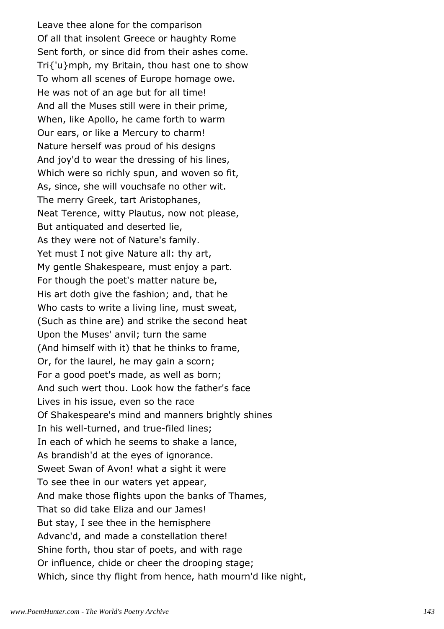Leave thee alone for the comparison Of all that insolent Greece or haughty Rome Sent forth, or since did from their ashes come. Tri{'u}mph, my Britain, thou hast one to show To whom all scenes of Europe homage owe. He was not of an age but for all time! And all the Muses still were in their prime, When, like Apollo, he came forth to warm Our ears, or like a Mercury to charm! Nature herself was proud of his designs And joy'd to wear the dressing of his lines, Which were so richly spun, and woven so fit, As, since, she will vouchsafe no other wit. The merry Greek, tart Aristophanes, Neat Terence, witty Plautus, now not please, But antiquated and deserted lie, As they were not of Nature's family. Yet must I not give Nature all: thy art, My gentle Shakespeare, must enjoy a part. For though the poet's matter nature be, His art doth give the fashion; and, that he Who casts to write a living line, must sweat, (Such as thine are) and strike the second heat Upon the Muses' anvil; turn the same (And himself with it) that he thinks to frame, Or, for the laurel, he may gain a scorn; For a good poet's made, as well as born; And such wert thou. Look how the father's face Lives in his issue, even so the race Of Shakespeare's mind and manners brightly shines In his well-turned, and true-filed lines; In each of which he seems to shake a lance, As brandish'd at the eyes of ignorance. Sweet Swan of Avon! what a sight it were To see thee in our waters yet appear, And make those flights upon the banks of Thames, That so did take Eliza and our James! But stay, I see thee in the hemisphere Advanc'd, and made a constellation there! Shine forth, thou star of poets, and with rage Or influence, chide or cheer the drooping stage; Which, since thy flight from hence, hath mourn'd like night,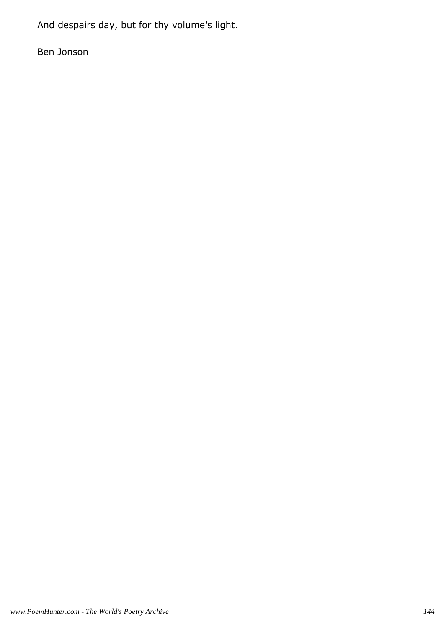And despairs day, but for thy volume's light.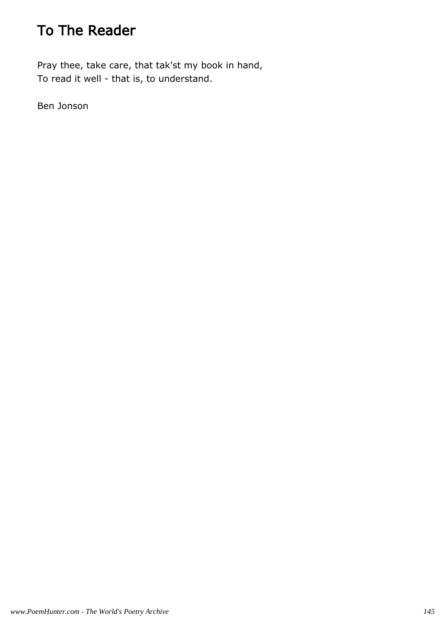# To The Reader

Pray thee, take care, that tak'st my book in hand, To read it well - that is, to understand.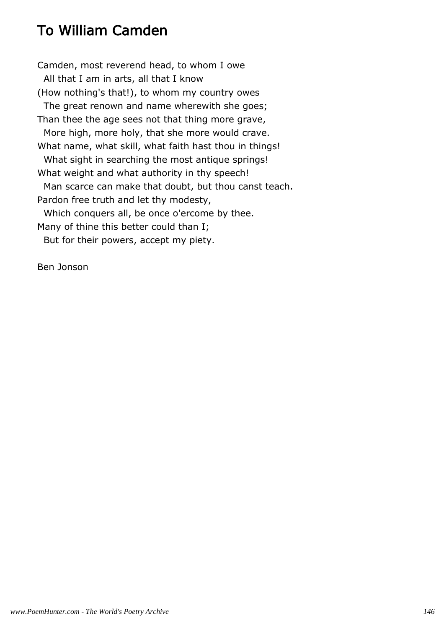# To William Camden

Camden, most reverend head, to whom I owe All that I am in arts, all that I know (How nothing's that!), to whom my country owes The great renown and name wherewith she goes; Than thee the age sees not that thing more grave, More high, more holy, that she more would crave. What name, what skill, what faith hast thou in things! What sight in searching the most antique springs! What weight and what authority in thy speech! Man scarce can make that doubt, but thou canst teach. Pardon free truth and let thy modesty, Which conquers all, be once o'ercome by thee. Many of thine this better could than I; But for their powers, accept my piety.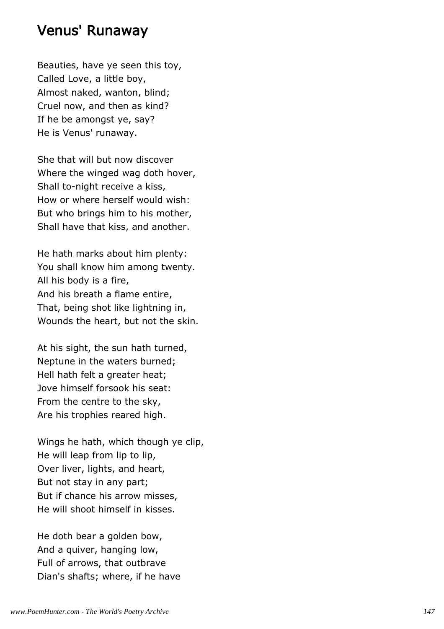#### Venus' Runaway

Beauties, have ye seen this toy, Called Love, a little boy, Almost naked, wanton, blind; Cruel now, and then as kind? If he be amongst ye, say? He is Venus' runaway.

She that will but now discover Where the winged wag doth hover, Shall to-night receive a kiss, How or where herself would wish: But who brings him to his mother, Shall have that kiss, and another.

He hath marks about him plenty: You shall know him among twenty. All his body is a fire, And his breath a flame entire, That, being shot like lightning in, Wounds the heart, but not the skin.

At his sight, the sun hath turned, Neptune in the waters burned; Hell hath felt a greater heat; Jove himself forsook his seat: From the centre to the sky, Are his trophies reared high.

Wings he hath, which though ye clip, He will leap from lip to lip, Over liver, lights, and heart, But not stay in any part; But if chance his arrow misses, He will shoot himself in kisses.

He doth bear a golden bow, And a quiver, hanging low, Full of arrows, that outbrave Dian's shafts; where, if he have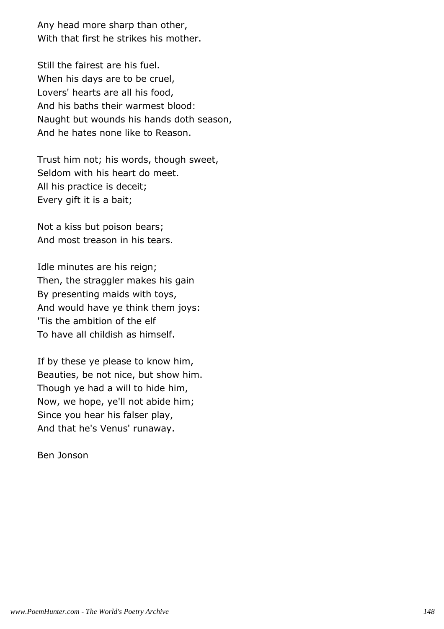Any head more sharp than other, With that first he strikes his mother.

Still the fairest are his fuel. When his days are to be cruel, Lovers' hearts are all his food, And his baths their warmest blood: Naught but wounds his hands doth season, And he hates none like to Reason.

Trust him not; his words, though sweet, Seldom with his heart do meet. All his practice is deceit; Every gift it is a bait;

Not a kiss but poison bears; And most treason in his tears.

Idle minutes are his reign; Then, the straggler makes his gain By presenting maids with toys, And would have ye think them joys: 'Tis the ambition of the elf To have all childish as himself.

If by these ye please to know him, Beauties, be not nice, but show him. Though ye had a will to hide him, Now, we hope, ye'll not abide him; Since you hear his falser play, And that he's Venus' runaway.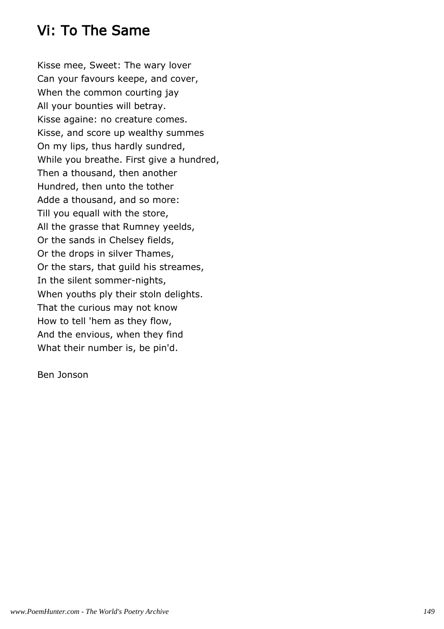## Vi: To The Same

Kisse mee, Sweet: The wary lover Can your favours keepe, and cover, When the common courting jay All your bounties will betray. Kisse againe: no creature comes. Kisse, and score up wealthy summes On my lips, thus hardly sundred, While you breathe. First give a hundred, Then a thousand, then another Hundred, then unto the tother Adde a thousand, and so more: Till you equall with the store, All the grasse that Rumney yeelds, Or the sands in Chelsey fields, Or the drops in silver Thames, Or the stars, that guild his streames, In the silent sommer-nights, When youths ply their stoln delights. That the curious may not know How to tell 'hem as they flow, And the envious, when they find What their number is, be pin'd.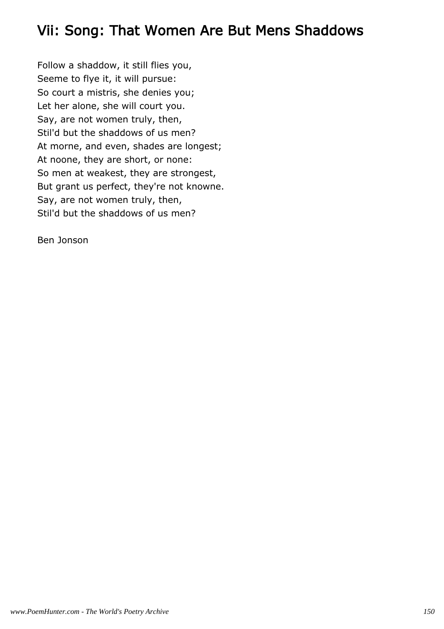### Vii: Song: That Women Are But Mens Shaddows

Follow a shaddow, it still flies you, Seeme to flye it, it will pursue: So court a mistris, she denies you; Let her alone, she will court you. Say, are not women truly, then, Stil'd but the shaddows of us men? At morne, and even, shades are longest; At noone, they are short, or none: So men at weakest, they are strongest, But grant us perfect, they're not knowne. Say, are not women truly, then, Stil'd but the shaddows of us men?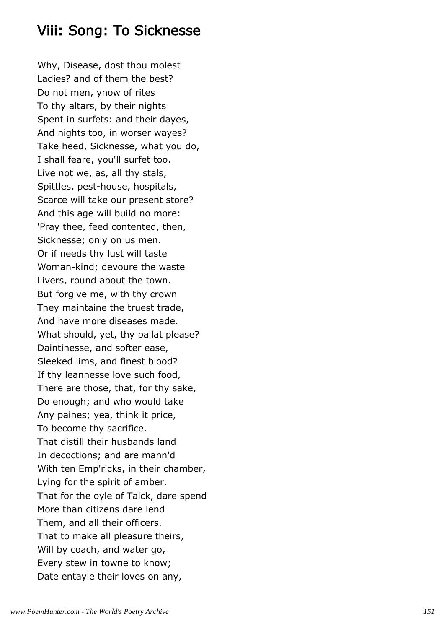#### Viii: Song: To Sicknesse

Why, Disease, dost thou molest Ladies? and of them the best? Do not men, ynow of rites To thy altars, by their nights Spent in surfets: and their dayes, And nights too, in worser wayes? Take heed, Sicknesse, what you do, I shall feare, you'll surfet too. Live not we, as, all thy stals, Spittles, pest-house, hospitals, Scarce will take our present store? And this age will build no more: 'Pray thee, feed contented, then, Sicknesse; only on us men. Or if needs thy lust will taste Woman-kind; devoure the waste Livers, round about the town. But forgive me, with thy crown They maintaine the truest trade, And have more diseases made. What should, yet, thy pallat please? Daintinesse, and softer ease, Sleeked lims, and finest blood? If thy leannesse love such food, There are those, that, for thy sake, Do enough; and who would take Any paines; yea, think it price, To become thy sacrifice. That distill their husbands land In decoctions; and are mann'd With ten Emp'ricks, in their chamber, Lying for the spirit of amber. That for the oyle of Talck, dare spend More than citizens dare lend Them, and all their officers. That to make all pleasure theirs, Will by coach, and water go, Every stew in towne to know; Date entayle their loves on any,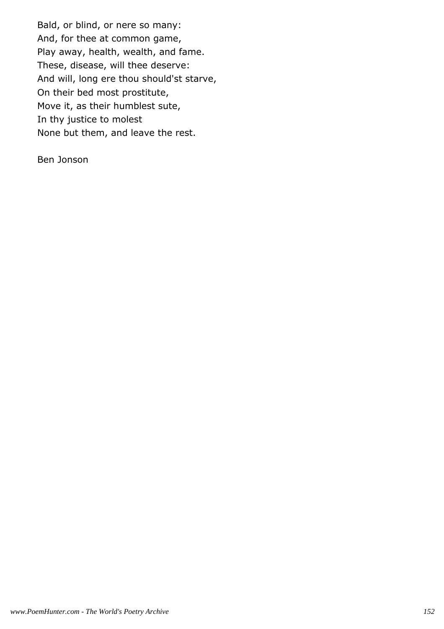Bald, or blind, or nere so many: And, for thee at common game, Play away, health, wealth, and fame. These, disease, will thee deserve: And will, long ere thou should'st starve, On their bed most prostitute, Move it, as their humblest sute, In thy justice to molest None but them, and leave the rest.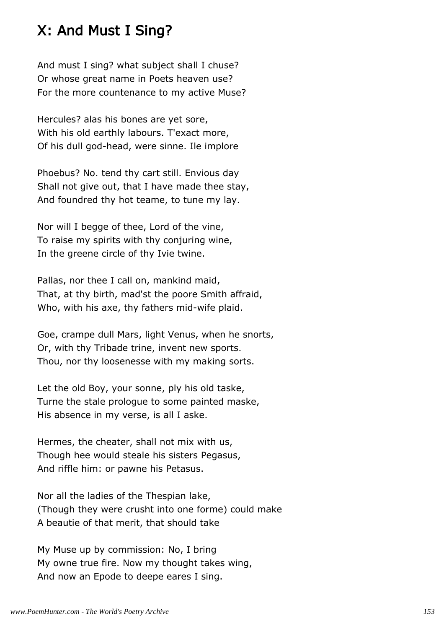### X: And Must I Sing?

And must I sing? what subject shall I chuse? Or whose great name in Poets heaven use? For the more countenance to my active Muse?

Hercules? alas his bones are yet sore, With his old earthly labours. T'exact more, Of his dull god-head, were sinne. Ile implore

Phoebus? No. tend thy cart still. Envious day Shall not give out, that I have made thee stay, And foundred thy hot teame, to tune my lay.

Nor will I begge of thee, Lord of the vine, To raise my spirits with thy conjuring wine, In the greene circle of thy Ivie twine.

Pallas, nor thee I call on, mankind maid, That, at thy birth, mad'st the poore Smith affraid, Who, with his axe, thy fathers mid-wife plaid.

Goe, crampe dull Mars, light Venus, when he snorts, Or, with thy Tribade trine, invent new sports. Thou, nor thy loosenesse with my making sorts.

Let the old Boy, your sonne, ply his old taske, Turne the stale prologue to some painted maske, His absence in my verse, is all I aske.

Hermes, the cheater, shall not mix with us, Though hee would steale his sisters Pegasus, And riffle him: or pawne his Petasus.

Nor all the ladies of the Thespian lake, (Though they were crusht into one forme) could make A beautie of that merit, that should take

My Muse up by commission: No, I bring My owne true fire. Now my thought takes wing, And now an Epode to deepe eares I sing.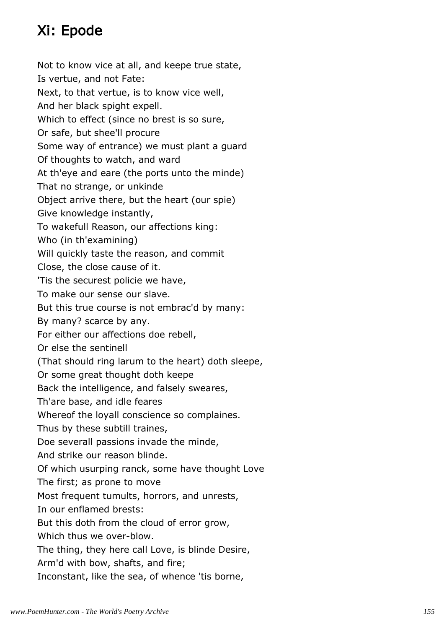# Xi: Epode

Not to know vice at all, and keepe true state, Is vertue, and not Fate: Next, to that vertue, is to know vice well, And her black spight expell. Which to effect (since no brest is so sure, Or safe, but shee'll procure Some way of entrance) we must plant a guard Of thoughts to watch, and ward At th'eye and eare (the ports unto the minde) That no strange, or unkinde Object arrive there, but the heart (our spie) Give knowledge instantly, To wakefull Reason, our affections king: Who (in th'examining) Will quickly taste the reason, and commit Close, the close cause of it. 'Tis the securest policie we have, To make our sense our slave. But this true course is not embrac'd by many: By many? scarce by any. For either our affections doe rebell, Or else the sentinell (That should ring larum to the heart) doth sleepe, Or some great thought doth keepe Back the intelligence, and falsely sweares, Th'are base, and idle feares Whereof the loyall conscience so complaines. Thus by these subtill traines, Doe severall passions invade the minde, And strike our reason blinde. Of which usurping ranck, some have thought Love The first; as prone to move Most frequent tumults, horrors, and unrests, In our enflamed brests: But this doth from the cloud of error grow, Which thus we over-blow. The thing, they here call Love, is blinde Desire, Arm'd with bow, shafts, and fire; Inconstant, like the sea, of whence 'tis borne,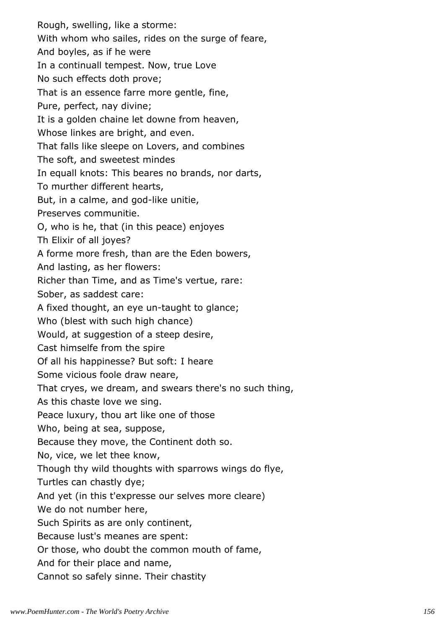Rough, swelling, like a storme: With whom who sailes, rides on the surge of feare, And boyles, as if he were In a continuall tempest. Now, true Love No such effects doth prove; That is an essence farre more gentle, fine, Pure, perfect, nay divine; It is a golden chaine let downe from heaven, Whose linkes are bright, and even. That falls like sleepe on Lovers, and combines The soft, and sweetest mindes In equall knots: This beares no brands, nor darts, To murther different hearts, But, in a calme, and god-like unitie, Preserves communitie. O, who is he, that (in this peace) enjoyes Th Elixir of all joyes? A forme more fresh, than are the Eden bowers, And lasting, as her flowers: Richer than Time, and as Time's vertue, rare: Sober, as saddest care: A fixed thought, an eye un-taught to glance; Who (blest with such high chance) Would, at suggestion of a steep desire, Cast himselfe from the spire Of all his happinesse? But soft: I heare Some vicious foole draw neare, That cryes, we dream, and swears there's no such thing, As this chaste love we sing. Peace luxury, thou art like one of those Who, being at sea, suppose, Because they move, the Continent doth so. No, vice, we let thee know, Though thy wild thoughts with sparrows wings do flye, Turtles can chastly dye; And yet (in this t'expresse our selves more cleare) We do not number here, Such Spirits as are only continent, Because lust's meanes are spent: Or those, who doubt the common mouth of fame, And for their place and name, Cannot so safely sinne. Their chastity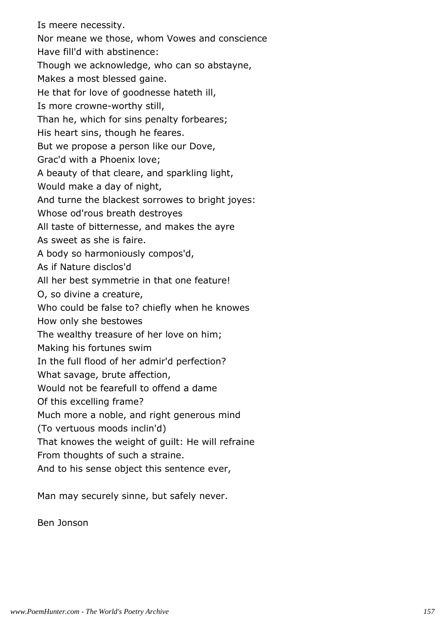Is meere necessity. Nor meane we those, whom Vowes and conscience Have fill'd with abstinence: Though we acknowledge, who can so abstayne, Makes a most blessed gaine. He that for love of goodnesse hateth ill, Is more crowne-worthy still, Than he, which for sins penalty forbeares; His heart sins, though he feares. But we propose a person like our Dove, Grac'd with a Phoenix love; A beauty of that cleare, and sparkling light, Would make a day of night, And turne the blackest sorrowes to bright joyes: Whose od'rous breath destroyes All taste of bitternesse, and makes the ayre As sweet as she is faire. A body so harmoniously compos'd, As if Nature disclos'd All her best symmetrie in that one feature! O, so divine a creature, Who could be false to? chiefly when he knowes How only she bestowes The wealthy treasure of her love on him; Making his fortunes swim In the full flood of her admir'd perfection? What savage, brute affection, Would not be fearefull to offend a dame Of this excelling frame? Much more a noble, and right generous mind (To vertuous moods inclin'd) That knowes the weight of guilt: He will refraine From thoughts of such a straine. And to his sense object this sentence ever,

Man may securely sinne, but safely never.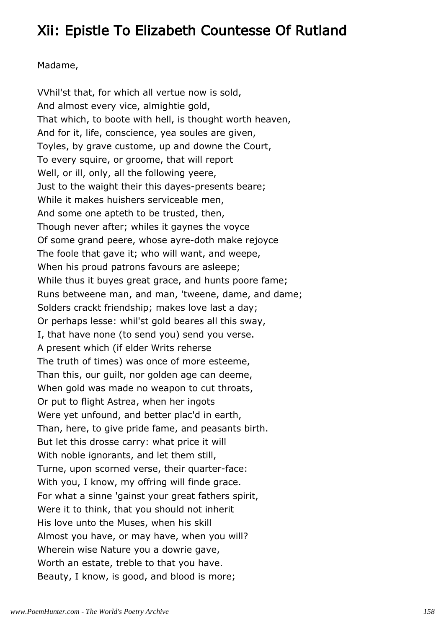## Xii: Epistle To Elizabeth Countesse Of Rutland

Madame,

VVhil'st that, for which all vertue now is sold, And almost every vice, almightie gold, That which, to boote with hell, is thought worth heaven, And for it, life, conscience, yea soules are given, Toyles, by grave custome, up and downe the Court, To every squire, or groome, that will report Well, or ill, only, all the following yeere, Just to the waight their this dayes-presents beare; While it makes huishers serviceable men, And some one apteth to be trusted, then, Though never after; whiles it gaynes the voyce Of some grand peere, whose ayre-doth make rejoyce The foole that gave it; who will want, and weepe, When his proud patrons favours are asleepe; While thus it buyes great grace, and hunts poore fame; Runs betweene man, and man, 'tweene, dame, and dame; Solders crackt friendship; makes love last a day; Or perhaps lesse: whil'st gold beares all this sway, I, that have none (to send you) send you verse. A present which (if elder Writs reherse The truth of times) was once of more esteeme, Than this, our guilt, nor golden age can deeme, When gold was made no weapon to cut throats, Or put to flight Astrea, when her ingots Were yet unfound, and better plac'd in earth, Than, here, to give pride fame, and peasants birth. But let this drosse carry: what price it will With noble ignorants, and let them still, Turne, upon scorned verse, their quarter-face: With you, I know, my offring will finde grace. For what a sinne 'gainst your great fathers spirit, Were it to think, that you should not inherit His love unto the Muses, when his skill Almost you have, or may have, when you will? Wherein wise Nature you a dowrie gave, Worth an estate, treble to that you have. Beauty, I know, is good, and blood is more;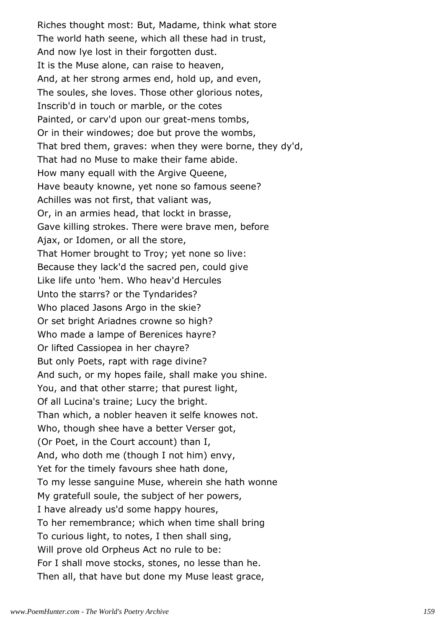Riches thought most: But, Madame, think what store The world hath seene, which all these had in trust, And now lye lost in their forgotten dust. It is the Muse alone, can raise to heaven, And, at her strong armes end, hold up, and even, The soules, she loves. Those other glorious notes, Inscrib'd in touch or marble, or the cotes Painted, or carv'd upon our great-mens tombs, Or in their windowes; doe but prove the wombs, That bred them, graves: when they were borne, they dy'd, That had no Muse to make their fame abide. How many equall with the Argive Queene, Have beauty knowne, yet none so famous seene? Achilles was not first, that valiant was, Or, in an armies head, that lockt in brasse, Gave killing strokes. There were brave men, before Ajax, or Idomen, or all the store, That Homer brought to Troy; yet none so live: Because they lack'd the sacred pen, could give Like life unto 'hem. Who heav'd Hercules Unto the starrs? or the Tyndarides? Who placed Jasons Argo in the skie? Or set bright Ariadnes crowne so high? Who made a lampe of Berenices hayre? Or lifted Cassiopea in her chayre? But only Poets, rapt with rage divine? And such, or my hopes faile, shall make you shine. You, and that other starre; that purest light, Of all Lucina's traine; Lucy the bright. Than which, a nobler heaven it selfe knowes not. Who, though shee have a better Verser got, (Or Poet, in the Court account) than I, And, who doth me (though I not him) envy, Yet for the timely favours shee hath done, To my lesse sanguine Muse, wherein she hath wonne My gratefull soule, the subject of her powers, I have already us'd some happy houres, To her remembrance; which when time shall bring To curious light, to notes, I then shall sing, Will prove old Orpheus Act no rule to be: For I shall move stocks, stones, no lesse than he. Then all, that have but done my Muse least grace,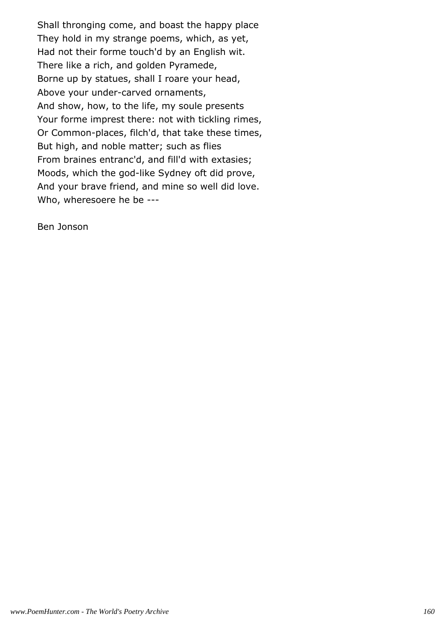Shall thronging come, and boast the happy place They hold in my strange poems, which, as yet, Had not their forme touch'd by an English wit. There like a rich, and golden Pyramede, Borne up by statues, shall I roare your head, Above your under-carved ornaments, And show, how, to the life, my soule presents Your forme imprest there: not with tickling rimes, Or Common-places, filch'd, that take these times, But high, and noble matter; such as flies From braines entranc'd, and fill'd with extasies; Moods, which the god-like Sydney oft did prove, And your brave friend, and mine so well did love. Who, wheresoere he be ---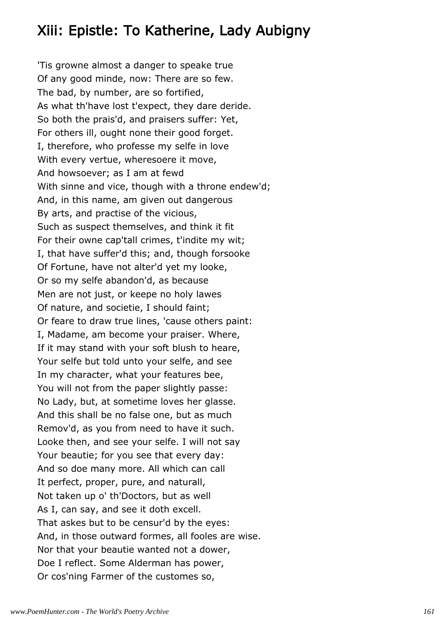### Xiii: Epistle: To Katherine, Lady Aubigny

'Tis growne almost a danger to speake true Of any good minde, now: There are so few. The bad, by number, are so fortified, As what th'have lost t'expect, they dare deride. So both the prais'd, and praisers suffer: Yet, For others ill, ought none their good forget. I, therefore, who professe my selfe in love With every vertue, wheresoere it move, And howsoever; as I am at fewd With sinne and vice, though with a throne endew'd; And, in this name, am given out dangerous By arts, and practise of the vicious, Such as suspect themselves, and think it fit For their owne cap'tall crimes, t'indite my wit; I, that have suffer'd this; and, though forsooke Of Fortune, have not alter'd yet my looke, Or so my selfe abandon'd, as because Men are not just, or keepe no holy lawes Of nature, and societie, I should faint; Or feare to draw true lines, 'cause others paint: I, Madame, am become your praiser. Where, If it may stand with your soft blush to heare, Your selfe but told unto your selfe, and see In my character, what your features bee, You will not from the paper slightly passe: No Lady, but, at sometime loves her glasse. And this shall be no false one, but as much Remov'd, as you from need to have it such. Looke then, and see your selfe. I will not say Your beautie; for you see that every day: And so doe many more. All which can call It perfect, proper, pure, and naturall, Not taken up o' th'Doctors, but as well As I, can say, and see it doth excell. That askes but to be censur'd by the eyes: And, in those outward formes, all fooles are wise. Nor that your beautie wanted not a dower, Doe I reflect. Some Alderman has power, Or cos'ning Farmer of the customes so,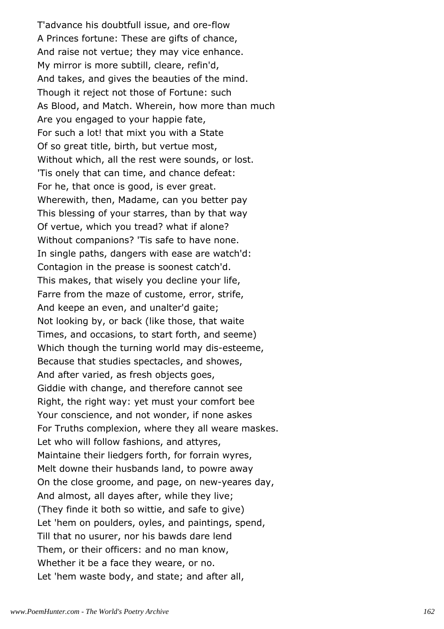T'advance his doubtfull issue, and ore-flow A Princes fortune: These are gifts of chance, And raise not vertue; they may vice enhance. My mirror is more subtill, cleare, refin'd, And takes, and gives the beauties of the mind. Though it reject not those of Fortune: such As Blood, and Match. Wherein, how more than much Are you engaged to your happie fate, For such a lot! that mixt you with a State Of so great title, birth, but vertue most, Without which, all the rest were sounds, or lost. 'Tis onely that can time, and chance defeat: For he, that once is good, is ever great. Wherewith, then, Madame, can you better pay This blessing of your starres, than by that way Of vertue, which you tread? what if alone? Without companions? 'Tis safe to have none. In single paths, dangers with ease are watch'd: Contagion in the prease is soonest catch'd. This makes, that wisely you decline your life, Farre from the maze of custome, error, strife, And keepe an even, and unalter'd gaite; Not looking by, or back (like those, that waite Times, and occasions, to start forth, and seeme) Which though the turning world may dis-esteeme, Because that studies spectacles, and showes, And after varied, as fresh objects goes, Giddie with change, and therefore cannot see Right, the right way: yet must your comfort bee Your conscience, and not wonder, if none askes For Truths complexion, where they all weare maskes. Let who will follow fashions, and attyres, Maintaine their liedgers forth, for forrain wyres, Melt downe their husbands land, to powre away On the close groome, and page, on new-yeares day, And almost, all dayes after, while they live; (They finde it both so wittie, and safe to give) Let 'hem on poulders, oyles, and paintings, spend, Till that no usurer, nor his bawds dare lend Them, or their officers: and no man know, Whether it be a face they weare, or no. Let 'hem waste body, and state; and after all,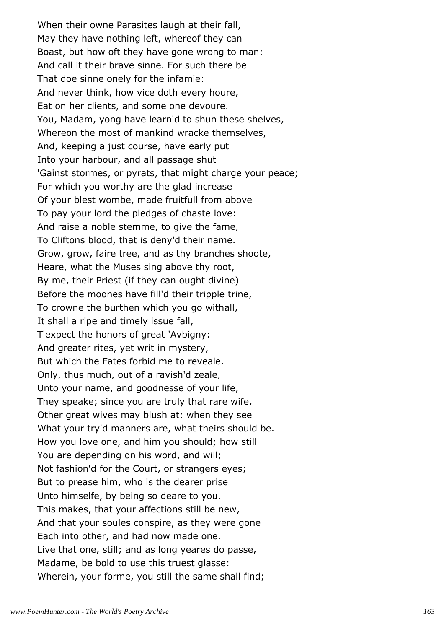When their owne Parasites laugh at their fall, May they have nothing left, whereof they can Boast, but how oft they have gone wrong to man: And call it their brave sinne. For such there be That doe sinne onely for the infamie: And never think, how vice doth every houre, Eat on her clients, and some one devoure. You, Madam, yong have learn'd to shun these shelves, Whereon the most of mankind wracke themselves, And, keeping a just course, have early put Into your harbour, and all passage shut 'Gainst stormes, or pyrats, that might charge your peace; For which you worthy are the glad increase Of your blest wombe, made fruitfull from above To pay your lord the pledges of chaste love: And raise a noble stemme, to give the fame, To Cliftons blood, that is deny'd their name. Grow, grow, faire tree, and as thy branches shoote, Heare, what the Muses sing above thy root, By me, their Priest (if they can ought divine) Before the moones have fill'd their tripple trine, To crowne the burthen which you go withall, It shall a ripe and timely issue fall, T'expect the honors of great 'Avbigny: And greater rites, yet writ in mystery, But which the Fates forbid me to reveale. Only, thus much, out of a ravish'd zeale, Unto your name, and goodnesse of your life, They speake; since you are truly that rare wife, Other great wives may blush at: when they see What your try'd manners are, what theirs should be. How you love one, and him you should; how still You are depending on his word, and will; Not fashion'd for the Court, or strangers eyes; But to prease him, who is the dearer prise Unto himselfe, by being so deare to you. This makes, that your affections still be new, And that your soules conspire, as they were gone Each into other, and had now made one. Live that one, still; and as long yeares do passe, Madame, be bold to use this truest glasse: Wherein, your forme, you still the same shall find;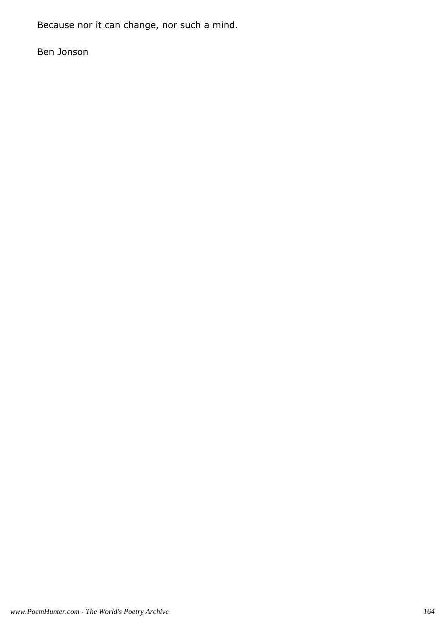Because nor it can change, nor such a mind.